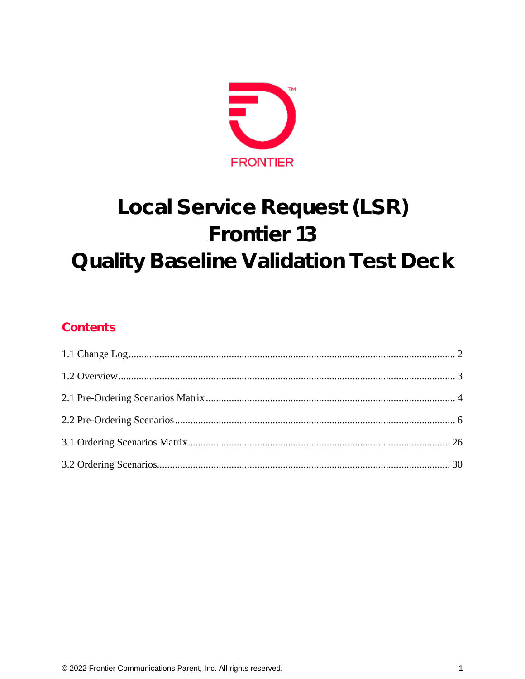

# Local Service Request (LSR) Frontier 13 Quality Baseline Validation Test Deck

#### Contents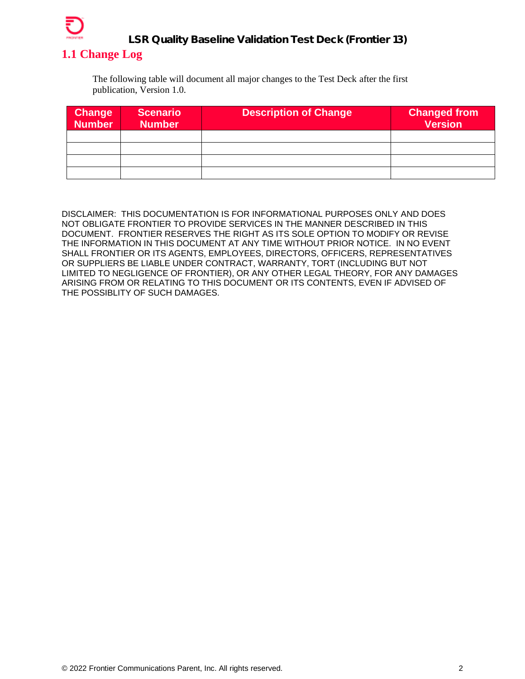

#### <span id="page-1-0"></span>**1.1 Change Log**

The following table will document all major changes to the Test Deck after the first publication, Version 1.0.

| <b>Change</b><br><b>Number</b> | <b>Scenario</b><br><b>Number</b> | <b>Description of Change</b> | <b>Changed from</b><br>Version |
|--------------------------------|----------------------------------|------------------------------|--------------------------------|
|                                |                                  |                              |                                |
|                                |                                  |                              |                                |
|                                |                                  |                              |                                |
|                                |                                  |                              |                                |

DISCLAIMER: THIS DOCUMENTATION IS FOR INFORMATIONAL PURPOSES ONLY AND DOES NOT OBLIGATE FRONTIER TO PROVIDE SERVICES IN THE MANNER DESCRIBED IN THIS DOCUMENT. FRONTIER RESERVES THE RIGHT AS ITS SOLE OPTION TO MODIFY OR REVISE THE INFORMATION IN THIS DOCUMENT AT ANY TIME WITHOUT PRIOR NOTICE. IN NO EVENT SHALL FRONTIER OR ITS AGENTS, EMPLOYEES, DIRECTORS, OFFICERS, REPRESENTATIVES OR SUPPLIERS BE LIABLE UNDER CONTRACT, WARRANTY, TORT (INCLUDING BUT NOT LIMITED TO NEGLIGENCE OF FRONTIER), OR ANY OTHER LEGAL THEORY, FOR ANY DAMAGES ARISING FROM OR RELATING TO THIS DOCUMENT OR ITS CONTENTS, EVEN IF ADVISED OF THE POSSIBLITY OF SUCH DAMAGES.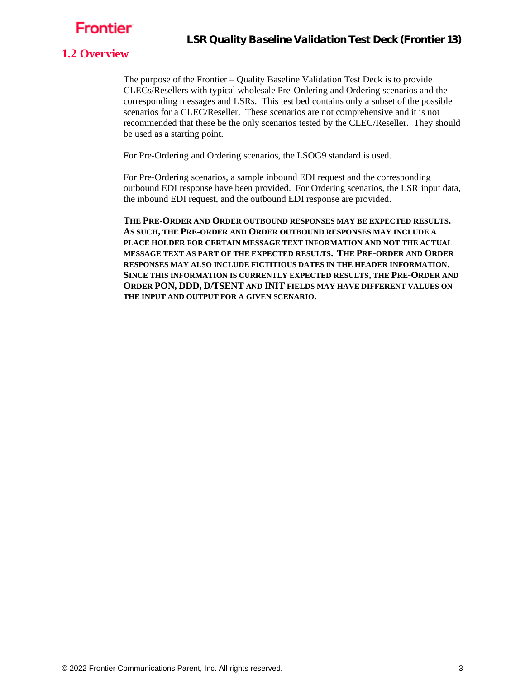#### <span id="page-2-0"></span>**1.2 Overview**

The purpose of the Frontier – Quality Baseline Validation Test Deck is to provide CLECs/Resellers with typical wholesale Pre-Ordering and Ordering scenarios and the corresponding messages and LSRs. This test bed contains only a subset of the possible scenarios for a CLEC/Reseller. These scenarios are not comprehensive and it is not recommended that these be the only scenarios tested by the CLEC/Reseller. They should be used as a starting point.

For Pre-Ordering and Ordering scenarios, the LSOG9 standard is used.

For Pre-Ordering scenarios, a sample inbound EDI request and the corresponding outbound EDI response have been provided. For Ordering scenarios, the LSR input data, the inbound EDI request, and the outbound EDI response are provided.

**THE PRE-ORDER AND ORDER OUTBOUND RESPONSES MAY BE EXPECTED RESULTS. AS SUCH, THE PRE-ORDER AND ORDER OUTBOUND RESPONSES MAY INCLUDE A PLACE HOLDER FOR CERTAIN MESSAGE TEXT INFORMATION AND NOT THE ACTUAL MESSAGE TEXT AS PART OF THE EXPECTED RESULTS. THE PRE-ORDER AND ORDER RESPONSES MAY ALSO INCLUDE FICTITIOUS DATES IN THE HEADER INFORMATION. SINCE THIS INFORMATION IS CURRENTLY EXPECTED RESULTS, THE PRE-ORDER AND ORDER PON, DDD, D/TSENT AND INIT FIELDS MAY HAVE DIFFERENT VALUES ON THE INPUT AND OUTPUT FOR A GIVEN SCENARIO.**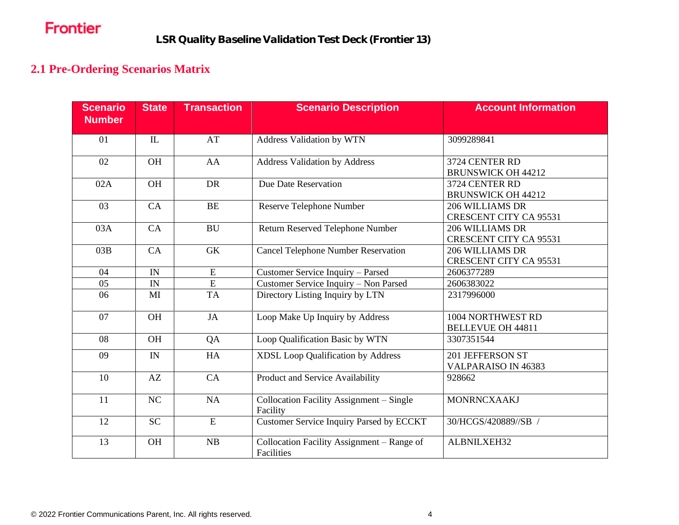#### **2.1 Pre-Ordering Scenarios Matrix**

<span id="page-3-0"></span>

| <b>Scenario</b><br><b>Number</b> | <b>State</b> | <b>Transaction</b> | <b>Scenario Description</b>                              | <b>Account Information</b>                       |
|----------------------------------|--------------|--------------------|----------------------------------------------------------|--------------------------------------------------|
| 01                               | $\mathbf{L}$ | AT                 | Address Validation by WTN                                | 3099289841                                       |
| 02                               | <b>OH</b>    | AA                 | <b>Address Validation by Address</b>                     | 3724 CENTER RD<br><b>BRUNSWICK OH 44212</b>      |
| 02A                              | <b>OH</b>    | <b>DR</b>          | Due Date Reservation                                     | 3724 CENTER RD<br><b>BRUNSWICK OH 44212</b>      |
| 03                               | CA           | <b>BE</b>          | Reserve Telephone Number                                 | 206 WILLIAMS DR<br><b>CRESCENT CITY CA 95531</b> |
| 03A                              | CA           | <b>BU</b>          | Return Reserved Telephone Number                         | 206 WILLIAMS DR<br><b>CRESCENT CITY CA 95531</b> |
| 03B                              | CA           | <b>GK</b>          | <b>Cancel Telephone Number Reservation</b>               | 206 WILLIAMS DR<br><b>CRESCENT CITY CA 95531</b> |
| 04                               | IN           | E                  | Customer Service Inquiry - Parsed                        | 2606377289                                       |
| 05                               | IN           | ${\bf E}$          | Customer Service Inquiry - Non Parsed                    | 2606383022                                       |
| 06                               | MI           | <b>TA</b>          | Directory Listing Inquiry by LTN                         | 2317996000                                       |
| 07                               | <b>OH</b>    | JA                 | Loop Make Up Inquiry by Address                          | 1004 NORTHWEST RD<br><b>BELLEVUE OH 44811</b>    |
| 08                               | <b>OH</b>    | QA                 | Loop Qualification Basic by WTN                          | 3307351544                                       |
| 09                               | IN           | HA                 | <b>XDSL Loop Qualification by Address</b>                | 201 JEFFERSON ST<br>VALPARAISO IN 46383          |
| 10                               | AZ           | CA                 | Product and Service Availability                         | 928662                                           |
| 11                               | NC           | NA                 | Collocation Facility Assignment - Single<br>Facility     | <b>MONRNCXAAKJ</b>                               |
| 12                               | <b>SC</b>    | $\overline{E}$     | Customer Service Inquiry Parsed by ECCKT                 | 30/HCGS/420889//SB /                             |
| 13                               | OH           | NB                 | Collocation Facility Assignment – Range of<br>Facilities | ALBNILXEH32                                      |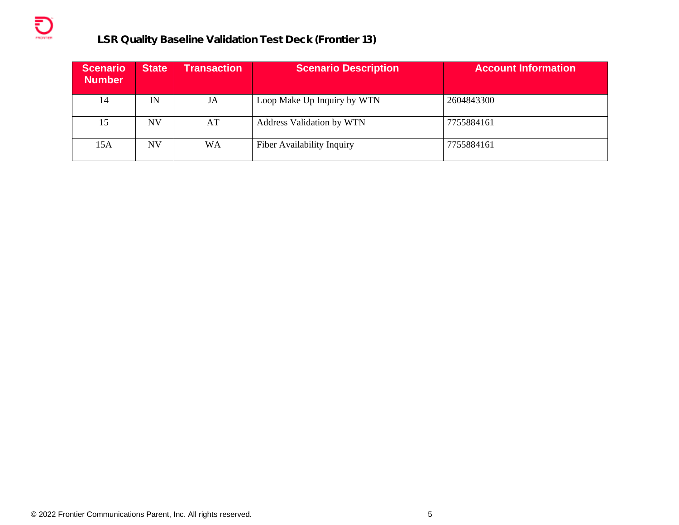| <b>Scenario</b><br><b>Number</b> | <b>State</b> | <b>Transaction</b> | <b>Scenario Description</b>      | <b>Account Information</b> |
|----------------------------------|--------------|--------------------|----------------------------------|----------------------------|
| 14                               | IN           | JA                 | Loop Make Up Inquiry by WTN      | 2604843300                 |
| 15                               | <b>NV</b>    | AT                 | <b>Address Validation by WTN</b> | 7755884161                 |
| 15A                              | <b>NV</b>    | WA                 | Fiber Availability Inquiry       | 7755884161                 |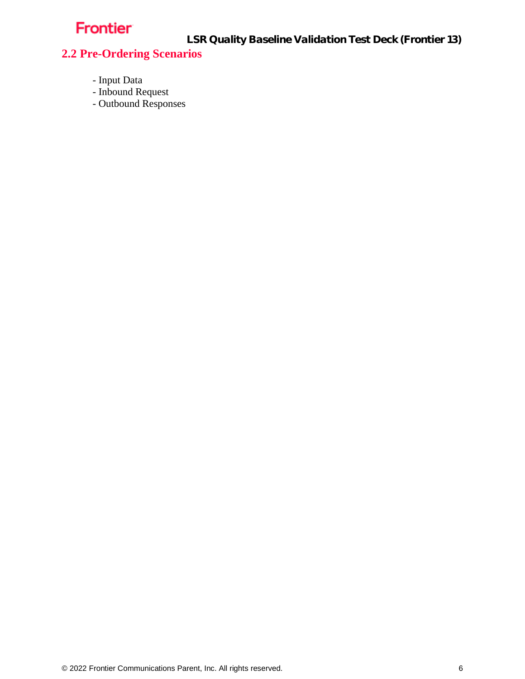LSR Quality Baseline Validation Test Deck (Frontier 13)

#### <span id="page-5-0"></span>**2.2 Pre-Ordering Scenarios**

- Input Data
- Inbound Request
- Outbound Responses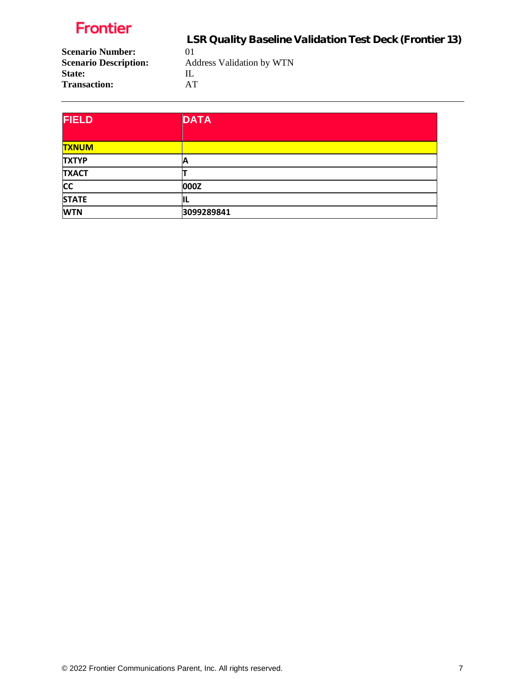LSR Quality Baseline Validation Test Deck (Frontier 13) **Scenario Number:** 01<br>**Scenario Description:** Ad **Scenario Description:** Address Validation by WTN State: IL **Transaction:** AT

| <b>FIELD</b> | <b>DATA</b> |
|--------------|-------------|
| <b>TXNUM</b> |             |
| <b>TXTYP</b> | А           |
| <b>TXACT</b> |             |
| <b>CC</b>    | 000Z        |
| <b>STATE</b> | IΙL         |
| <b>WTN</b>   | 3099289841  |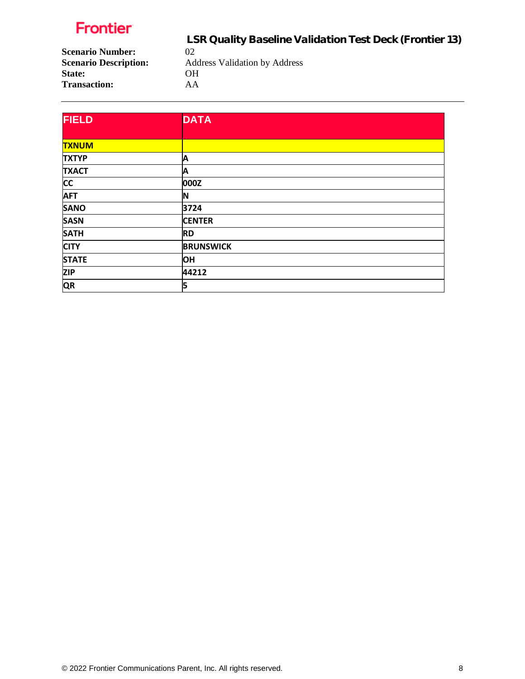LSR Quality Baseline Validation Test Deck (Frontier 13)

**Scenario Number:** 02<br>**Scenario Description:** Ad **State:** OH **Transaction:** AA

**Scenario Description:** Address Validation by Address

| <b>FIELD</b> | <b>DATA</b>      |
|--------------|------------------|
|              |                  |
| <b>TXNUM</b> |                  |
| <b>TXTYP</b> | Α                |
| <b>TXACT</b> | Α                |
| cc           | 000Z             |
| <b>AFT</b>   | IN               |
| <b>SANO</b>  | 3724             |
| <b>SASN</b>  | <b>CENTER</b>    |
| <b>SATH</b>  | <b>RD</b>        |
| <b>CITY</b>  | <b>BRUNSWICK</b> |
| <b>STATE</b> | <b>OH</b>        |
| <b>ZIP</b>   | 44212            |
| QR           | 5                |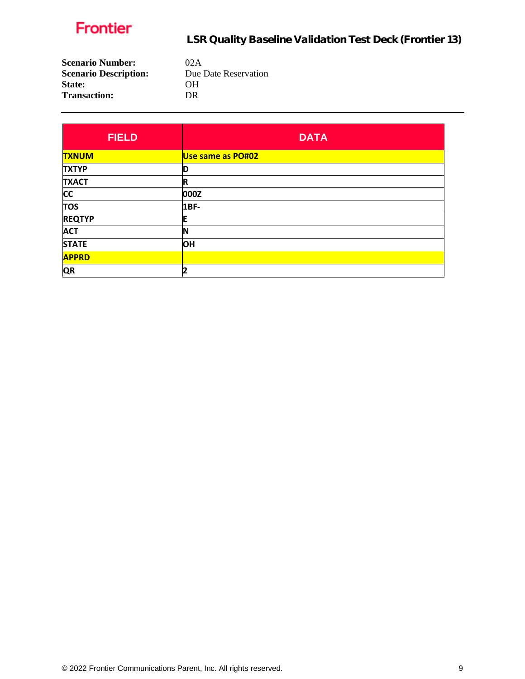| <b>Scenario Number:</b>      | 02A                  |
|------------------------------|----------------------|
| <b>Scenario Description:</b> | Due Date Reservation |
| <b>State:</b>                | OН                   |
| <b>Transaction:</b>          | DR                   |
|                              |                      |

| <b>FIELD</b>  | <b>DATA</b>       |
|---------------|-------------------|
| <b>TXNUM</b>  | Use same as PO#02 |
| <b>TXTYP</b>  | D                 |
| <b>TXACT</b>  | $\mathbf R$       |
| <b>CC</b>     | 000Z              |
| <b>TOS</b>    | 1BF-              |
| <b>REQTYP</b> | F                 |
| <b>ACT</b>    | N                 |
| <b>STATE</b>  | <b>OH</b>         |
| <b>APPRD</b>  |                   |
| <b>QR</b>     | 2                 |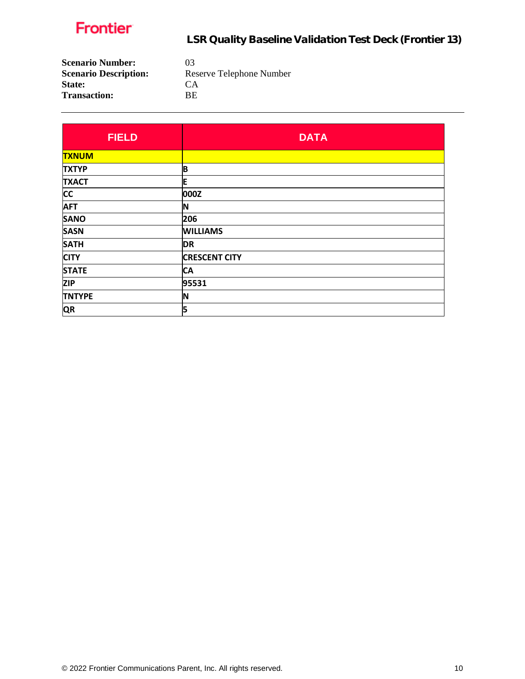

| <b>Scenario Number:</b>      | 03                       |
|------------------------------|--------------------------|
| <b>Scenario Description:</b> | Reserve Telephone Number |
| <b>State:</b>                | CA <sup>1</sup>          |
| <b>Transaction:</b>          | BE.                      |
|                              |                          |

| <b>FIELD</b>  | <b>DATA</b>          |
|---------------|----------------------|
| <b>TXNUM</b>  |                      |
| <b>TXTYP</b>  | B                    |
| <b>TXACT</b>  | E                    |
| <b>CC</b>     | 000Z                 |
| <b>AFT</b>    | ΙN                   |
| <b>SANO</b>   | 206                  |
| <b>SASN</b>   | <b>WILLIAMS</b>      |
| <b>SATH</b>   | <b>DR</b>            |
| <b>CITY</b>   | <b>CRESCENT CITY</b> |
| <b>STATE</b>  | <b>CA</b>            |
| <b>ZIP</b>    | 95531                |
| <b>TNTYPE</b> | 'N                   |
| <b>QR</b>     | 5                    |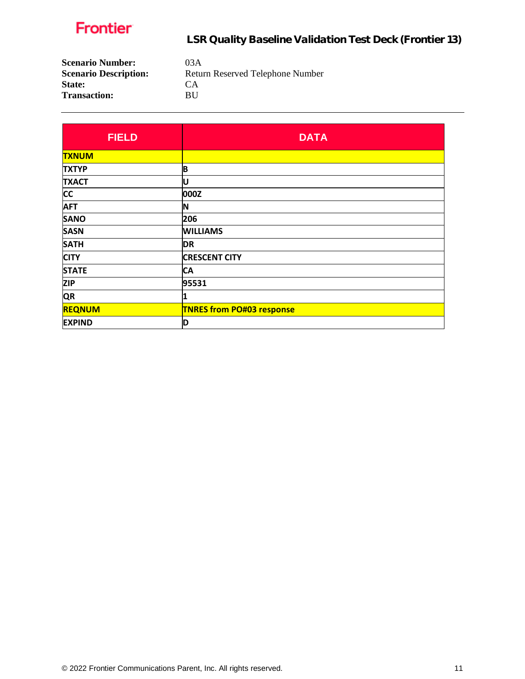

| <b>Scenario Number:</b>      |  |
|------------------------------|--|
| <b>Scenario Description:</b> |  |
| <b>State:</b>                |  |
| <b>Transaction:</b>          |  |

**Scenario Number:** 03A Return Reserved Telephone Number **State:** CA  $\mathbf{B}\mathbf{U}$ 

| <b>FIELD</b>  | <b>DATA</b>                      |
|---------------|----------------------------------|
| <b>TXNUM</b>  |                                  |
| <b>TXTYP</b>  | B                                |
| <b>TXACT</b>  | U                                |
| <b>CC</b>     | 000Z                             |
| <b>AFT</b>    | N                                |
| <b>SANO</b>   | 206                              |
| <b>SASN</b>   | <b>WILLIAMS</b>                  |
| <b>SATH</b>   | <b>DR</b>                        |
| <b>CITY</b>   | <b>CRESCENT CITY</b>             |
| <b>STATE</b>  | СA                               |
| <b>ZIP</b>    | 95531                            |
| <b>QR</b>     | 1                                |
| <b>REQNUM</b> | <b>TNRES from PO#03 response</b> |
| <b>EXPIND</b> | D                                |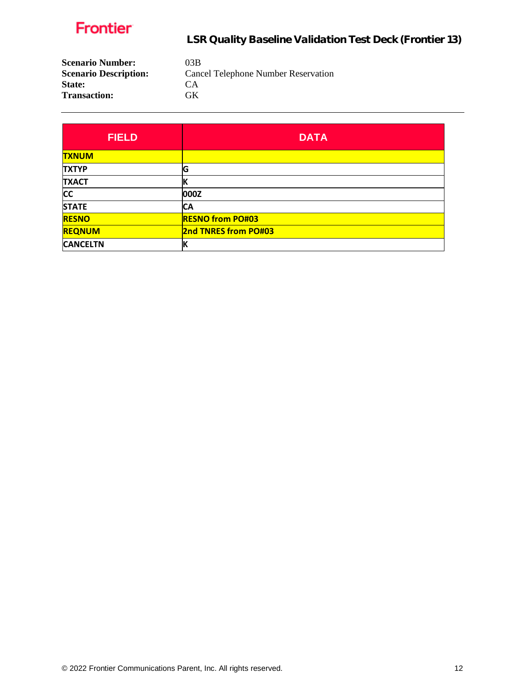

| <b>Scenario Number:</b>      | 03B                                        |
|------------------------------|--------------------------------------------|
| <b>Scenario Description:</b> | <b>Cancel Telephone Number Reservation</b> |
| <b>State:</b>                | CA <sup></sup>                             |
| <b>Transaction:</b>          | GK.                                        |

| <b>FIELD</b>    | <b>DATA</b>                 |
|-----------------|-----------------------------|
| <b>TXNUM</b>    |                             |
| <b>TXTYP</b>    | G                           |
| <b>TXACT</b>    |                             |
| <b>CC</b>       | 000Z                        |
| <b>STATE</b>    | СA                          |
| <b>RESNO</b>    | <b>RESNO from PO#03</b>     |
| <b>REQNUM</b>   | <b>2nd TNRES from PO#03</b> |
| <b>CANCELTN</b> |                             |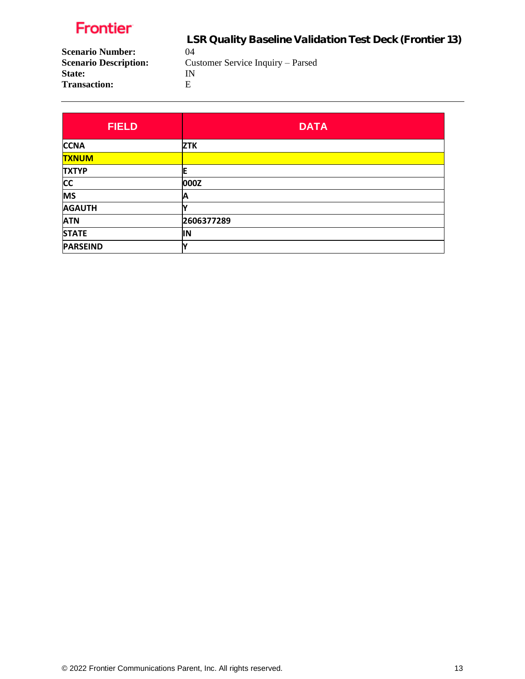LSR Quality Baseline Validation Test Deck (Frontier 13)

**Scenario Number:** 04<br>**Scenario Description:** Cu State: IN<br>Transaction: E **Transaction:** 

Customer Service Inquiry – Parsed

| <b>FIELD</b>    | <b>DATA</b> |
|-----------------|-------------|
| <b>CCNA</b>     | <b>ZTK</b>  |
| <b>TXNUM</b>    |             |
| <b>TXTYP</b>    | E           |
| <b>CC</b>       | 000Z        |
| <b>MS</b>       | А           |
| <b>AGAUTH</b>   |             |
| <b>ATN</b>      | 2606377289  |
| <b>STATE</b>    | ΙN          |
| <b>PARSEIND</b> |             |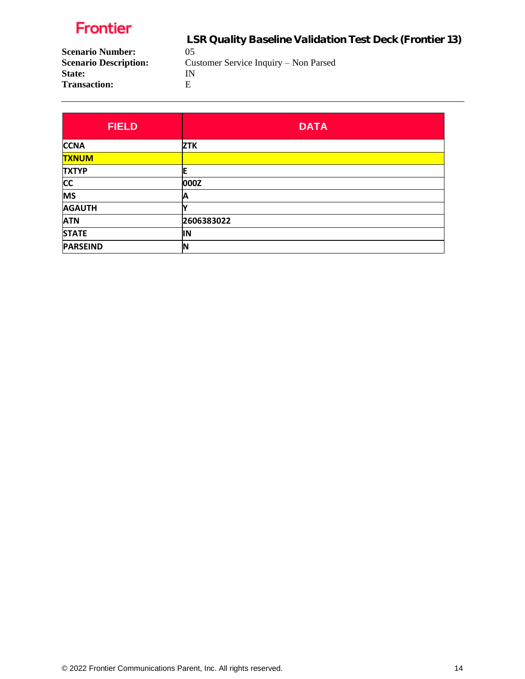LSR Quality Baseline Validation Test Deck (Frontier 13)

**Scenario Number:** 05<br>**Scenario Description:** Cu State: IN<br>Transaction: E **Transaction:** 

Customer Service Inquiry – Non Parsed

| <b>FIELD</b>    | <b>DATA</b> |
|-----------------|-------------|
| <b>CCNA</b>     | <b>ZTK</b>  |
| <b>TXNUM</b>    |             |
| <b>TXTYP</b>    | F           |
| <b>CC</b>       | 000Z        |
| <b>MS</b>       | А           |
| <b>AGAUTH</b>   |             |
| <b>ATN</b>      | 2606383022  |
| <b>STATE</b>    | IN          |
| <b>PARSEIND</b> | N           |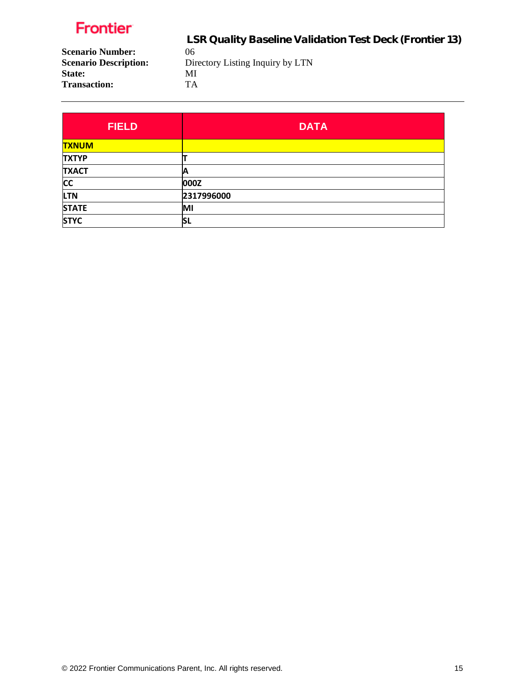LSR Quality Baseline Validation Test Deck (Frontier 13)

**Scenario Number:** 06<br>**Scenario Description:** Dir **Scenario Description:** Directory Listing Inquiry by LTN State: MI **Transaction:** TA

**FIELD DATA TXNUM TXTYP T TXACT A CC 000Z LTN 2317996000 STATE MI STYC SL**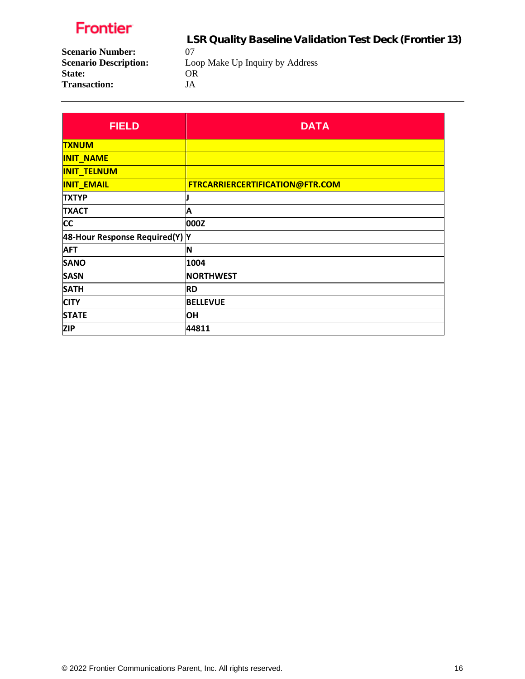**State:** 

LSR Quality Baseline Validation Test Deck (Frontier 13)

**Scenario Number:** 07<br>**Scenario Description:** Loo Loop Make Up Inquiry by Address OR **Transaction:** JA

| <b>FIELD</b>                   | <b>DATA</b>                     |
|--------------------------------|---------------------------------|
| <b>TXNUM</b>                   |                                 |
| <b>INIT_NAME</b>               |                                 |
| <b>INIT_TELNUM</b>             |                                 |
| <b>INIT_EMAIL</b>              | FTRCARRIERCERTIFICATION@FTR.COM |
| <b>TXTYP</b>                   |                                 |
| <b>TXACT</b>                   | Α                               |
| <b>CC</b>                      | 000Z                            |
| 48-Hour Response Required(Y) Y |                                 |
| <b>AFT</b>                     | <b>N</b>                        |
| <b>SANO</b>                    | 1004                            |
| <b>SASN</b>                    | <b>NORTHWEST</b>                |
| <b>SATH</b>                    | <b>RD</b>                       |
| <b>CITY</b>                    | <b>BELLEVUE</b>                 |
| <b>STATE</b>                   | OН                              |
| <b>ZIP</b>                     | 44811                           |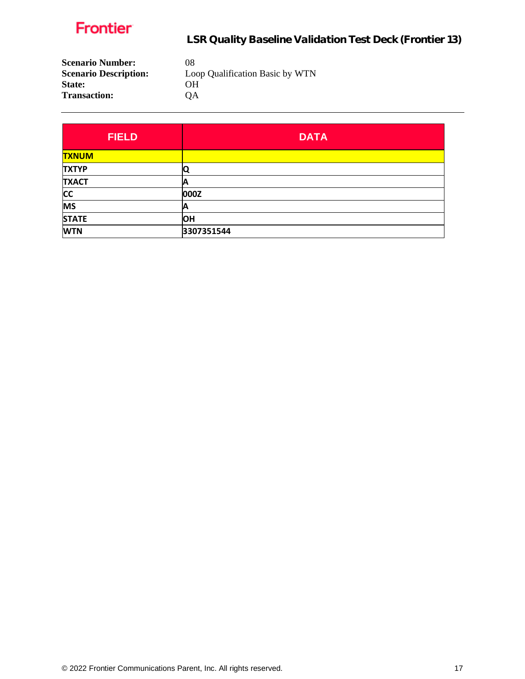| <b>Scenario Number:</b>      | 08                              |
|------------------------------|---------------------------------|
| <b>Scenario Description:</b> | Loop Qualification Basic by WTN |
| <b>State:</b>                | OН                              |
| <b>Transaction:</b>          | OΑ                              |

| <b>FIELD</b> | <b>DATA</b> |
|--------------|-------------|
| <b>TXNUM</b> |             |
| <b>TXTYP</b> |             |
| <b>TXACT</b> | A           |
| <b>CC</b>    | 000Z        |
| <b>MS</b>    | А           |
| <b>STATE</b> | <b>OH</b>   |
| <b>WTN</b>   | 3307351544  |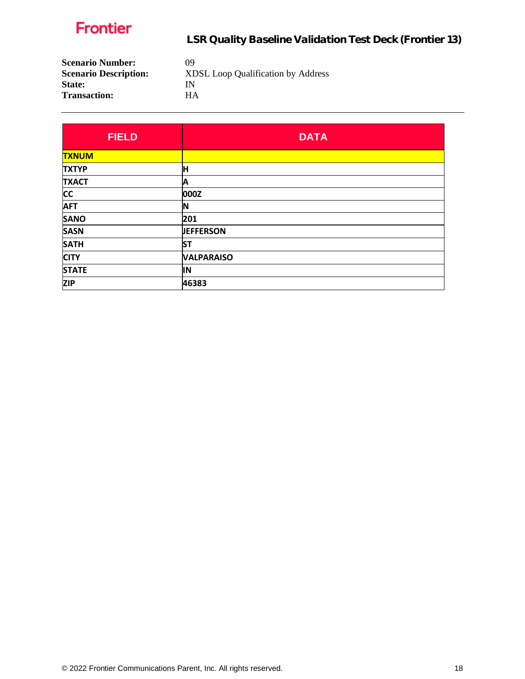| <b>Scenario Number:</b>      | 09                                        |
|------------------------------|-------------------------------------------|
| <b>Scenario Description:</b> | <b>XDSL Loop Qualification by Address</b> |
| <b>State:</b>                | IN                                        |
| <b>Transaction:</b>          | HА                                        |
|                              |                                           |

| <b>FIELD</b> | <b>DATA</b>       |
|--------------|-------------------|
| <b>TXNUM</b> |                   |
| <b>TXTYP</b> | н                 |
| <b>TXACT</b> | Α                 |
| <b>CC</b>    | 000Z              |
| <b>AFT</b>   | ΙN                |
| <b>SANO</b>  | 201               |
| <b>SASN</b>  | <b>JEFFERSON</b>  |
| <b>SATH</b>  | <b>ST</b>         |
| <b>CITY</b>  | <b>VALPARAISO</b> |
| <b>STATE</b> | ΙN                |
| <b>ZIP</b>   | 46383             |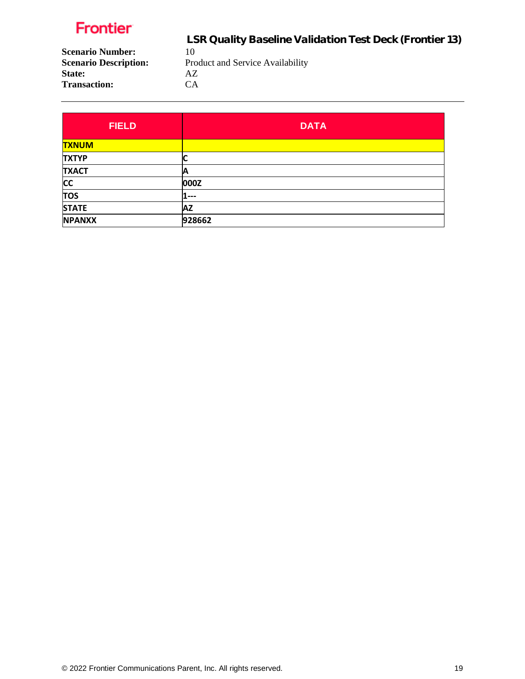LSR Quality Baseline Validation Test Deck (Frontier 13)

**Scenario Number:** 10<br>**Scenario Description:** Pro **State:** AZ **Transaction:** CA

Product and Service Availability

**FIELD DATA TXNUM TXTYP C TXACT A CC 000Z TOS 1--- STATE AZ NPANXX 928662**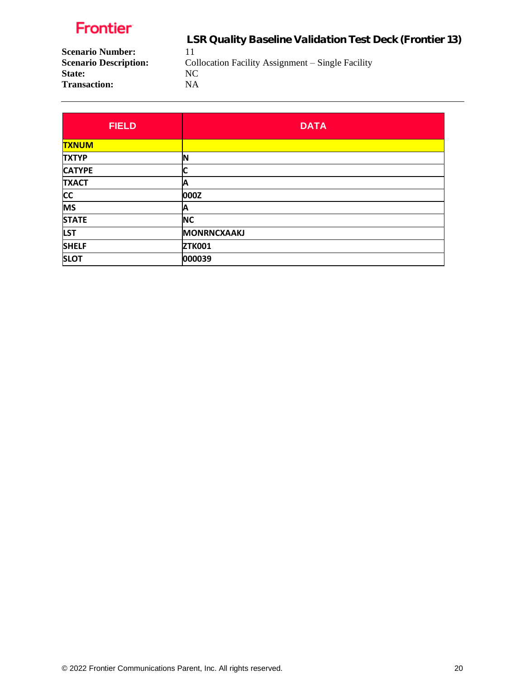**State:** 

LSR Quality Baseline Validation Test Deck (Frontier 13)

**Scenario Number:** 11<br>**Scenario Description:** Co Collocation Facility Assignment – Single Facility NC

**Transaction:** NA

| <b>FIELD</b>  | <b>DATA</b>        |
|---------------|--------------------|
| <b>TXNUM</b>  |                    |
| <b>TXTYP</b>  | ΙN                 |
| <b>CATYPE</b> |                    |
| <b>TXACT</b>  | А                  |
| <b>CC</b>     | 000Z               |
| <b>MS</b>     | Α                  |
| <b>STATE</b>  | <b>NC</b>          |
| <b>LST</b>    | <b>MONRNCXAAKJ</b> |
| <b>SHELF</b>  | <b>ZTK001</b>      |
| <b>SLOT</b>   | 000039             |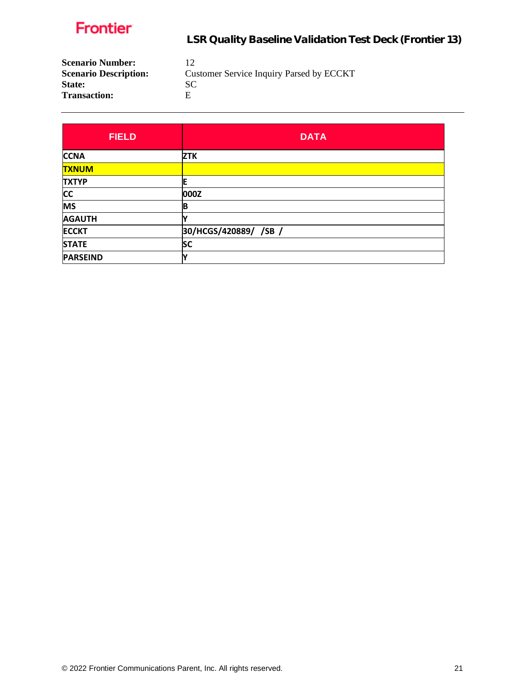

| 12                                       |
|------------------------------------------|
| Customer Service Inquiry Parsed by ECCKT |
| SC.                                      |
| н                                        |
|                                          |

| <b>FIELD</b>    | <b>DATA</b>           |
|-----------------|-----------------------|
| <b>CCNA</b>     | <b>ZTK</b>            |
| <b>TXNUM</b>    |                       |
| <b>TXTYP</b>    |                       |
| <b>CC</b>       | 000Z                  |
| <b>MS</b>       | в                     |
| <b>AGAUTH</b>   |                       |
| <b>ECCKT</b>    | 30/HCGS/420889/ /SB / |
| <b>STATE</b>    | <b>SC</b>             |
| <b>PARSEIND</b> |                       |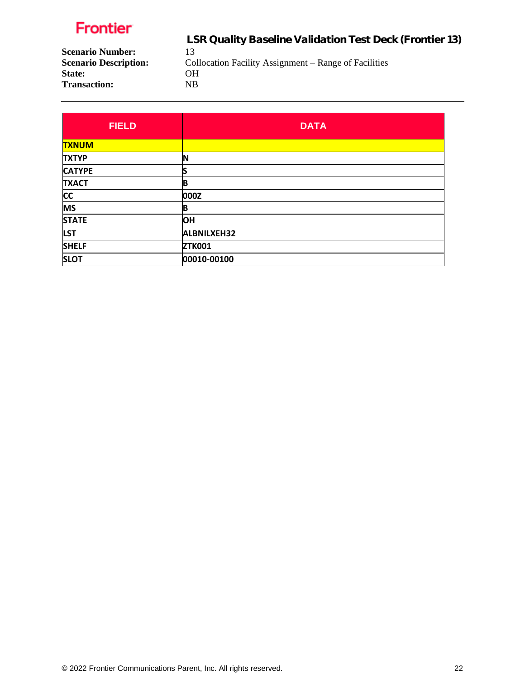**Transaction:** 

 LSR Quality Baseline Validation Test Deck (Frontier 13) **Scenario Number:** 13<br>**Scenario Description:** Co

Collocation Facility Assignment – Range of Facilities

State: OH<br>Transaction: NB

| <b>FIELD</b>  | <b>DATA</b>        |
|---------------|--------------------|
| <b>TXNUM</b>  |                    |
| <b>TXTYP</b>  |                    |
| <b>CATYPE</b> |                    |
| <b>TXACT</b>  | B                  |
| <b>CC</b>     | 000Z               |
| <b>MS</b>     | B                  |
| <b>STATE</b>  | <b>OH</b>          |
| <b>LST</b>    | <b>ALBNILXEH32</b> |
| <b>SHELF</b>  | <b>ZTK001</b>      |
| <b>SLOT</b>   | 00010-00100        |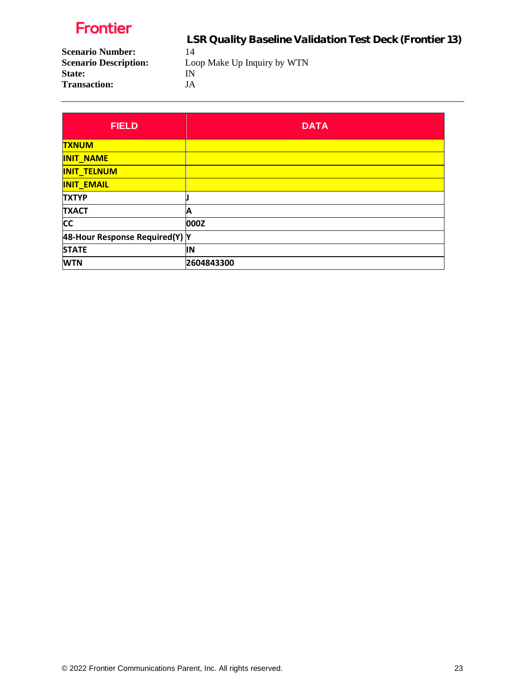LSR Quality Baseline Validation Test Deck (Frontier 13)

**Scenario Number:** 14<br>**Scenario Description:** Loo Loop Make Up Inquiry by WTN

State: **IN Transaction:** JA

| <b>FIELD</b>                   | <b>DATA</b> |
|--------------------------------|-------------|
| <b>TXNUM</b>                   |             |
| <b>INIT NAME</b>               |             |
| <b>INIT_TELNUM</b>             |             |
| <b>INIT_EMAIL</b>              |             |
| <b>TXTYP</b>                   |             |
| <b>TXACT</b>                   | Α           |
| <b>CC</b>                      | 000Z        |
| 48-Hour Response Required(Y) Y |             |
| <b>STATE</b>                   | lΝ          |
| <b>WTN</b>                     | 2604843300  |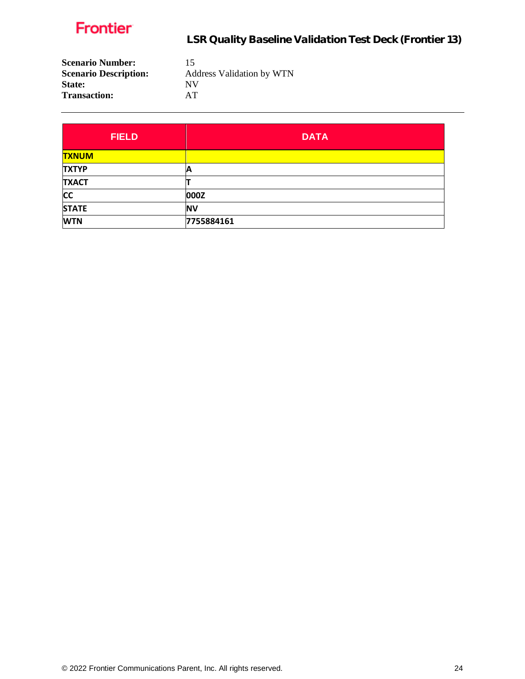| <b>Scenario Number:</b>      | 15                               |
|------------------------------|----------------------------------|
| <b>Scenario Description:</b> | <b>Address Validation by WTN</b> |
| <b>State:</b>                | <b>NV</b>                        |
| <b>Transaction:</b>          | AT.                              |

| <b>FIELD</b> | <b>DATA</b> |
|--------------|-------------|
| <b>TXNUM</b> |             |
| <b>TXTYP</b> | A           |
| <b>TXACT</b> |             |
| <b>CC</b>    | 000Z        |
| <b>STATE</b> | <b>NV</b>   |
| <b>WTN</b>   | 7755884161  |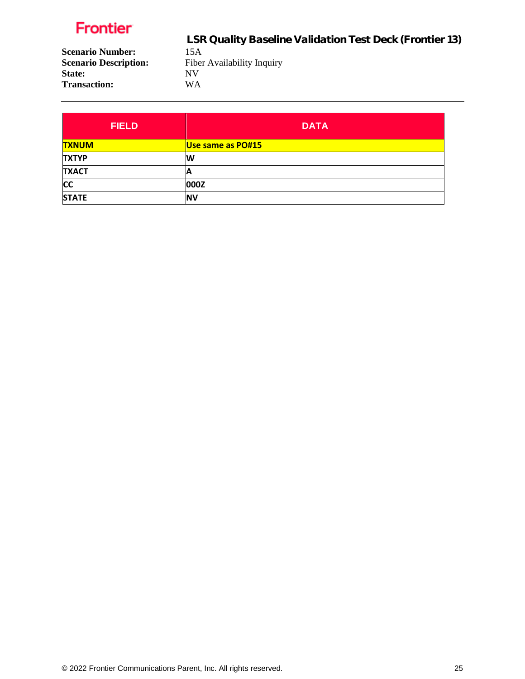**State:** 

 LSR Quality Baseline Validation Test Deck (Frontier 13) **Scenario Number:** 15A<br>**Scenario Description:** Fiber Fiber Availability Inquiry<br>NV **Transaction:** WA

| <b>FIELD</b> | <b>DATA</b>       |
|--------------|-------------------|
| <b>TXNUM</b> | Use same as PO#15 |
| <b>TXTYP</b> | W                 |
| <b>TXACT</b> | H                 |
| <b>CC</b>    | 000Z              |
| <b>STATE</b> | <b>NV</b>         |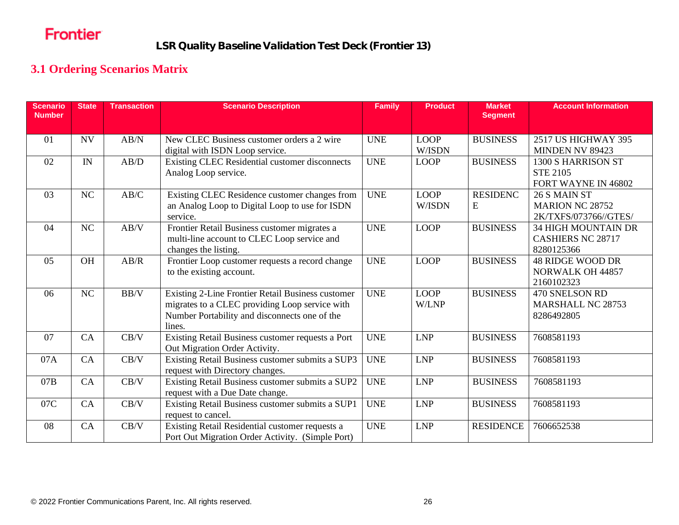LSR Quality Baseline Validation Test Deck (Frontier 13)

#### **3.1 Ordering Scenarios Matrix**

<span id="page-25-0"></span>

| <b>Scenario</b><br><b>Number</b> | <b>State</b> | <b>Transaction</b> | <b>Scenario Description</b>                       | <b>Family</b> | <b>Product</b> | <b>Market</b><br><b>Segment</b> | <b>Account Information</b>                         |
|----------------------------------|--------------|--------------------|---------------------------------------------------|---------------|----------------|---------------------------------|----------------------------------------------------|
| 01                               | <b>NV</b>    | AB/N               | New CLEC Business customer orders a 2 wire        | <b>UNE</b>    | <b>LOOP</b>    | <b>BUSINESS</b>                 | 2517 US HIGHWAY 395                                |
|                                  |              |                    | digital with ISDN Loop service.                   |               | W/ISDN         |                                 | MINDEN NV 89423                                    |
| 02                               | IN           | AB/D               | Existing CLEC Residential customer disconnects    | <b>UNE</b>    | <b>LOOP</b>    | <b>BUSINESS</b>                 | 1300 S HARRISON ST                                 |
|                                  |              |                    | Analog Loop service.                              |               |                |                                 | <b>STE 2105</b>                                    |
|                                  |              |                    |                                                   |               |                |                                 | FORT WAYNE IN 46802                                |
| 03                               | NC           | AB/C               | Existing CLEC Residence customer changes from     | <b>UNE</b>    | <b>LOOP</b>    | <b>RESIDENC</b>                 | 26 S MAIN ST                                       |
|                                  |              |                    | an Analog Loop to Digital Loop to use for ISDN    |               | W/ISDN         | E                               | <b>MARION NC 28752</b>                             |
|                                  |              |                    | service.                                          |               |                |                                 | 2K/TXFS/073766//GTES/                              |
| 04                               | NC           | AB/V               | Frontier Retail Business customer migrates a      | <b>UNE</b>    | <b>LOOP</b>    | <b>BUSINESS</b>                 | <b>34 HIGH MOUNTAIN DR</b>                         |
|                                  |              |                    | multi-line account to CLEC Loop service and       |               |                |                                 | <b>CASHIERS NC 28717</b>                           |
|                                  |              |                    | changes the listing.                              |               |                |                                 | 8280125366                                         |
| 05                               | <b>OH</b>    | AB/R               | Frontier Loop customer requests a record change   | <b>UNE</b>    | <b>LOOP</b>    | <b>BUSINESS</b>                 | <b>48 RIDGE WOOD DR</b><br><b>NORWALK OH 44857</b> |
|                                  |              |                    | to the existing account.                          |               |                |                                 | 2160102323                                         |
| 06                               | NC           | BB/V               | Existing 2-Line Frontier Retail Business customer | <b>UNE</b>    | <b>LOOP</b>    | <b>BUSINESS</b>                 | 470 SNELSON RD                                     |
|                                  |              |                    | migrates to a CLEC providing Loop service with    |               | W/LNP          |                                 | <b>MARSHALL NC 28753</b>                           |
|                                  |              |                    | Number Portability and disconnects one of the     |               |                |                                 | 8286492805                                         |
|                                  |              |                    | lines.                                            |               |                |                                 |                                                    |
| 07                               | CA           | CB/V               | Existing Retail Business customer requests a Port | <b>UNE</b>    | <b>LNP</b>     | <b>BUSINESS</b>                 | 7608581193                                         |
|                                  |              |                    | Out Migration Order Activity.                     |               |                |                                 |                                                    |
| 07A                              | CA           | CB/V               | Existing Retail Business customer submits a SUP3  | <b>UNE</b>    | <b>LNP</b>     | <b>BUSINESS</b>                 | 7608581193                                         |
|                                  |              |                    | request with Directory changes.                   |               |                |                                 |                                                    |
| 07B                              | CA           | CB/V               | Existing Retail Business customer submits a SUP2  | <b>UNE</b>    | ${\rm LNP}$    | <b>BUSINESS</b>                 | 7608581193                                         |
|                                  |              |                    | request with a Due Date change.                   |               |                |                                 |                                                    |
| 07C                              | CA           | CB/V               | Existing Retail Business customer submits a SUP1  | <b>UNE</b>    | <b>LNP</b>     | <b>BUSINESS</b>                 | 7608581193                                         |
|                                  |              |                    | request to cancel.                                |               |                |                                 |                                                    |
| 08                               | CA           | CB/V               | Existing Retail Residential customer requests a   | <b>UNE</b>    | <b>LNP</b>     | <b>RESIDENCE</b>                | 7606652538                                         |
|                                  |              |                    | Port Out Migration Order Activity. (Simple Port)  |               |                |                                 |                                                    |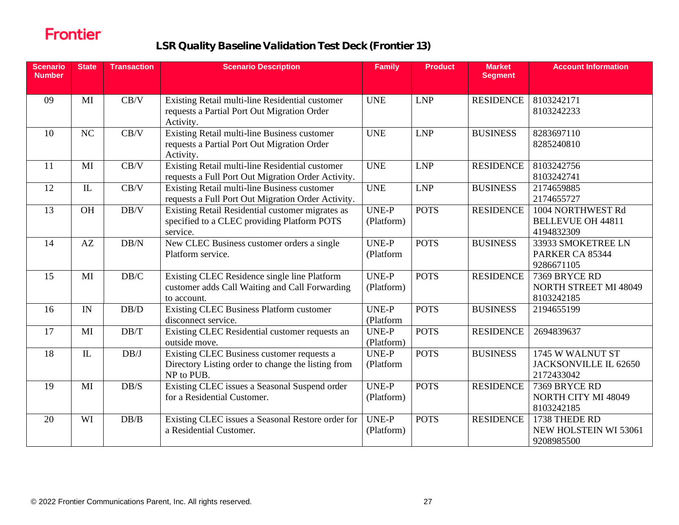| <b>Scenario</b><br><b>Number</b> | <b>State</b>             | <b>Transaction</b> | <b>Scenario Description</b>                                                                                    | <b>Family</b>              | <b>Product</b> | <b>Market</b><br><b>Segment</b> | <b>Account Information</b>                                  |
|----------------------------------|--------------------------|--------------------|----------------------------------------------------------------------------------------------------------------|----------------------------|----------------|---------------------------------|-------------------------------------------------------------|
| 09                               | MI                       | CB/V               | Existing Retail multi-line Residential customer<br>requests a Partial Port Out Migration Order<br>Activity.    | <b>UNE</b>                 | <b>LNP</b>     | RESIDENCE                       | 8103242171<br>8103242233                                    |
| 10                               | NC                       | CB/V               | Existing Retail multi-line Business customer<br>requests a Partial Port Out Migration Order<br>Activity.       | <b>UNE</b>                 | <b>LNP</b>     | <b>BUSINESS</b>                 | 8283697110<br>8285240810                                    |
| 11                               | MI                       | CB/V               | Existing Retail multi-line Residential customer<br>requests a Full Port Out Migration Order Activity.          | <b>UNE</b>                 | <b>LNP</b>     | RESIDENCE                       | 8103242756<br>8103242741                                    |
| 12                               | IL                       | CB/V               | Existing Retail multi-line Business customer<br>requests a Full Port Out Migration Order Activity.             | <b>UNE</b>                 | <b>LNP</b>     | <b>BUSINESS</b>                 | 2174659885<br>2174655727                                    |
| 13                               | OH                       | DB/V               | Existing Retail Residential customer migrates as<br>specified to a CLEC providing Platform POTS<br>service.    | <b>UNE-P</b><br>(Platform) | <b>POTS</b>    | RESIDENCE                       | 1004 NORTHWEST Rd<br><b>BELLEVUE OH 44811</b><br>4194832309 |
| 14                               | AZ                       | DB/N               | New CLEC Business customer orders a single<br>Platform service.                                                | UNE-P<br>(Platform         | <b>POTS</b>    | <b>BUSINESS</b>                 | 33933 SMOKETREE LN<br>PARKER CA 85344<br>9286671105         |
| 15                               | MI                       | $\rm DB/C$         | Existing CLEC Residence single line Platform<br>customer adds Call Waiting and Call Forwarding<br>to account.  | UNE-P<br>(Platform)        | <b>POTS</b>    | <b>RESIDENCE</b>                | 7369 BRYCE RD<br><b>NORTH STREET MI 48049</b><br>8103242185 |
| 16                               | $\ensuremath{\text{IN}}$ | $\rm DB/D$         | Existing CLEC Business Platform customer<br>disconnect service.                                                | <b>UNE-P</b><br>(Platform  | <b>POTS</b>    | <b>BUSINESS</b>                 | 2194655199                                                  |
| 17                               | MI                       | DB/T               | Existing CLEC Residential customer requests an<br>outside move.                                                | UNE-P<br>(Platform)        | <b>POTS</b>    | <b>RESIDENCE</b>                | 2694839637                                                  |
| 18                               | IL                       | DB/J               | Existing CLEC Business customer requests a<br>Directory Listing order to change the listing from<br>NP to PUB. | UNE-P<br>(Platform         | <b>POTS</b>    | <b>BUSINESS</b>                 | 1745 W WALNUT ST<br>JACKSONVILLE IL 62650<br>2172433042     |
| 19                               | MI                       | DB/S               | Existing CLEC issues a Seasonal Suspend order<br>for a Residential Customer.                                   | <b>UNE-P</b><br>(Platform) | <b>POTS</b>    | <b>RESIDENCE</b>                | 7369 BRYCE RD<br>NORTH CITY MI 48049<br>8103242185          |
| 20                               | WI                       | DB/B               | Existing CLEC issues a Seasonal Restore order for<br>a Residential Customer.                                   | UNE-P<br>(Platform)        | <b>POTS</b>    | <b>RESIDENCE</b>                | 1738 THEDE RD<br>NEW HOLSTEIN WI 53061<br>9208985500        |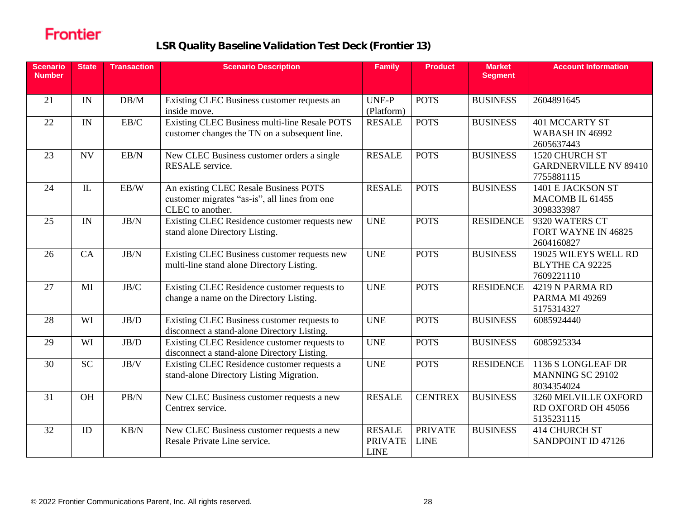| <b>Scenario</b><br><b>Number</b> | <b>State</b> | <b>Transaction</b>       | <b>Scenario Description</b>                                                                                | <b>Family</b>                                  | <b>Product</b>                | <b>Market</b><br><b>Segment</b> | <b>Account Information</b>                                    |
|----------------------------------|--------------|--------------------------|------------------------------------------------------------------------------------------------------------|------------------------------------------------|-------------------------------|---------------------------------|---------------------------------------------------------------|
| 21                               | IN           | DB/M                     | Existing CLEC Business customer requests an<br>inside move.                                                | <b>UNE-P</b><br>(Platform)                     | <b>POTS</b>                   | <b>BUSINESS</b>                 | 2604891645                                                    |
| 22                               | IN           | $\mathrm{EB}/\mathrm{C}$ | Existing CLEC Business multi-line Resale POTS<br>customer changes the TN on a subsequent line.             | <b>RESALE</b>                                  | <b>POTS</b>                   | <b>BUSINESS</b>                 | <b>401 MCCARTY ST</b><br><b>WABASH IN 46992</b><br>2605637443 |
| 23                               | <b>NV</b>    | EB/N                     | New CLEC Business customer orders a single<br>RESALE service.                                              | <b>RESALE</b>                                  | <b>POTS</b>                   | <b>BUSINESS</b>                 | 1520 CHURCH ST<br><b>GARDNERVILLE NV 89410</b><br>7755881115  |
| 24                               | IL           | EB/W                     | An existing CLEC Resale Business POTS<br>customer migrates "as-is", all lines from one<br>CLEC to another. | <b>RESALE</b>                                  | <b>POTS</b>                   | <b>BUSINESS</b>                 | 1401 E JACKSON ST<br>MACOMB IL 61455<br>3098333987            |
| 25                               | IN           | JB/N                     | Existing CLEC Residence customer requests new<br>stand alone Directory Listing.                            | <b>UNE</b>                                     | <b>POTS</b>                   | <b>RESIDENCE</b>                | 9320 WATERS CT<br>FORT WAYNE IN 46825<br>2604160827           |
| 26                               | CA           | JB/N                     | Existing CLEC Business customer requests new<br>multi-line stand alone Directory Listing.                  | <b>UNE</b>                                     | <b>POTS</b>                   | <b>BUSINESS</b>                 | 19025 WILEYS WELL RD<br><b>BLYTHE CA 92225</b><br>7609221110  |
| 27                               | MI           | JB/C                     | Existing CLEC Residence customer requests to<br>change a name on the Directory Listing.                    | <b>UNE</b>                                     | <b>POTS</b>                   | <b>RESIDENCE</b>                | 4219 N PARMA RD<br>PARMA MI 49269<br>5175314327               |
| 28                               | WI           | $\rm{JB}/\rm{D}$         | Existing CLEC Business customer requests to<br>disconnect a stand-alone Directory Listing.                 | <b>UNE</b>                                     | <b>POTS</b>                   | <b>BUSINESS</b>                 | 6085924440                                                    |
| 29                               | WI           | JB/D                     | Existing CLEC Residence customer requests to<br>disconnect a stand-alone Directory Listing.                | <b>UNE</b>                                     | <b>POTS</b>                   | <b>BUSINESS</b>                 | 6085925334                                                    |
| 30                               | <b>SC</b>    | JB/V                     | Existing CLEC Residence customer requests a<br>stand-alone Directory Listing Migration.                    | <b>UNE</b>                                     | <b>POTS</b>                   | <b>RESIDENCE</b>                | 1136 S LONGLEAF DR<br><b>MANNING SC 29102</b><br>8034354024   |
| 31                               | <b>OH</b>    | PB/N                     | New CLEC Business customer requests a new<br>Centrex service.                                              | <b>RESALE</b>                                  | <b>CENTREX</b>                | <b>BUSINESS</b>                 | 3260 MELVILLE OXFORD<br>RD OXFORD OH 45056<br>5135231115      |
| 32                               | ID           | KB/N                     | New CLEC Business customer requests a new<br>Resale Private Line service.                                  | <b>RESALE</b><br><b>PRIVATE</b><br><b>LINE</b> | <b>PRIVATE</b><br><b>LINE</b> | <b>BUSINESS</b>                 | <b>414 CHURCH ST</b><br>SANDPOINT ID 47126                    |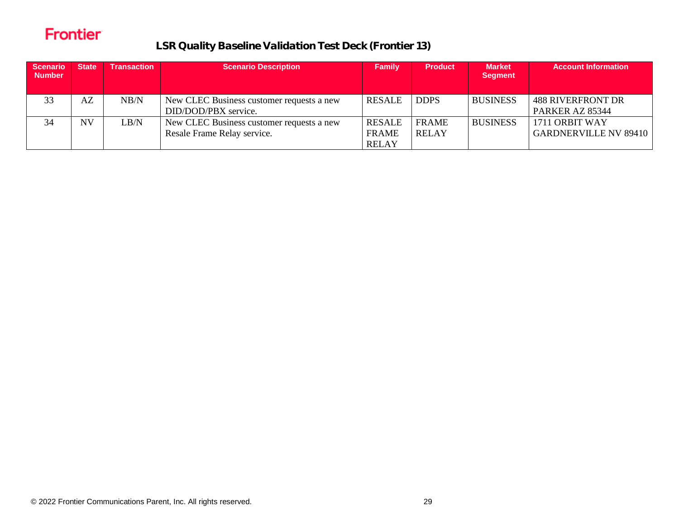| <b>Scenario</b><br><b>Number</b> | <b>State</b> | Transaction | <b>Scenario Description</b>                                              | <b>Family</b>                                 | <b>Product</b>               | <b>Market</b><br><b>Segment</b> | <b>Account Information</b>                     |
|----------------------------------|--------------|-------------|--------------------------------------------------------------------------|-----------------------------------------------|------------------------------|---------------------------------|------------------------------------------------|
| 33                               | AZ           | NB/N        | New CLEC Business customer requests a new<br>DID/DOD/PBX service.        | <b>RESALE</b>                                 | <b>DDPS</b>                  | <b>BUSINESS</b>                 | <b>488 RIVERFRONT DR</b><br>PARKER AZ 85344    |
| 34                               | <b>NV</b>    | LB/N        | New CLEC Business customer requests a new<br>Resale Frame Relay service. | <b>RESALE</b><br><b>FRAME</b><br><b>RELAY</b> | <b>FRAME</b><br><b>RELAY</b> | <b>BUSINESS</b>                 | 1711 ORBIT WAY<br><b>GARDNERVILLE NV 89410</b> |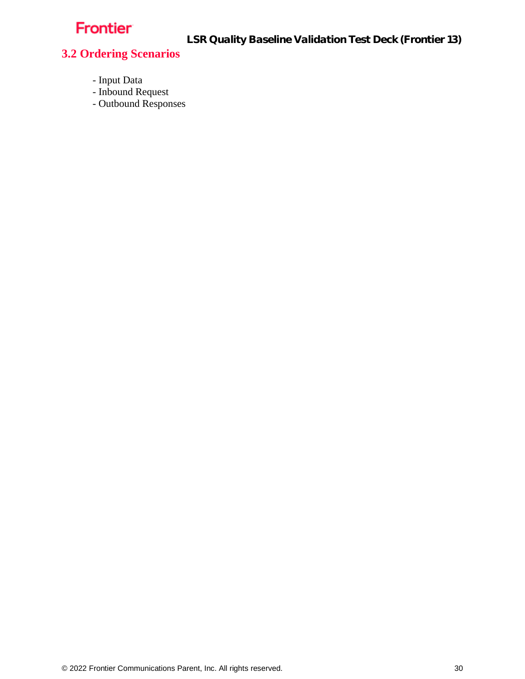LSR Quality Baseline Validation Test Deck (Frontier 13)

#### <span id="page-29-0"></span>**3.2 Ordering Scenarios**

- Input Data
- Inbound Request
- Outbound Responses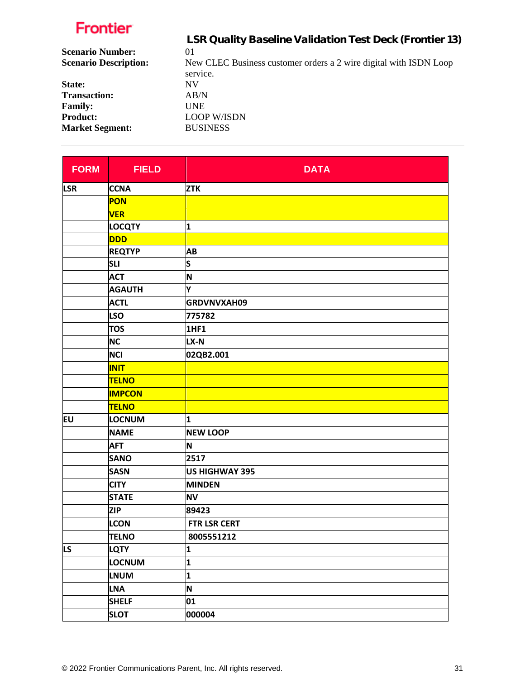|                              | LSR Quality Baseline Validation Test Deck (Frontier 13)                       |
|------------------------------|-------------------------------------------------------------------------------|
| <b>Scenario Number:</b>      | 01                                                                            |
| <b>Scenario Description:</b> | New CLEC Business customer orders a 2 wire digital with ISDN Loop<br>service. |
| State:                       | NV                                                                            |
| <b>Transaction:</b>          | AB/N                                                                          |
| <b>Family:</b>               | <b>UNE</b>                                                                    |
| <b>Product:</b>              | <b>LOOP W/ISDN</b>                                                            |
| <b>Market Segment:</b>       | <b>BUSINESS</b>                                                               |
|                              |                                                                               |

| <b>FORM</b> | <b>FIELD</b>  | <b>DATA</b>         |
|-------------|---------------|---------------------|
| <b>LSR</b>  | <b>CCNA</b>   | <b>ZTK</b>          |
|             | PON           |                     |
|             | <b>VER</b>    |                     |
|             | <b>LOCQTY</b> | 1                   |
|             | DDD           |                     |
|             | <b>REQTYP</b> | AB                  |
|             | <b>SLI</b>    | S                   |
|             | <b>ACT</b>    | N                   |
|             | <b>AGAUTH</b> | Υ                   |
|             | <b>ACTL</b>   | GRDVNVXAH09         |
|             | <b>LSO</b>    | 775782              |
|             | <b>TOS</b>    | <b>1HF1</b>         |
|             | <b>NC</b>     | LX-N                |
|             | <b>NCI</b>    | 02QB2.001           |
|             | <b>INIT</b>   |                     |
|             | <b>TELNO</b>  |                     |
|             | <b>IMPCON</b> |                     |
|             | <b>TELNO</b>  |                     |
| EU          | <b>LOCNUM</b> | 1                   |
|             | <b>NAME</b>   | <b>NEW LOOP</b>     |
|             | <b>AFT</b>    | N                   |
|             | <b>SANO</b>   | 2517                |
|             | <b>SASN</b>   | US HIGHWAY 395      |
|             | <b>CITY</b>   | <b>MINDEN</b>       |
|             | <b>STATE</b>  | <b>NV</b>           |
|             | <b>ZIP</b>    | 89423               |
|             | <b>LCON</b>   | <b>FTR LSR CERT</b> |
|             | <b>TELNO</b>  | 8005551212          |
| LS          | <b>LQTY</b>   | 1                   |
|             | LOCNUM        | 1                   |
|             | <b>LNUM</b>   | 1                   |
|             | <b>LNA</b>    | N                   |
|             | <b>SHELF</b>  | 01                  |
|             | <b>SLOT</b>   | 000004              |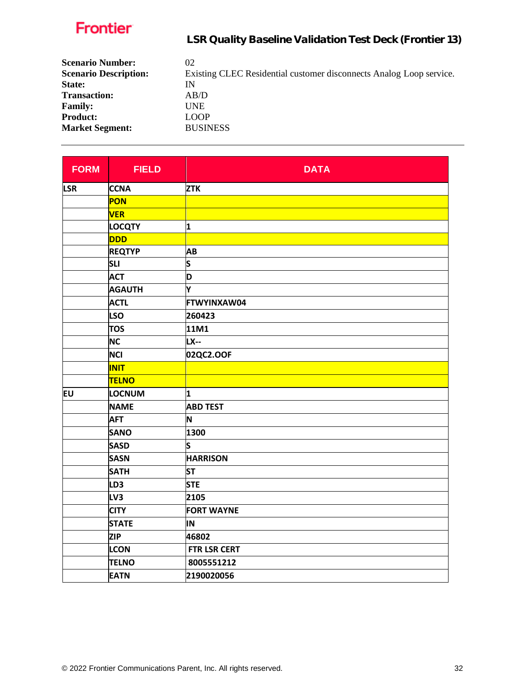LSR Quality Baseline Validation Test Deck (Frontier 13)

| <b>Scenario Number:</b>      | 02                                                                  |
|------------------------------|---------------------------------------------------------------------|
| <b>Scenario Description:</b> | Existing CLEC Residential customer disconnects Analog Loop service. |
| State:                       | IN                                                                  |
| <b>Transaction:</b>          | AB/D                                                                |
| <b>Family:</b>               | <b>UNE</b>                                                          |
| <b>Product:</b>              | <b>LOOP</b>                                                         |
| <b>Market Segment:</b>       | <b>BUSINESS</b>                                                     |

| <b>FORM</b> | <b>FIELD</b>    | <b>DATA</b>         |
|-------------|-----------------|---------------------|
| <b>LSR</b>  | <b>CCNA</b>     | <b>ZTK</b>          |
|             | PON             |                     |
|             | <b>VER</b>      |                     |
|             | <b>LOCQTY</b>   | 1                   |
|             | <b>DDD</b>      |                     |
|             | <b>REQTYP</b>   | AB                  |
|             | <b>SLI</b>      | S                   |
|             | <b>ACT</b>      | D                   |
|             | <b>AGAUTH</b>   | Υ                   |
|             | <b>ACTL</b>     | FTWYINXAW04         |
|             | <b>LSO</b>      | 260423              |
|             | <b>TOS</b>      | 11M1                |
|             | <b>NC</b>       | <b>LX--</b>         |
|             | <b>NCI</b>      | 02QC2.OOF           |
|             | <b>INIT</b>     |                     |
|             | <b>TELNO</b>    |                     |
| <b>EU</b>   | LOCNUM          | 1                   |
|             | <b>NAME</b>     | <b>ABD TEST</b>     |
|             | <b>AFT</b>      | N                   |
|             | <b>SANO</b>     | 1300                |
|             | <b>SASD</b>     | S                   |
|             | <b>SASN</b>     | <b>HARRISON</b>     |
|             | <b>SATH</b>     | <b>ST</b>           |
|             | LD <sub>3</sub> | <b>STE</b>          |
|             | LV3             | 2105                |
|             | <b>CITY</b>     | <b>FORT WAYNE</b>   |
|             | <b>STATE</b>    | IN                  |
|             | <b>ZIP</b>      | 46802               |
|             | <b>LCON</b>     | <b>FTR LSR CERT</b> |
|             | <b>TELNO</b>    | 8005551212          |
|             | <b>EATN</b>     | 2190020056          |

 $\mathbf{r}$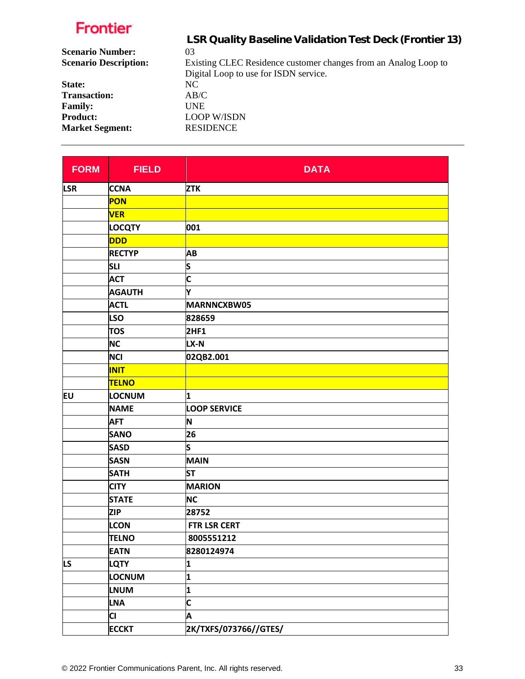|                              | LSR Quality Baseline Validation Test Deck (Frontier 13)         |
|------------------------------|-----------------------------------------------------------------|
| <b>Scenario Number:</b>      | 03                                                              |
| <b>Scenario Description:</b> | Existing CLEC Residence customer changes from an Analog Loop to |
|                              | Digital Loop to use for ISDN service.                           |
| State:                       | NC.                                                             |
| <b>Transaction:</b>          | AB/C                                                            |
| <b>Family:</b>               | UNE                                                             |
| <b>Product:</b>              | <b>LOOP W/ISDN</b>                                              |
| <b>Market Segment:</b>       | <b>RESIDENCE</b>                                                |
|                              |                                                                 |

| <b>FORM</b> | <b>FIELD</b>  | <b>DATA</b>             |
|-------------|---------------|-------------------------|
| <b>LSR</b>  | <b>CCNA</b>   | <b>ZTK</b>              |
|             | PON           |                         |
|             | <b>VER</b>    |                         |
|             | <b>LOCQTY</b> | 001                     |
|             | <b>DDD</b>    |                         |
|             | <b>RECTYP</b> | AB                      |
|             | <b>SLI</b>    | S                       |
|             | <b>ACT</b>    | C                       |
|             | <b>AGAUTH</b> | Y                       |
|             | <b>ACTL</b>   | MARNNCXBW05             |
|             | <b>LSO</b>    | 828659                  |
|             | <b>TOS</b>    | 2HF1                    |
|             | <b>NC</b>     | LX-N                    |
|             | <b>NCI</b>    | 02QB2.001               |
|             | <b>INIT</b>   |                         |
|             | <b>TELNO</b>  |                         |
| EU          | LOCNUM        | 1                       |
|             | <b>NAME</b>   | <b>LOOP SERVICE</b>     |
|             | <b>AFT</b>    | N                       |
|             | <b>SANO</b>   | 26                      |
|             | <b>SASD</b>   | S                       |
|             | <b>SASN</b>   | <b>MAIN</b>             |
|             | <b>SATH</b>   | <b>ST</b>               |
|             | <b>CITY</b>   | <b>MARION</b>           |
|             | <b>STATE</b>  | <b>NC</b>               |
|             | <b>ZIP</b>    | 28752                   |
|             | <b>LCON</b>   | <b>FTR LSR CERT</b>     |
|             | <b>TELNO</b>  | 8005551212              |
|             | <b>EATN</b>   | 8280124974              |
| LS          | <b>LQTY</b>   | 1                       |
|             | LOCNUM        | $\overline{\mathbf{1}}$ |
|             | <b>LNUM</b>   | 1                       |
|             | <b>LNA</b>    | C                       |
|             | CI            | A                       |
|             | <b>ECCKT</b>  | 2K/TXFS/073766//GTES/   |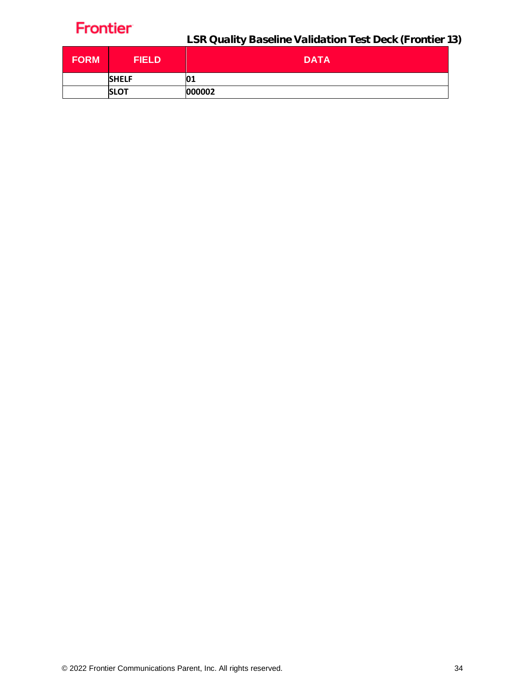| <b>FORM</b> | <b>FIELD</b> | <b>DATA</b> |
|-------------|--------------|-------------|
|             | <b>SHELF</b> | 01          |
|             | <b>SLOT</b>  | 000002      |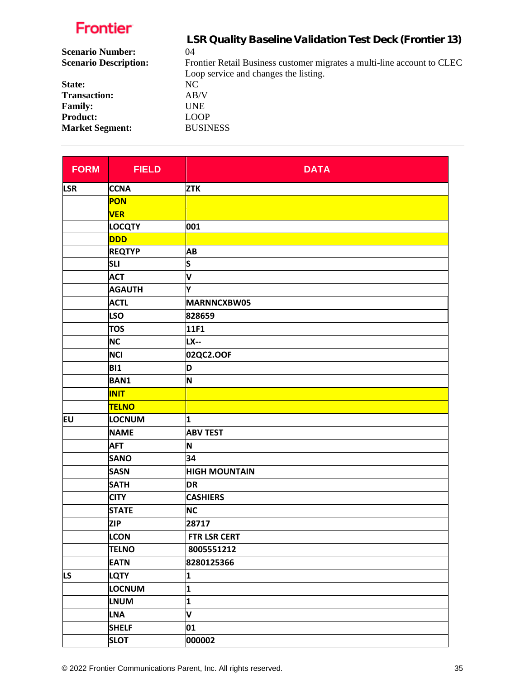|                              | LSR Quality Baseline Validation Test Deck (Frontier 13)                 |
|------------------------------|-------------------------------------------------------------------------|
| <b>Scenario Number:</b>      | 04                                                                      |
| <b>Scenario Description:</b> | Frontier Retail Business customer migrates a multi-line account to CLEC |
|                              | Loop service and changes the listing.                                   |
| State:                       | NC.                                                                     |
| <b>Transaction:</b>          | AB/V                                                                    |
| <b>Family:</b>               | <b>UNE</b>                                                              |
| <b>Product:</b>              | <b>LOOP</b>                                                             |
| <b>Market Segment:</b>       | <b>BUSINESS</b>                                                         |
|                              |                                                                         |

| <b>FORM</b> | <b>FIELD</b>  | <b>DATA</b>          |
|-------------|---------------|----------------------|
| <b>LSR</b>  | <b>CCNA</b>   | <b>ZTK</b>           |
|             | PON           |                      |
|             | <b>VER</b>    |                      |
|             | <b>LOCQTY</b> | 001                  |
|             | <b>DDD</b>    |                      |
|             | <b>REQTYP</b> | AB                   |
|             | <b>SLI</b>    | S                    |
|             | <b>ACT</b>    | V                    |
|             | <b>AGAUTH</b> | Y                    |
|             | <b>ACTL</b>   | MARNNCXBW05          |
|             | <b>LSO</b>    | 828659               |
|             | <b>TOS</b>    | 11F1                 |
|             | <b>NC</b>     | <b>LX--</b>          |
|             | <b>NCI</b>    | 02QC2.OOF            |
|             | <b>BI1</b>    | D                    |
|             | <b>BAN1</b>   | N                    |
|             | <b>INIT</b>   |                      |
|             | <b>TELNO</b>  |                      |
| EU          | LOCNUM        | 1                    |
|             | <b>NAME</b>   | <b>ABV TEST</b>      |
|             | <b>AFT</b>    | N                    |
|             | <b>SANO</b>   | 34                   |
|             | <b>SASN</b>   | <b>HIGH MOUNTAIN</b> |
|             | <b>SATH</b>   | <b>DR</b>            |
|             | <b>CITY</b>   | <b>CASHIERS</b>      |
|             | <b>STATE</b>  | <b>NC</b>            |
|             | <b>ZIP</b>    | 28717                |
|             | <b>LCON</b>   | FTR LSR CERT         |
|             | <b>TELNO</b>  | 8005551212           |
|             | <b>EATN</b>   | 8280125366           |
| LS.         | LQTY          | 1                    |
|             | LOCNUM        | 1                    |
|             | <b>LNUM</b>   | 1                    |
|             | <b>LNA</b>    | V                    |
|             | <b>SHELF</b>  | 01                   |
|             | <b>SLOT</b>   | 000002               |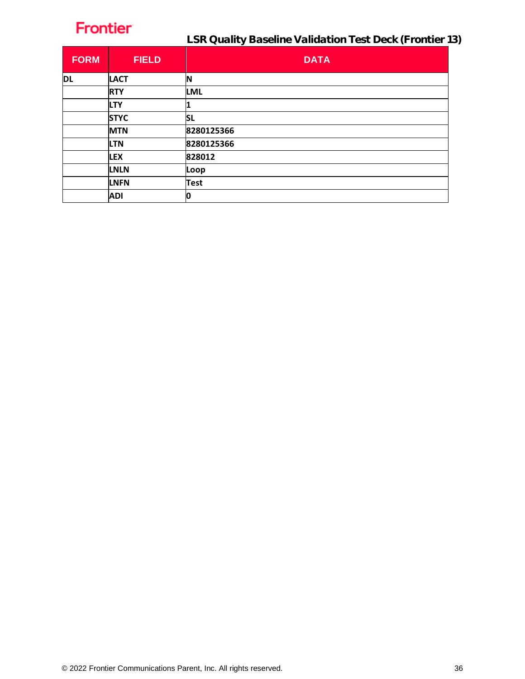| <b>FORM</b> | <b>FIELD</b> | <b>DATA</b> |
|-------------|--------------|-------------|
| <b>DL</b>   | <b>LACT</b>  | N           |
|             | <b>RTY</b>   | <b>LML</b>  |
|             | <b>LTY</b>   |             |
|             | <b>STYC</b>  | <b>SL</b>   |
|             | <b>MTN</b>   | 8280125366  |
|             | <b>LTN</b>   | 8280125366  |
|             | <b>LEX</b>   | 828012      |
|             | <b>LNLN</b>  | Loop        |
|             | <b>LNFN</b>  | <b>Test</b> |
|             | <b>ADI</b>   | 0           |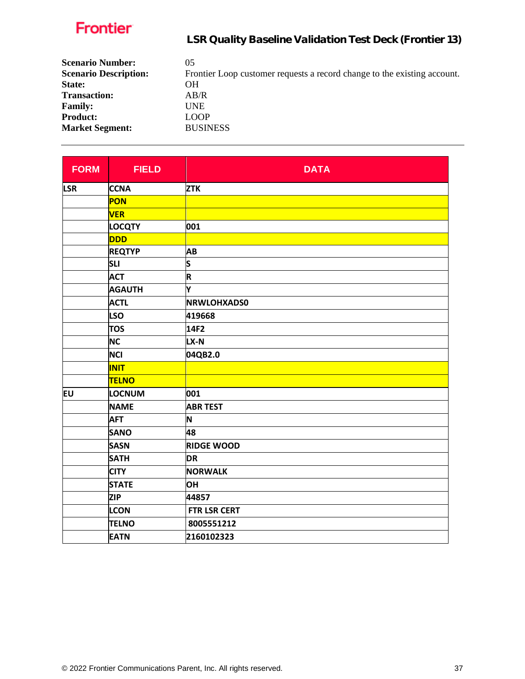| <b>Scenario Number:</b><br><b>Scenario Description:</b> | 05<br>Frontier Loop customer requests a record change to the existing account. |
|---------------------------------------------------------|--------------------------------------------------------------------------------|
| State:                                                  | OН                                                                             |
| <b>Transaction:</b>                                     | AB/R                                                                           |
| <b>Family:</b>                                          | UNE                                                                            |
| <b>Product:</b>                                         | <b>LOOP</b>                                                                    |
| <b>Market Segment:</b>                                  | <b>BUSINESS</b>                                                                |

| <b>FIELD</b>  | <b>DATA</b>         |
|---------------|---------------------|
| <b>CCNA</b>   | <b>ZTK</b>          |
| <b>PON</b>    |                     |
| <b>VER</b>    |                     |
| <b>LOCQTY</b> | 001                 |
| <b>DDD</b>    |                     |
| <b>REQTYP</b> | AB                  |
| <b>SLI</b>    | S                   |
| <b>ACT</b>    | R                   |
| <b>AGAUTH</b> | Υ                   |
| <b>ACTL</b>   | <b>NRWLOHXADS0</b>  |
| <b>LSO</b>    | 419668              |
| <b>TOS</b>    | 14F2                |
| <b>NC</b>     | LX-N                |
| <b>NCI</b>    | 04QB2.0             |
| <b>INIT</b>   |                     |
| <b>TELNO</b>  |                     |
| LOCNUM        | 001                 |
| <b>NAME</b>   | <b>ABR TEST</b>     |
| <b>AFT</b>    | N                   |
| <b>SANO</b>   | 48                  |
| <b>SASN</b>   | <b>RIDGE WOOD</b>   |
| <b>SATH</b>   | <b>DR</b>           |
| <b>CITY</b>   | <b>NORWALK</b>      |
| <b>STATE</b>  | <b>OH</b>           |
| <b>ZIP</b>    | 44857               |
| <b>LCON</b>   | <b>FTR LSR CERT</b> |
| <b>TELNO</b>  | 8005551212          |
| <b>EATN</b>   | 2160102323          |
|               |                     |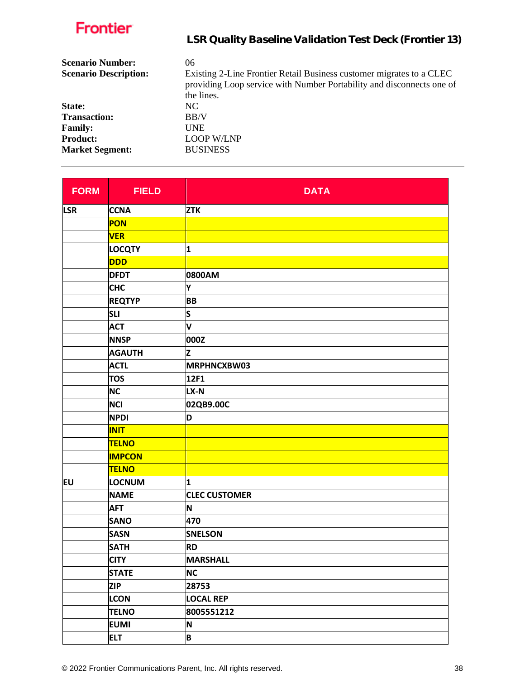| Frontier                     | LSR Quality Baseline Validation Test Deck (Frontier 13)                                                                                                     |
|------------------------------|-------------------------------------------------------------------------------------------------------------------------------------------------------------|
| <b>Scenario Number:</b>      | 06                                                                                                                                                          |
| <b>Scenario Description:</b> | Existing 2-Line Frontier Retail Business customer migrates to a CLEC<br>providing Loop service with Number Portability and disconnects one of<br>the lines. |
| State:                       | NC.                                                                                                                                                         |
| <b>Transaction:</b>          | BB/V                                                                                                                                                        |
| <b>Family:</b>               | <b>UNE</b>                                                                                                                                                  |
| <b>Product:</b>              | <b>LOOP W/LNP</b>                                                                                                                                           |
| <b>Market Segment:</b>       | <b>BUSINESS</b>                                                                                                                                             |
|                              |                                                                                                                                                             |

| <b>FORM</b> | <b>FIELD</b>  | <b>DATA</b>          |
|-------------|---------------|----------------------|
| <b>LSR</b>  | <b>CCNA</b>   | <b>ZTK</b>           |
|             | PON           |                      |
|             | <b>VER</b>    |                      |
|             | <b>LOCQTY</b> | 1                    |
|             | <b>DDD</b>    |                      |
|             | <b>DFDT</b>   | 0800AM               |
|             | <b>CHC</b>    | Υ                    |
|             | <b>REQTYP</b> | <b>BB</b>            |
|             | <b>SLI</b>    | s                    |
|             | <b>ACT</b>    | V                    |
|             | <b>NNSP</b>   | 000Z                 |
|             | <b>AGAUTH</b> | Z                    |
|             | <b>ACTL</b>   | MRPHNCXBW03          |
|             | <b>TOS</b>    | 12F1                 |
|             | <b>NC</b>     | LX-N                 |
|             | <b>NCI</b>    | 02QB9.00C            |
|             | <b>NPDI</b>   | D                    |
|             | <b>INIT</b>   |                      |
|             | <b>TELNO</b>  |                      |
|             | <b>IMPCON</b> |                      |
|             | <b>TELNO</b>  |                      |
| <b>EU</b>   | LOCNUM        | 1                    |
|             | <b>NAME</b>   | <b>CLEC CUSTOMER</b> |
|             | <b>AFT</b>    | N                    |
|             | <b>SANO</b>   | 470                  |
|             | <b>SASN</b>   | <b>SNELSON</b>       |
|             | <b>SATH</b>   | <b>RD</b>            |
|             | <b>CITY</b>   | <b>MARSHALL</b>      |
|             | <b>STATE</b>  | <b>NC</b>            |
|             | <b>ZIP</b>    | 28753                |
|             | <b>LCON</b>   | <b>LOCAL REP</b>     |
|             | <b>TELNO</b>  | 8005551212           |
|             | <b>EUMI</b>   | N                    |
|             | <b>ELT</b>    | B                    |

L,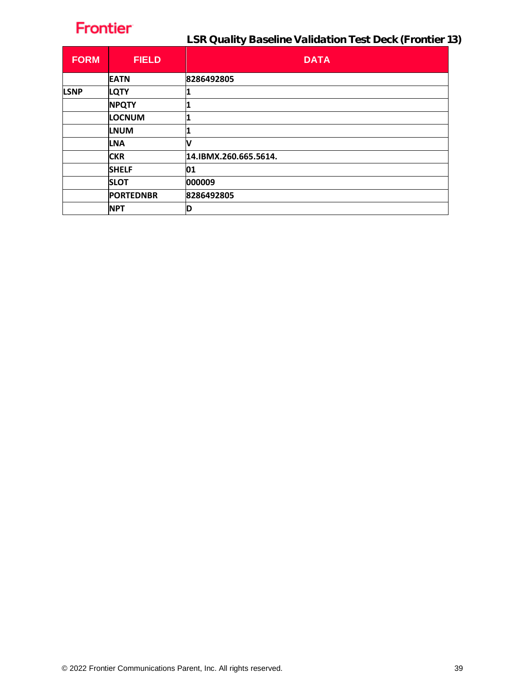| <b>FORM</b> | <b>FIELD</b>     | <b>DATA</b>           |
|-------------|------------------|-----------------------|
|             | <b>EATN</b>      | 8286492805            |
| <b>LSNP</b> | <b>LQTY</b>      |                       |
|             | <b>NPQTY</b>     |                       |
|             | LOCNUM           |                       |
|             | <b>LNUM</b>      |                       |
|             | <b>LNA</b>       | V                     |
|             | <b>CKR</b>       | 14.IBMX.260.665.5614. |
|             | <b>SHELF</b>     | 01                    |
|             | <b>SLOT</b>      | 000009                |
|             | <b>PORTEDNBR</b> | 8286492805            |
|             | <b>NPT</b>       | D                     |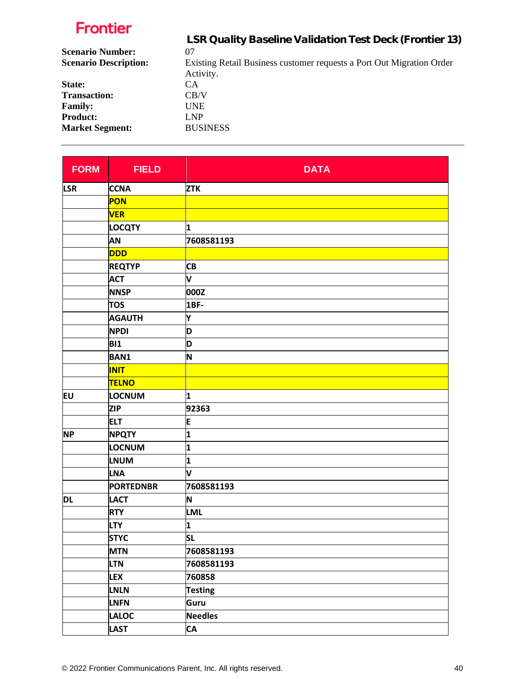|                              | LSR Quality Baseline Validation Test Deck (Frontier 13)                            |
|------------------------------|------------------------------------------------------------------------------------|
| <b>Scenario Number:</b>      | 07                                                                                 |
| <b>Scenario Description:</b> | Existing Retail Business customer requests a Port Out Migration Order<br>Activity. |
| State:                       | CA.                                                                                |
| <b>Transaction:</b>          | CB/V                                                                               |
| <b>Family:</b>               | <b>UNE</b>                                                                         |
| <b>Product:</b>              | LNP                                                                                |
| <b>Market Segment:</b>       | <b>BUSINESS</b>                                                                    |
|                              |                                                                                    |

| <b>FORM</b> | <b>FIELD</b>     | <b>DATA</b>    |
|-------------|------------------|----------------|
| <b>LSR</b>  | <b>CCNA</b>      | <b>ZTK</b>     |
|             | PON              |                |
|             | <b>VER</b>       |                |
|             | <b>LOCQTY</b>    | 1              |
|             | AN               | 7608581193     |
|             | <b>DDD</b>       |                |
|             | <b>REQTYP</b>    | <b>CB</b>      |
|             | <b>ACT</b>       | V              |
|             | <b>NNSP</b>      | 000Z           |
|             | <b>TOS</b>       | 1BF-           |
|             | <b>AGAUTH</b>    | Υ              |
|             | <b>NPDI</b>      | D              |
|             | <b>BI1</b>       | D              |
|             | <b>BAN1</b>      | N              |
|             | <b>INIT</b>      |                |
|             | <b>TELNO</b>     |                |
| EU          | <b>LOCNUM</b>    | 1              |
|             | <b>ZIP</b>       | 92363          |
|             | <b>ELT</b>       | E              |
| <b>NP</b>   | <b>NPQTY</b>     | 1              |
|             | LOCNUM           | 1              |
|             | <b>LNUM</b>      | 1              |
|             | <b>LNA</b>       | V              |
|             | <b>PORTEDNBR</b> | 7608581193     |
| DL          | <b>LACT</b>      | N              |
|             | <b>RTY</b>       | <b>LML</b>     |
|             | <b>LTY</b>       | 1              |
|             | <b>STYC</b>      | <b>SL</b>      |
|             | <b>MTN</b>       | 7608581193     |
|             | <b>LTN</b>       | 7608581193     |
|             | <b>LEX</b>       | 760858         |
|             | LNLN             | <b>Testing</b> |
|             | <b>LNFN</b>      | Guru           |
|             | <b>LALOC</b>     | <b>Needles</b> |
|             | <b>LAST</b>      | <b>CA</b>      |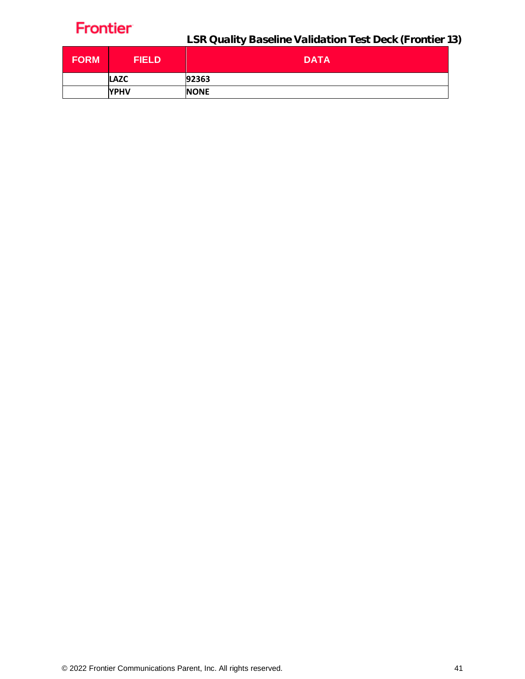| <b>FORM</b> | <b>FIELD</b> | <b>DATA</b> |
|-------------|--------------|-------------|
|             | <b>LAZC</b>  | 92363       |
|             | <b>YPHV</b>  | <b>NONE</b> |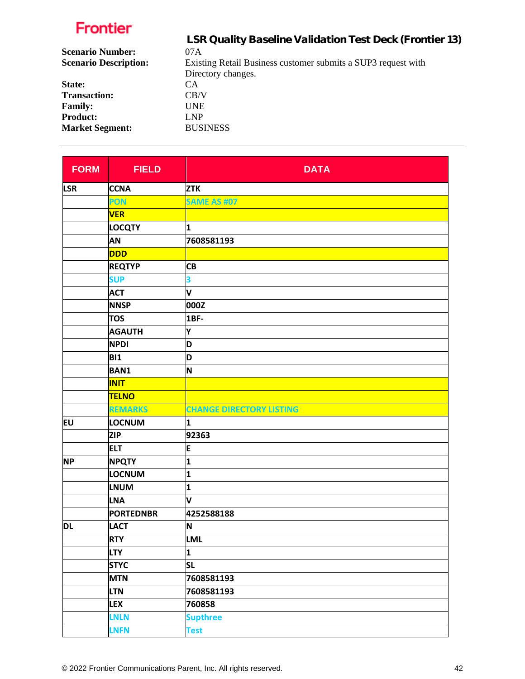|                              | LSR Quality Baseline Validation Test Deck (Frontier 13)       |
|------------------------------|---------------------------------------------------------------|
| <b>Scenario Number:</b>      | 07A                                                           |
| <b>Scenario Description:</b> | Existing Retail Business customer submits a SUP3 request with |
|                              | Directory changes.                                            |
| State:                       | CA.                                                           |
| <b>Transaction:</b>          | CB/V                                                          |
| <b>Family:</b>               | <b>UNE</b>                                                    |
| <b>Product:</b>              | LNP                                                           |
| <b>Market Segment:</b>       | <b>BUSINESS</b>                                               |
|                              |                                                               |

| <b>FORM</b> | <b>FIELD</b>     | <b>DATA</b>                     |
|-------------|------------------|---------------------------------|
| <b>LSR</b>  | <b>CCNA</b>      | <b>ZTK</b>                      |
|             | PON              | <b>SAME AS #07</b>              |
|             | <b>VER</b>       |                                 |
|             | <b>LOCQTY</b>    | 1                               |
|             | AN               | 7608581193                      |
|             | <b>DDD</b>       |                                 |
|             | <b>REQTYP</b>    | <b>CB</b>                       |
|             | <b>SUP</b>       | 3                               |
|             | <b>ACT</b>       | V                               |
|             | <b>NNSP</b>      | 000Z                            |
|             | <b>TOS</b>       | 1BF-                            |
|             | <b>AGAUTH</b>    | Υ                               |
|             | <b>NPDI</b>      | D                               |
|             | <b>BI1</b>       | D                               |
|             | <b>BAN1</b>      | N                               |
|             | <b>INIT</b>      |                                 |
|             | <b>TELNO</b>     |                                 |
|             | <b>REMARKS</b>   | <b>CHANGE DIRECTORY LISTING</b> |
| EU          | LOCNUM           | 1                               |
|             | <b>ZIP</b>       | 92363                           |
|             | <b>ELT</b>       | E                               |
| <b>NP</b>   | <b>NPQTY</b>     | 1                               |
|             | LOCNUM           | 1                               |
|             | <b>LNUM</b>      | 1                               |
|             | <b>LNA</b>       | V                               |
|             | <b>PORTEDNBR</b> | 4252588188                      |
| <b>DL</b>   | <b>LACT</b>      | N                               |
|             | <b>RTY</b>       | LML                             |
|             | <b>LTY</b>       | 1                               |
|             | <b>STYC</b>      | <b>SL</b>                       |
|             | <b>MTN</b>       | 7608581193                      |
|             | <b>LTN</b>       | 7608581193                      |
|             | <b>LEX</b>       | 760858                          |
|             | <b>LNLN</b>      | <b>Supthree</b>                 |
|             | <b>LNFN</b>      | <b>Test</b>                     |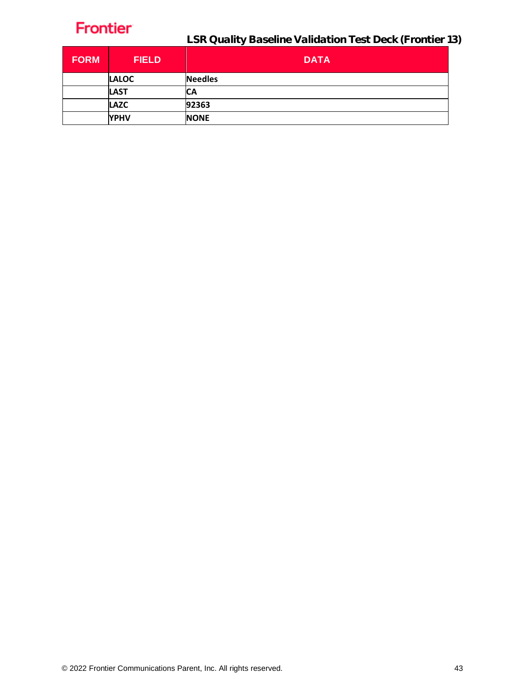

LSR Quality Baseline Validation Test Deck (Frontier 13)

| <b>FORM</b> | <b>FIELD</b> | <b>DATA</b>    |
|-------------|--------------|----------------|
|             | <b>LALOC</b> | <b>Needles</b> |
|             | <b>LAST</b>  | СA             |
|             | <b>LAZC</b>  | 92363          |
|             | <b>YPHV</b>  | <b>NONE</b>    |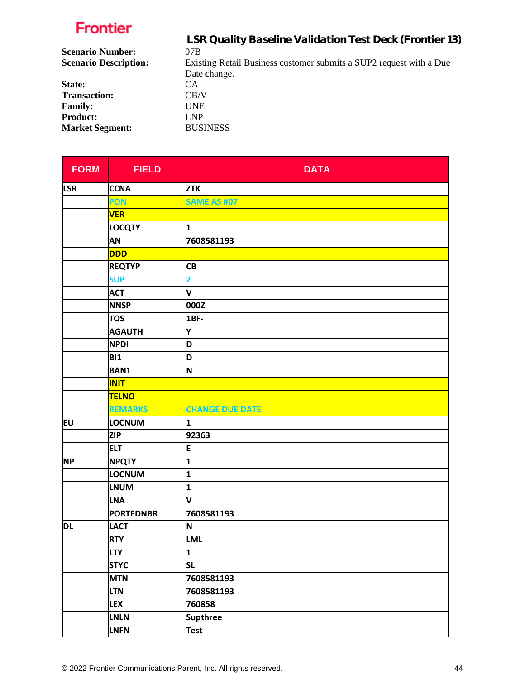| LSR Quality Baseline Validation Test Deck (Frontier 13)             |
|---------------------------------------------------------------------|
| 07B                                                                 |
| Existing Retail Business customer submits a SUP2 request with a Due |
| Date change.                                                        |
| <b>CA</b>                                                           |
| CB/V                                                                |
| <b>UNE</b>                                                          |
| LNP                                                                 |
| <b>BUSINESS</b>                                                     |
|                                                                     |

| <b>FORM</b> | <b>FIELD</b>     | <b>DATA</b>            |
|-------------|------------------|------------------------|
| <b>LSR</b>  | <b>CCNA</b>      | <b>ZTK</b>             |
|             | PON              | <b>SAME AS #07</b>     |
|             | <b>VER</b>       |                        |
|             | <b>LOCQTY</b>    | 1                      |
|             | AN               | 7608581193             |
|             | <b>DDD</b>       |                        |
|             | <b>REQTYP</b>    | <b>CB</b>              |
|             | <b>SUP</b>       | 2                      |
|             | <b>ACT</b>       | V                      |
|             | <b>NNSP</b>      | 000Z                   |
|             | <b>TOS</b>       | 1BF-                   |
|             | <b>AGAUTH</b>    | Y                      |
|             | <b>NPDI</b>      | D                      |
|             | <b>BI1</b>       | D                      |
|             | <b>BAN1</b>      | N                      |
|             | <b>INIT</b>      |                        |
|             | <b>TELNO</b>     |                        |
|             | <b>REMARKS</b>   | <b>CHANGE DUE DATE</b> |
| <b>EU</b>   | LOCNUM           | 1                      |
|             | <b>ZIP</b>       | 92363                  |
|             | <b>ELT</b>       | E                      |
| <b>NP</b>   | <b>NPQTY</b>     | 1                      |
|             | LOCNUM           | 1                      |
|             | <b>LNUM</b>      | 1                      |
|             | <b>LNA</b>       | V                      |
|             | <b>PORTEDNBR</b> | 7608581193             |
| DL          | <b>LACT</b>      | N                      |
|             | <b>RTY</b>       | <b>LML</b>             |
|             | <b>LTY</b>       | 1                      |
|             | <b>STYC</b>      | <b>SL</b>              |
|             | <b>MTN</b>       | 7608581193             |
|             | <b>LTN</b>       | 7608581193             |
|             | <b>LEX</b>       | 760858                 |
|             | <b>LNLN</b>      | <b>Supthree</b>        |
|             | LNFN             | <b>Test</b>            |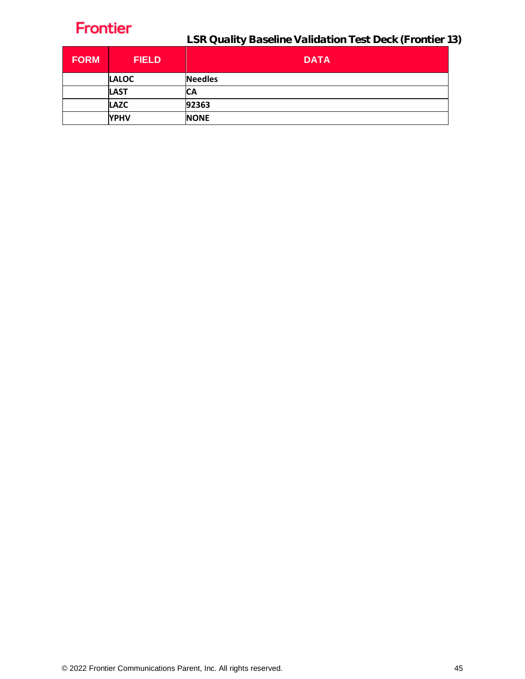

LSR Quality Baseline Validation Test Deck (Frontier 13)

| <b>FORM</b> | <b>FIELD</b> | <b>DATA</b>    |
|-------------|--------------|----------------|
|             | <b>LALOC</b> | <b>Needles</b> |
|             | <b>LAST</b>  | СA             |
|             | <b>LAZC</b>  | 92363          |
|             | <b>YPHV</b>  | <b>NONE</b>    |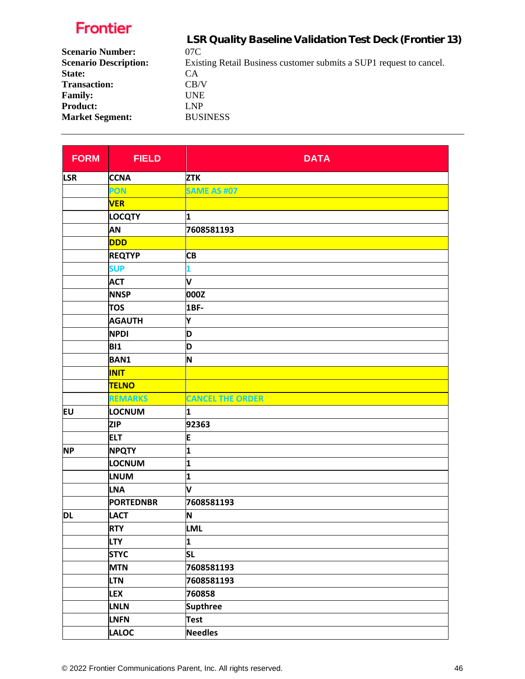|                              | LSR Quality Baseline Validation Test Deck (Frontier 13)             |
|------------------------------|---------------------------------------------------------------------|
| <b>Scenario Number:</b>      | 07C                                                                 |
| <b>Scenario Description:</b> | Existing Retail Business customer submits a SUP1 request to cancel. |
| State:                       | CA.                                                                 |
| <b>Transaction:</b>          | CB/V                                                                |
| <b>Family:</b>               | UNE                                                                 |
| <b>Product:</b>              | LNP                                                                 |
| <b>Market Segment:</b>       | <b>BUSINESS</b>                                                     |
|                              |                                                                     |

| <b>FORM</b> | <b>FIELD</b>     | <b>DATA</b>             |
|-------------|------------------|-------------------------|
| <b>LSR</b>  | <b>CCNA</b>      | <b>ZTK</b>              |
|             | PON              | <b>SAME AS #07</b>      |
|             | <b>VER</b>       |                         |
|             | <b>LOCQTY</b>    | 1                       |
|             | AN               | 7608581193              |
|             | <b>DDD</b>       |                         |
|             | <b>REQTYP</b>    | <b>CB</b>               |
|             | <b>SUP</b>       | 1                       |
|             | <b>ACT</b>       | V                       |
|             | <b>NNSP</b>      | 000Z                    |
|             | <b>TOS</b>       | 1BF-                    |
|             | <b>AGAUTH</b>    | Y                       |
|             | <b>NPDI</b>      | D                       |
|             | <b>BI1</b>       | D                       |
|             | <b>BAN1</b>      | N                       |
|             | <b>INIT</b>      |                         |
|             | <b>TELNO</b>     |                         |
|             | <b>REMARKS</b>   | <b>CANCEL THE ORDER</b> |
| EU          | LOCNUM           | 1                       |
|             | <b>ZIP</b>       | 92363                   |
|             | <b>ELT</b>       | E                       |
| <b>NP</b>   | <b>NPQTY</b>     | 1                       |
|             | LOCNUM           | 1                       |
|             | <b>LNUM</b>      | 1                       |
|             | <b>LNA</b>       | V                       |
|             | <b>PORTEDNBR</b> | 7608581193              |
| <b>DL</b>   | <b>LACT</b>      | N                       |
|             | <b>RTY</b>       | LML                     |
|             | <b>LTY</b>       | 1                       |
|             | <b>STYC</b>      | <b>SL</b>               |
|             | <b>MTN</b>       | 7608581193              |
|             | <b>LTN</b>       | 7608581193              |
|             | <b>LEX</b>       | 760858                  |
|             | <b>LNLN</b>      | <b>Supthree</b>         |
|             | <b>LNFN</b>      | Test                    |
|             | <b>LALOC</b>     | <b>Needles</b>          |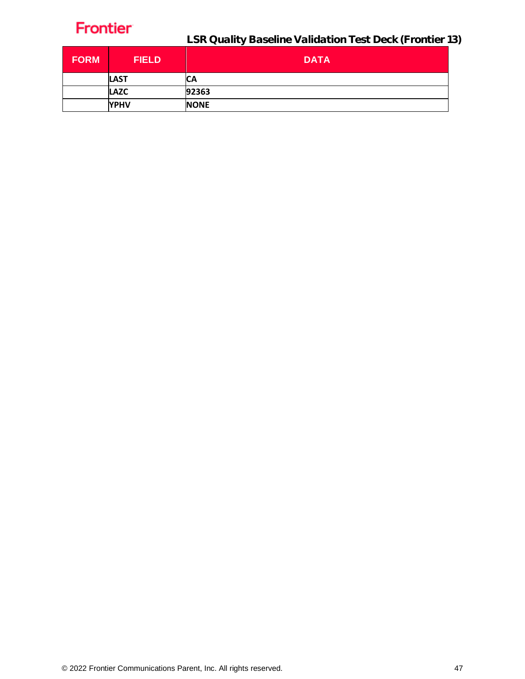| <b>FORM</b> | <b>FIELD</b> | <b>DATA</b> |
|-------------|--------------|-------------|
|             | <b>LAST</b>  | СA          |
|             | <b>LAZC</b>  | 92363       |
|             | <b>YPHV</b>  | <b>NONE</b> |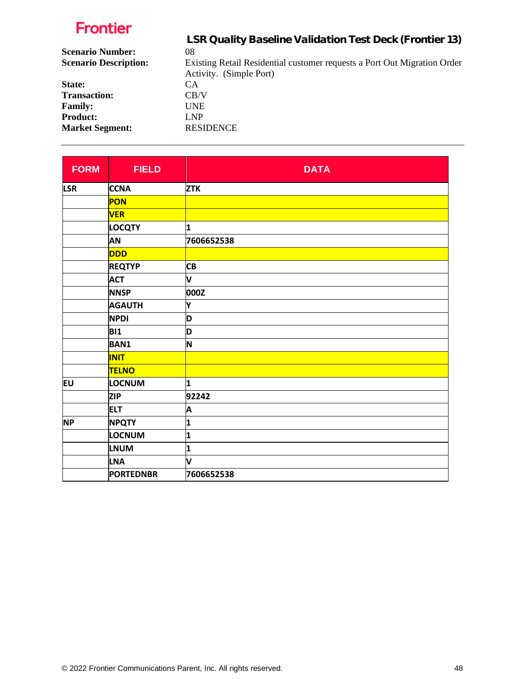| LSR Quality Baseline Validation Test Deck (Frontier 13)                  |
|--------------------------------------------------------------------------|
| 08                                                                       |
| Existing Retail Residential customer requests a Port Out Migration Order |
| Activity. (Simple Port)                                                  |
| <b>CA</b>                                                                |
| CB/V                                                                     |
| UNE.                                                                     |
| <b>LNP</b>                                                               |
| <b>RESIDENCE</b>                                                         |
|                                                                          |

| <b>FORM</b> | <b>FIELD</b>     | <b>DATA</b>  |
|-------------|------------------|--------------|
| <b>LSR</b>  | <b>CCNA</b>      | <b>ZTK</b>   |
|             | PON              |              |
|             | <b>VER</b>       |              |
|             | <b>LOCQTY</b>    | 1            |
|             | <b>AN</b>        | 7606652538   |
|             | <b>DDD</b>       |              |
|             | <b>REQTYP</b>    | <b>CB</b>    |
|             | <b>ACT</b>       | V            |
|             | <b>NNSP</b>      | 000Z         |
|             | <b>AGAUTH</b>    | Υ            |
|             | <b>NPDI</b>      | D            |
|             | <b>BI1</b>       | D            |
|             | <b>BAN1</b>      | N            |
|             | <b>INIT</b>      |              |
|             | <b>TELNO</b>     |              |
| <b>EU</b>   | <b>LOCNUM</b>    | 1            |
|             | <b>ZIP</b>       | 92242        |
|             | <b>ELT</b>       | A            |
| <b>NP</b>   | <b>NPQTY</b>     | $\mathbf{1}$ |
|             | LOCNUM           | 1            |
|             | <b>LNUM</b>      | 1            |
|             | <b>LNA</b>       | V            |
|             | <b>PORTEDNBR</b> | 7606652538   |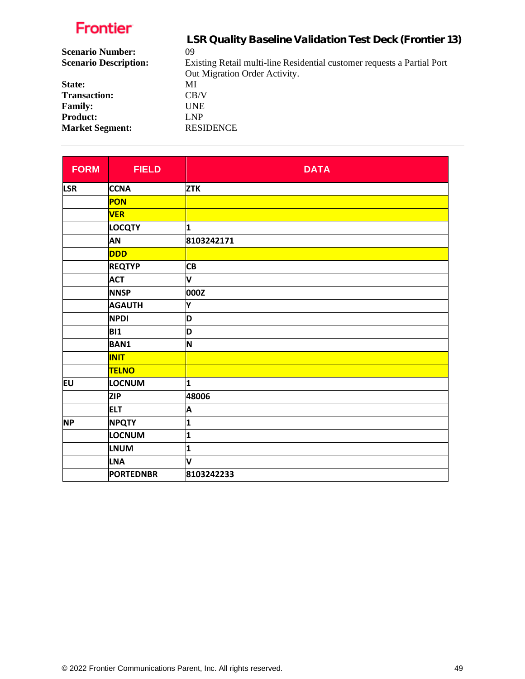|                              | LSR Quality Baseline Validation Test Deck (Frontier 13)                 |
|------------------------------|-------------------------------------------------------------------------|
| <b>Scenario Number:</b>      | 09                                                                      |
| <b>Scenario Description:</b> | Existing Retail multi-line Residential customer requests a Partial Port |
|                              | Out Migration Order Activity.                                           |
| State:                       | MI                                                                      |
| <b>Transaction:</b>          | CB/V                                                                    |
| <b>Family:</b>               | <b>UNE</b>                                                              |
| <b>Product:</b>              | <b>LNP</b>                                                              |
| <b>Market Segment:</b>       | <b>RESIDENCE</b>                                                        |

| <b>FORM</b> | <b>FIELD</b>     | <b>DATA</b> |
|-------------|------------------|-------------|
| <b>LSR</b>  | <b>CCNA</b>      | <b>ZTK</b>  |
|             | PON              |             |
|             | <b>VER</b>       |             |
|             | <b>LOCQTY</b>    | 1           |
|             | <b>AN</b>        | 8103242171  |
|             | <b>DDD</b>       |             |
|             | <b>REQTYP</b>    | <b>CB</b>   |
|             | <b>ACT</b>       | V           |
|             | <b>NNSP</b>      | 000Z        |
|             | <b>AGAUTH</b>    | Y           |
|             | <b>NPDI</b>      | D           |
|             | <b>BI1</b>       | D           |
|             | <b>BAN1</b>      | N           |
|             | <b>INIT</b>      |             |
|             | <b>TELNO</b>     |             |
| <b>EU</b>   | LOCNUM           | 1           |
|             | <b>ZIP</b>       | 48006       |
|             | <b>ELT</b>       | A           |
| <b>NP</b>   | <b>NPQTY</b>     | 1           |
|             | LOCNUM           | 1           |
|             | <b>LNUM</b>      | 1           |
|             | <b>LNA</b>       | V           |
|             | <b>PORTEDNBR</b> | 8103242233  |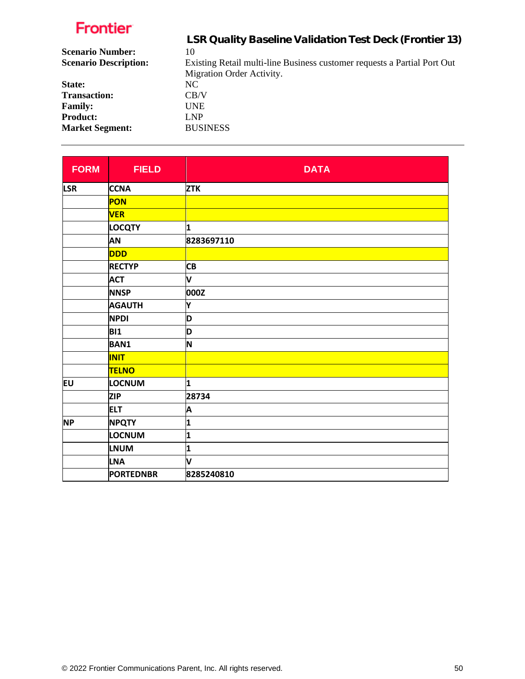| LSR Quality Baseline Validation Test Deck (Frontier 13)                  |
|--------------------------------------------------------------------------|
| 10                                                                       |
| Existing Retail multi-line Business customer requests a Partial Port Out |
| Migration Order Activity.                                                |
| NC.                                                                      |
| CB/V                                                                     |
| <b>UNE</b>                                                               |
| LNP                                                                      |
| <b>BUSINESS</b>                                                          |
|                                                                          |

| <b>FORM</b> | <b>FIELD</b>     | <b>DATA</b> |
|-------------|------------------|-------------|
| <b>LSR</b>  | <b>CCNA</b>      | <b>ZTK</b>  |
|             | PON              |             |
|             | <b>VER</b>       |             |
|             | <b>LOCQTY</b>    | 1           |
|             | <b>AN</b>        | 8283697110  |
|             | <b>DDD</b>       |             |
|             | <b>RECTYP</b>    | <b>CB</b>   |
|             | <b>ACT</b>       | V           |
|             | <b>NNSP</b>      | 000Z        |
|             | <b>AGAUTH</b>    | Y           |
|             | <b>NPDI</b>      | D           |
|             | <b>BI1</b>       | D           |
|             | <b>BAN1</b>      | N           |
|             | <b>INIT</b>      |             |
|             | <b>TELNO</b>     |             |
| EU          | LOCNUM           | 1           |
|             | <b>ZIP</b>       | 28734       |
|             | <b>ELT</b>       | A           |
| <b>NP</b>   | <b>NPQTY</b>     | 1           |
|             | LOCNUM           | 1           |
|             | <b>LNUM</b>      | 1           |
|             | <b>LNA</b>       | V           |
|             | <b>PORTEDNBR</b> | 8285240810  |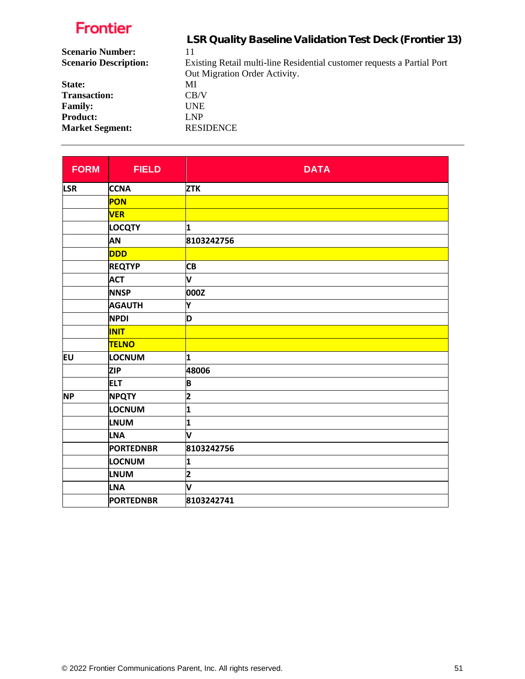|                              | LSR Quality Baseline Validation Test Deck (Frontier 13)                 |
|------------------------------|-------------------------------------------------------------------------|
| <b>Scenario Number:</b>      | 11                                                                      |
| <b>Scenario Description:</b> | Existing Retail multi-line Residential customer requests a Partial Port |
|                              | Out Migration Order Activity.                                           |
| State:                       | МI                                                                      |
| <b>Transaction:</b>          | CB/V                                                                    |
| <b>Family:</b>               | UNE                                                                     |
| <b>Product:</b>              | LNP                                                                     |
| <b>Market Segment:</b>       | <b>RESIDENCE</b>                                                        |

| <b>FORM</b> | <b>FIELD</b>     | <b>DATA</b>             |
|-------------|------------------|-------------------------|
| <b>LSR</b>  | <b>CCNA</b>      | <b>ZTK</b>              |
|             | PON              |                         |
|             | <b>VER</b>       |                         |
|             | <b>LOCQTY</b>    | 1                       |
|             | AN               | 8103242756              |
|             | <b>DDD</b>       |                         |
|             | <b>REQTYP</b>    | <b>CB</b>               |
|             | <b>ACT</b>       | V                       |
|             | <b>NNSP</b>      | 000Z                    |
|             | <b>AGAUTH</b>    | Y                       |
|             | <b>NPDI</b>      | D                       |
|             | <b>INIT</b>      |                         |
|             | <b>TELNO</b>     |                         |
| EU          | LOCNUM           | 1                       |
|             | <b>ZIP</b>       | 48006                   |
|             | <b>ELT</b>       | B                       |
| <b>NP</b>   | <b>NPQTY</b>     | 2                       |
|             | LOCNUM           | $\overline{\mathbf{1}}$ |
|             | <b>LNUM</b>      | 1                       |
|             | <b>LNA</b>       | V                       |
|             | <b>PORTEDNBR</b> | 8103242756              |
|             | LOCNUM           | 1                       |
|             | <b>LNUM</b>      | $\overline{\mathbf{2}}$ |
|             | <b>LNA</b>       | V                       |
|             | <b>PORTEDNBR</b> | 8103242741              |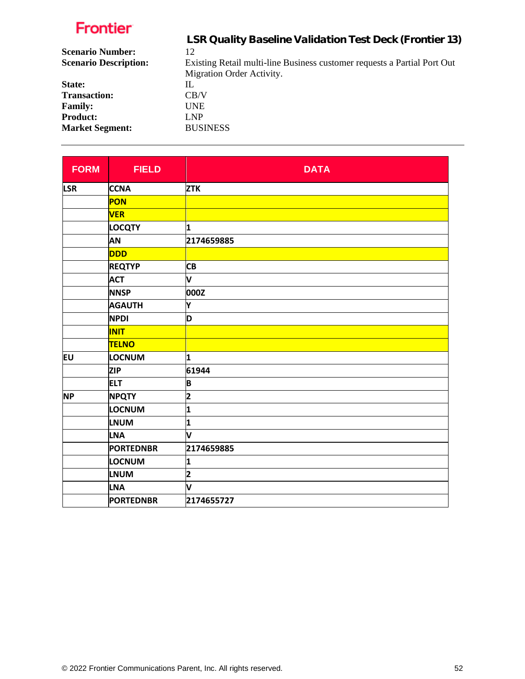| LSR Quality Baseline Validation Test Deck (Frontier 13)                  |
|--------------------------------------------------------------------------|
| 12                                                                       |
| Existing Retail multi-line Business customer requests a Partial Port Out |
| Migration Order Activity.                                                |
| IL                                                                       |
| CB/V                                                                     |
| UNE.                                                                     |
| LNP                                                                      |
| <b>BUSINESS</b>                                                          |
|                                                                          |

| <b>FORM</b> | <b>FIELD</b>     | <b>DATA</b>             |
|-------------|------------------|-------------------------|
| <b>LSR</b>  | <b>CCNA</b>      | <b>ZTK</b>              |
|             | PON              |                         |
|             | <b>VER</b>       |                         |
|             | <b>LOCQTY</b>    | 1                       |
|             | <b>AN</b>        | 2174659885              |
|             | <b>DDD</b>       |                         |
|             | <b>REQTYP</b>    | <b>CB</b>               |
|             | <b>ACT</b>       | V                       |
|             | <b>NNSP</b>      | 000Z                    |
|             | <b>AGAUTH</b>    | Y                       |
|             | <b>NPDI</b>      | D                       |
|             | <b>INIT</b>      |                         |
|             | <b>TELNO</b>     |                         |
| EU          | LOCNUM           | 1                       |
|             | <b>ZIP</b>       | 61944                   |
|             | <b>ELT</b>       | B                       |
| <b>NP</b>   | <b>NPQTY</b>     | $\overline{\mathbf{2}}$ |
|             | LOCNUM           | 1                       |
|             | <b>LNUM</b>      | 1                       |
|             | <b>LNA</b>       | V                       |
|             | <b>PORTEDNBR</b> | 2174659885              |
|             | LOCNUM           | 1                       |
|             | <b>LNUM</b>      | $\overline{\mathbf{2}}$ |
|             | <b>LNA</b>       | v                       |
|             | <b>PORTEDNBR</b> | 2174655727              |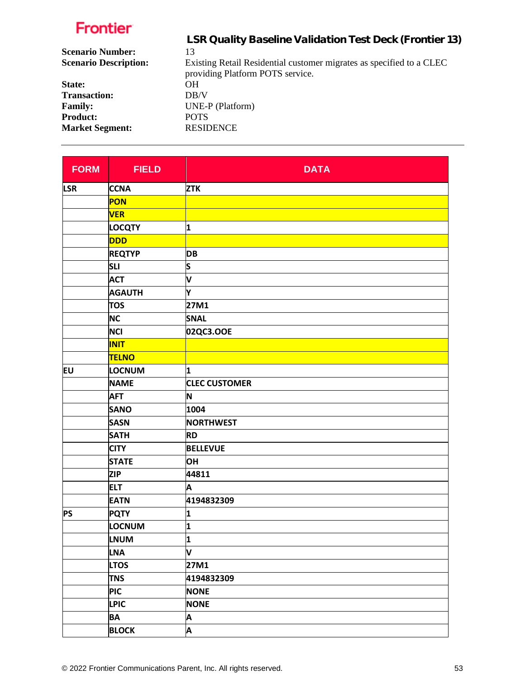|                              | LSR Quality Baseline Validation Test Deck (Frontier 13)              |
|------------------------------|----------------------------------------------------------------------|
| <b>Scenario Number:</b>      | 13                                                                   |
| <b>Scenario Description:</b> | Existing Retail Residential customer migrates as specified to a CLEC |
|                              | providing Platform POTS service.                                     |
| State:                       | OН                                                                   |
| <b>Transaction:</b>          | DB/V                                                                 |
| <b>Family:</b>               | UNE-P (Platform)                                                     |
| <b>Product:</b>              | <b>POTS</b>                                                          |
| <b>Market Segment:</b>       | <b>RESIDENCE</b>                                                     |
|                              |                                                                      |

| <b>FORM</b> | <b>FIELD</b>  | <b>DATA</b>          |
|-------------|---------------|----------------------|
| <b>LSR</b>  | <b>CCNA</b>   | <b>ZTK</b>           |
|             | PON           |                      |
|             | <b>VER</b>    |                      |
|             | <b>LOCQTY</b> | 1                    |
|             | <b>DDD</b>    |                      |
|             | <b>REQTYP</b> | <b>DB</b>            |
|             | <b>SLI</b>    | S                    |
|             | <b>ACT</b>    | V                    |
|             | <b>AGAUTH</b> | Υ                    |
|             | <b>TOS</b>    | 27M1                 |
|             | <b>NC</b>     | <b>SNAL</b>          |
|             | <b>NCI</b>    | 02QC3.OOE            |
|             | <b>INIT</b>   |                      |
|             | <b>TELNO</b>  |                      |
| EU          | LOCNUM        | 1                    |
|             | <b>NAME</b>   | <b>CLEC CUSTOMER</b> |
|             | <b>AFT</b>    | N                    |
|             | <b>SANO</b>   | 1004                 |
|             | <b>SASN</b>   | <b>NORTHWEST</b>     |
|             | <b>SATH</b>   | <b>RD</b>            |
|             | <b>CITY</b>   | <b>BELLEVUE</b>      |
|             | <b>STATE</b>  | <b>OH</b>            |
|             | <b>ZIP</b>    | 44811                |
|             | <b>ELT</b>    | A                    |
|             | <b>EATN</b>   | 4194832309           |
| <b>PS</b>   | <b>PQTY</b>   | 1                    |
|             | LOCNUM        | 1                    |
|             | <b>LNUM</b>   | 1                    |
|             | <b>LNA</b>    | V                    |
|             | <b>LTOS</b>   | 27M1                 |
|             | <b>TNS</b>    | 4194832309           |
|             | <b>PIC</b>    | <b>NONE</b>          |
|             | <b>LPIC</b>   | <b>NONE</b>          |
|             | <b>BA</b>     | A                    |
|             | <b>BLOCK</b>  | A                    |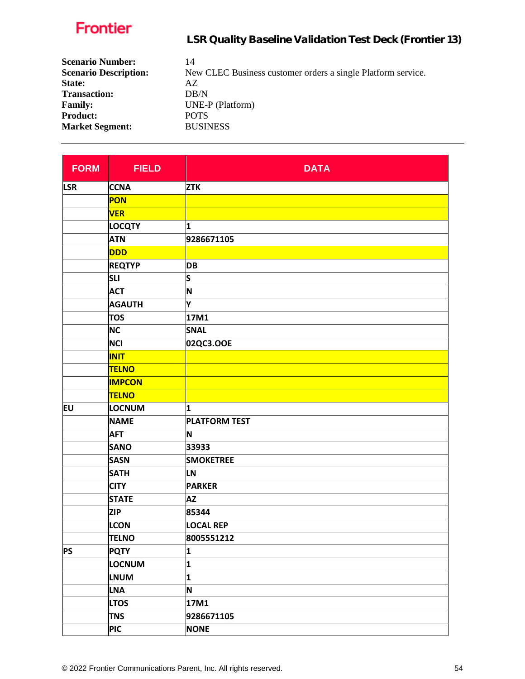| <b>Scenario Number:</b>      | 14                                                           |
|------------------------------|--------------------------------------------------------------|
| <b>Scenario Description:</b> | New CLEC Business customer orders a single Platform service. |
| State:                       | AZ.                                                          |
| <b>Transaction:</b>          | DB/N                                                         |
| <b>Family:</b>               | UNE-P (Platform)                                             |
| <b>Product:</b>              | <b>POTS</b>                                                  |
| <b>Market Segment:</b>       | <b>BUSINESS</b>                                              |

| <b>FORM</b> | <b>FIELD</b>  | <b>DATA</b>          |
|-------------|---------------|----------------------|
| <b>LSR</b>  | <b>CCNA</b>   | <b>ZTK</b>           |
|             | PON           |                      |
|             | <b>VER</b>    |                      |
|             | <b>LOCQTY</b> | 1                    |
|             | <b>ATN</b>    | 9286671105           |
|             | <b>DDD</b>    |                      |
|             | <b>REQTYP</b> | <b>DB</b>            |
|             | <b>SLI</b>    | S                    |
|             | <b>ACT</b>    | N                    |
|             | <b>AGAUTH</b> | Y                    |
|             | <b>TOS</b>    | 17M1                 |
|             | <b>NC</b>     | <b>SNAL</b>          |
|             | <b>NCI</b>    | 02QC3.OOE            |
|             | <b>INIT</b>   |                      |
|             | <b>TELNO</b>  |                      |
|             | <b>IMPCON</b> |                      |
|             | <b>TELNO</b>  |                      |
| EU          | LOCNUM        | 1                    |
|             | <b>NAME</b>   | <b>PLATFORM TEST</b> |
|             | <b>AFT</b>    | N                    |
|             | <b>SANO</b>   | 33933                |
|             | <b>SASN</b>   | <b>SMOKETREE</b>     |
|             | <b>SATH</b>   | <b>LN</b>            |
|             | <b>CITY</b>   | <b>PARKER</b>        |
|             | <b>STATE</b>  | <b>AZ</b>            |
|             | <b>ZIP</b>    | 85344                |
|             | <b>LCON</b>   | <b>LOCAL REP</b>     |
|             | <b>TELNO</b>  | 8005551212           |
| <b>PS</b>   | <b>PQTY</b>   | 1                    |
|             | LOCNUM        | 1                    |
|             | <b>LNUM</b>   | 1                    |
|             | <b>LNA</b>    | N                    |
|             | <b>LTOS</b>   | 17M1                 |
|             | <b>TNS</b>    | 9286671105           |
|             | <b>PIC</b>    | <b>NONE</b>          |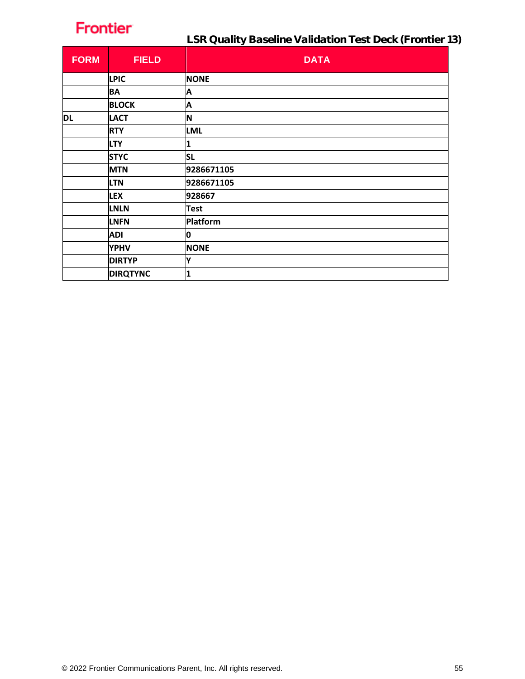LSR Quality Baseline Validation Test Deck (Frontier 13)

| <b>FORM</b> | <b>FIELD</b>    | <b>DATA</b> |
|-------------|-----------------|-------------|
|             | <b>LPIC</b>     | <b>NONE</b> |
|             | BA              | Α           |
|             | <b>BLOCK</b>    | A           |
| DL          | <b>LACT</b>     | N           |
|             | <b>RTY</b>      | <b>LML</b>  |
|             | <b>LTY</b>      | 1           |
|             | <b>STYC</b>     | <b>SL</b>   |
|             | <b>MTN</b>      | 9286671105  |
|             | <b>LTN</b>      | 9286671105  |
|             | <b>LEX</b>      | 928667      |
|             | <b>LNLN</b>     | <b>Test</b> |
|             | <b>LNFN</b>     | Platform    |
|             | <b>ADI</b>      | O           |
|             | <b>YPHV</b>     | <b>NONE</b> |
|             | <b>DIRTYP</b>   | Υ           |
|             | <b>DIRQTYNC</b> | 1           |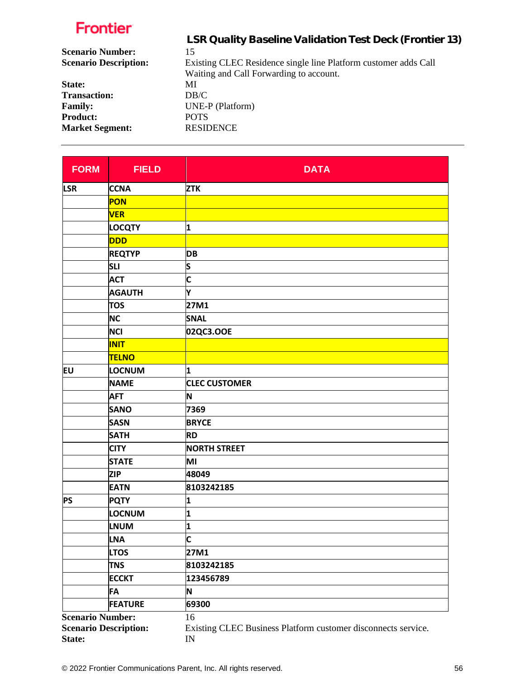|                              | LSR Quality Baseline Validation Test Deck (Frontier 13)         |
|------------------------------|-----------------------------------------------------------------|
| <b>Scenario Number:</b>      | 15                                                              |
| <b>Scenario Description:</b> | Existing CLEC Residence single line Platform customer adds Call |
|                              | Waiting and Call Forwarding to account.                         |
| State:                       | MI                                                              |
| <b>Transaction:</b>          | DB/C                                                            |
| <b>Family:</b>               | UNE-P (Platform)                                                |
| <b>Product:</b>              | <b>POTS</b>                                                     |
| <b>Market Segment:</b>       | <b>RESIDENCE</b>                                                |
|                              |                                                                 |

| <b>FORM</b>             | <b>FIELD</b>                 | <b>DATA</b>                                                   |
|-------------------------|------------------------------|---------------------------------------------------------------|
| <b>LSR</b>              | <b>CCNA</b>                  | <b>ZTK</b>                                                    |
|                         | PON                          |                                                               |
|                         | <b>VER</b>                   |                                                               |
|                         | <b>LOCQTY</b>                | 1                                                             |
|                         | <b>DDD</b>                   |                                                               |
|                         | <b>REQTYP</b>                | <b>DB</b>                                                     |
|                         | <b>SLI</b>                   | S                                                             |
|                         | <b>ACT</b>                   | $\mathsf{c}$                                                  |
|                         | <b>AGAUTH</b>                | Υ                                                             |
|                         | <b>TOS</b>                   | 27M1                                                          |
|                         | <b>NC</b>                    | <b>SNAL</b>                                                   |
|                         | <b>NCI</b>                   | 02QC3.OOE                                                     |
|                         | <b>INIT</b>                  |                                                               |
|                         | <b>TELNO</b>                 |                                                               |
| EU                      | LOCNUM                       | 1                                                             |
|                         | <b>NAME</b>                  | <b>CLEC CUSTOMER</b>                                          |
|                         | <b>AFT</b>                   | N                                                             |
|                         | <b>SANO</b>                  | 7369                                                          |
|                         | <b>SASN</b>                  | <b>BRYCE</b>                                                  |
|                         | <b>SATH</b>                  | <b>RD</b>                                                     |
|                         | <b>CITY</b>                  | <b>NORTH STREET</b>                                           |
|                         | <b>STATE</b>                 | MI                                                            |
|                         | <b>ZIP</b>                   | 48049                                                         |
|                         | <b>EATN</b>                  | 8103242185                                                    |
| <b>PS</b>               | <b>PQTY</b>                  | 1                                                             |
|                         | <b>LOCNUM</b>                | 1                                                             |
|                         | <b>LNUM</b>                  | 1                                                             |
|                         | <b>LNA</b>                   | C                                                             |
|                         | <b>LTOS</b>                  | 27M1                                                          |
|                         | <b>TNS</b>                   | 8103242185                                                    |
|                         | <b>ECCKT</b>                 | 123456789                                                     |
|                         | FA                           | N                                                             |
|                         | <b>FEATURE</b>               | 69300                                                         |
| <b>Scenario Number:</b> |                              | 16                                                            |
|                         | <b>Scenario Description:</b> | Existing CLEC Business Platform customer disconnects service. |
| State:                  |                              | $\ensuremath{\text{IN}}\xspace$                               |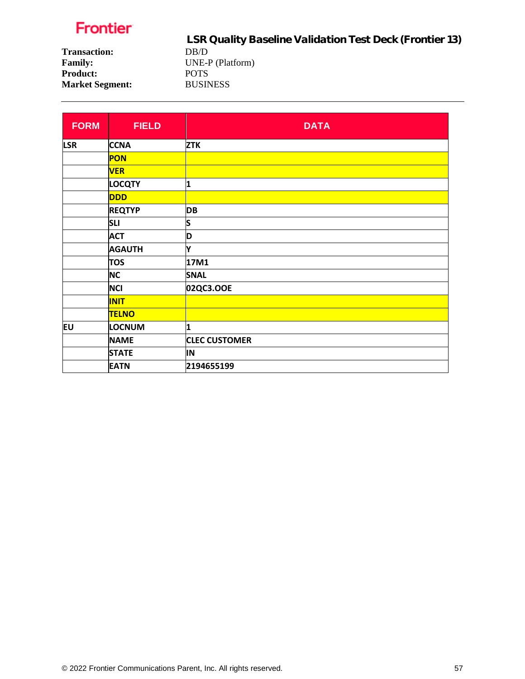LSR Quality Baseline Validation Test Deck (Frontier 13) **Transaction:** DB/D<br>**Family:** UNE-I **UNE-P** (Platform) **Product:** POTS **Market Segment:** BUSINESS

| <b>FORM</b> | <b>FIELD</b>  | <b>DATA</b>          |
|-------------|---------------|----------------------|
| <b>LSR</b>  | <b>CCNA</b>   | <b>ZTK</b>           |
|             | <b>PON</b>    |                      |
|             | <b>VER</b>    |                      |
|             | <b>LOCQTY</b> | 1                    |
|             | <b>DDD</b>    |                      |
|             | <b>REQTYP</b> | <b>DB</b>            |
|             | <b>SLI</b>    | S                    |
|             | <b>ACT</b>    | D                    |
|             | <b>AGAUTH</b> | ١Y                   |
|             | <b>TOS</b>    | 17M1                 |
|             | <b>NC</b>     | <b>SNAL</b>          |
|             | <b>NCI</b>    | 02QC3.OOE            |
|             | <b>INIT</b>   |                      |
|             | <b>TELNO</b>  |                      |
| EU          | <b>LOCNUM</b> | 1                    |
|             | <b>NAME</b>   | <b>CLEC CUSTOMER</b> |
|             | <b>STATE</b>  | IN                   |
|             | <b>EATN</b>   | 2194655199           |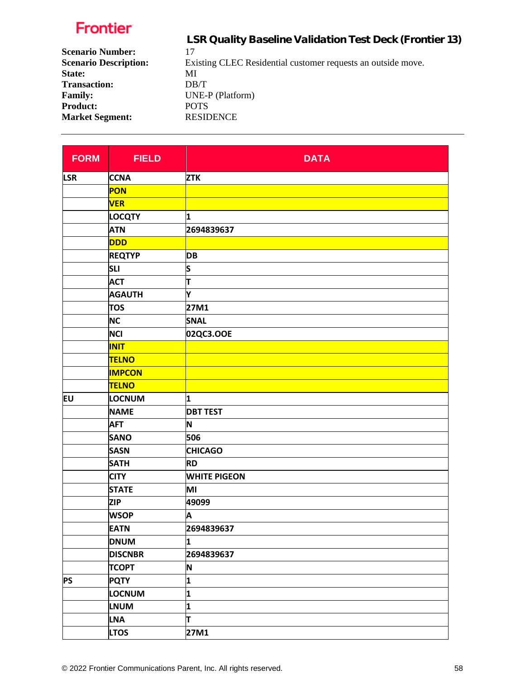|                              | LSR Quality Baseline Validation Test Deck (Frontier 13)      |
|------------------------------|--------------------------------------------------------------|
| <b>Scenario Number:</b>      | 17                                                           |
| <b>Scenario Description:</b> | Existing CLEC Residential customer requests an outside move. |
| State:                       | MI                                                           |
| <b>Transaction:</b>          | DB/T                                                         |
| <b>Family:</b>               | UNE-P (Platform)                                             |
| <b>Product:</b>              | <b>POTS</b>                                                  |
| <b>Market Segment:</b>       | <b>RESIDENCE</b>                                             |
|                              |                                                              |

| <b>FORM</b> | <b>FIELD</b>   | <b>DATA</b>         |
|-------------|----------------|---------------------|
| <b>LSR</b>  | <b>CCNA</b>    | <b>ZTK</b>          |
|             | <b>PON</b>     |                     |
|             | <b>VER</b>     |                     |
|             | <b>LOCQTY</b>  | $\mathbf{1}$        |
|             | <b>ATN</b>     | 2694839637          |
|             | <b>DDD</b>     |                     |
|             | <b>REQTYP</b>  | <b>DB</b>           |
|             | <b>SLI</b>     | S                   |
|             | <b>ACT</b>     | π                   |
|             | <b>AGAUTH</b>  | ١Y                  |
|             | <b>TOS</b>     | 27M1                |
|             | <b>NC</b>      | <b>SNAL</b>         |
|             | <b>NCI</b>     | 02QC3.OOE           |
|             | <b>INIT</b>    |                     |
|             | <b>TELNO</b>   |                     |
|             | <b>IMPCON</b>  |                     |
|             | <b>TELNO</b>   |                     |
| EU          | <b>LOCNUM</b>  | 1                   |
|             | <b>NAME</b>    | <b>DBT TEST</b>     |
|             | <b>AFT</b>     | N                   |
|             | <b>SANO</b>    | 506                 |
|             | <b>SASN</b>    | <b>CHICAGO</b>      |
|             | <b>SATH</b>    | <b>RD</b>           |
|             | <b>CITY</b>    | <b>WHITE PIGEON</b> |
|             | <b>STATE</b>   | MI                  |
|             | <b>ZIP</b>     | 49099               |
|             | <b>WSOP</b>    | A                   |
|             | <b>EATN</b>    | 2694839637          |
|             | <b>DNUM</b>    | 1                   |
|             | <b>DISCNBR</b> | 2694839637          |
|             | <b>TCOPT</b>   | N                   |
| <b>PS</b>   | <b>PQTY</b>    | 1                   |
|             | <b>LOCNUM</b>  | 1                   |
|             | <b>LNUM</b>    | 1                   |
|             | <b>LNA</b>     | lτ                  |
|             | <b>LTOS</b>    | 27M1                |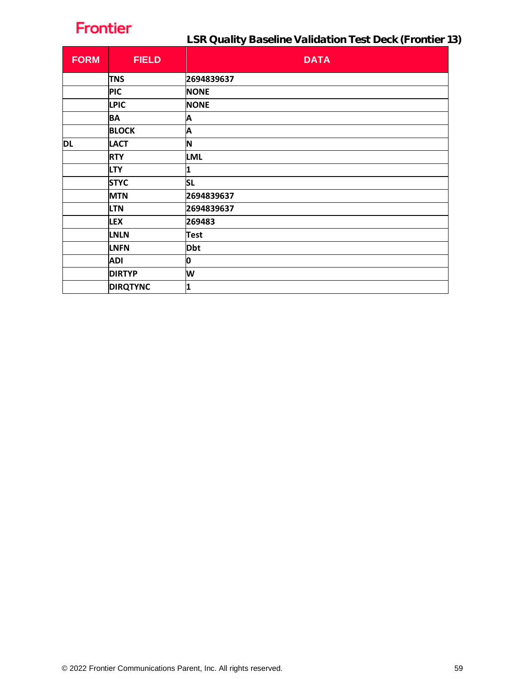| <b>FORM</b> | <b>FIELD</b>    | <b>DATA</b> |
|-------------|-----------------|-------------|
|             | <b>TNS</b>      | 2694839637  |
|             | <b>PIC</b>      | <b>NONE</b> |
|             | <b>LPIC</b>     | <b>NONE</b> |
|             | <b>BA</b>       | A           |
|             | <b>BLOCK</b>    | A           |
| <b>DL</b>   | <b>LACT</b>     | N           |
|             | <b>RTY</b>      | <b>LML</b>  |
|             | <b>LTY</b>      | 1           |
|             | <b>STYC</b>     | <b>SL</b>   |
|             | <b>MTN</b>      | 2694839637  |
|             | <b>LTN</b>      | 2694839637  |
|             | <b>LEX</b>      | 269483      |
|             | <b>LNLN</b>     | <b>Test</b> |
|             | <b>LNFN</b>     | <b>Dbt</b>  |
|             | <b>ADI</b>      | 0           |
|             | <b>DIRTYP</b>   | W           |
|             | <b>DIRQTYNC</b> | 1           |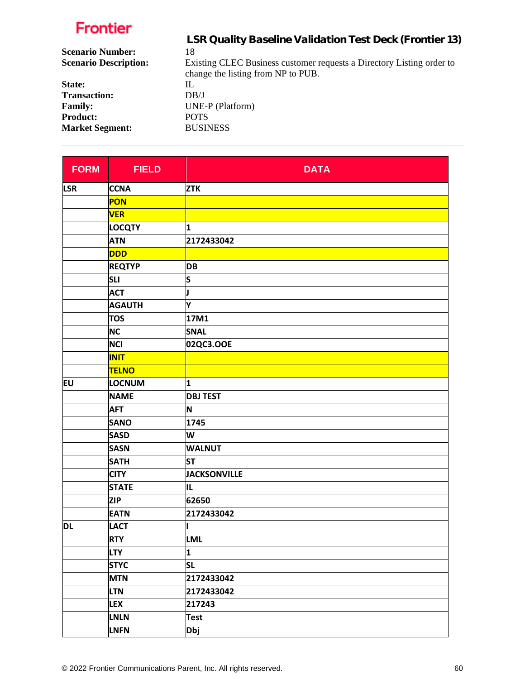|                              | LSR Quality Baseline Validation Test Deck (Frontier 13)               |
|------------------------------|-----------------------------------------------------------------------|
| <b>Scenario Number:</b>      | 18                                                                    |
| <b>Scenario Description:</b> | Existing CLEC Business customer requests a Directory Listing order to |
|                              | change the listing from NP to PUB.                                    |
| State:                       | IL                                                                    |
| <b>Transaction:</b>          | DB/J                                                                  |
| <b>Family:</b>               | UNE-P (Platform)                                                      |
| <b>Product:</b>              | <b>POTS</b>                                                           |
| <b>Market Segment:</b>       | <b>BUSINESS</b>                                                       |
|                              |                                                                       |

| <b>FORM</b> | <b>FIELD</b>  | <b>DATA</b>         |
|-------------|---------------|---------------------|
| <b>LSR</b>  | <b>CCNA</b>   | <b>ZTK</b>          |
|             | <b>PON</b>    |                     |
|             | <b>VER</b>    |                     |
|             | <b>LOCQTY</b> | 1                   |
|             | <b>ATN</b>    | 2172433042          |
|             | <b>DDD</b>    |                     |
|             | <b>REQTYP</b> | <b>DB</b>           |
|             | <b>SLI</b>    | S                   |
|             | <b>ACT</b>    | J                   |
|             | <b>AGAUTH</b> | Y                   |
|             | <b>TOS</b>    | 17M1                |
|             | <b>NC</b>     | <b>SNAL</b>         |
|             | <b>NCI</b>    | 02QC3.OOE           |
|             | <b>INIT</b>   |                     |
|             | <b>TELNO</b>  |                     |
| EU          | <b>LOCNUM</b> | 1                   |
|             | <b>NAME</b>   | <b>DBJ TEST</b>     |
|             | <b>AFT</b>    | N                   |
|             | <b>SANO</b>   | 1745                |
|             | <b>SASD</b>   | W                   |
|             | <b>SASN</b>   | <b>WALNUT</b>       |
|             | <b>SATH</b>   | <b>ST</b>           |
|             | <b>CITY</b>   | <b>JACKSONVILLE</b> |
|             | <b>STATE</b>  | IL                  |
|             | <b>ZIP</b>    | 62650               |
|             | <b>EATN</b>   | 2172433042          |
| <b>DL</b>   | <b>LACT</b>   |                     |
|             | <b>RTY</b>    | <b>LML</b>          |
|             | <b>LTY</b>    | 1                   |
|             | <b>STYC</b>   | <b>SL</b>           |
|             | <b>MTN</b>    | 2172433042          |
|             | <b>LTN</b>    | 2172433042          |
|             | <b>LEX</b>    | 217243              |
|             | <b>LNLN</b>   | <b>Test</b>         |
|             | <b>LNFN</b>   | <b>Dbj</b>          |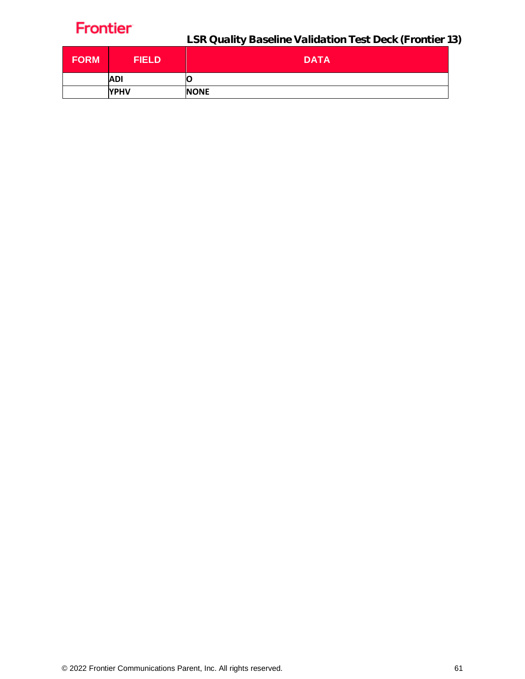| <b>FORM</b> | <b>FIELD</b> | <b>DATA</b> |
|-------------|--------------|-------------|
|             | <b>ADI</b>   | U           |
|             | <b>YPHV</b>  | <b>NONE</b> |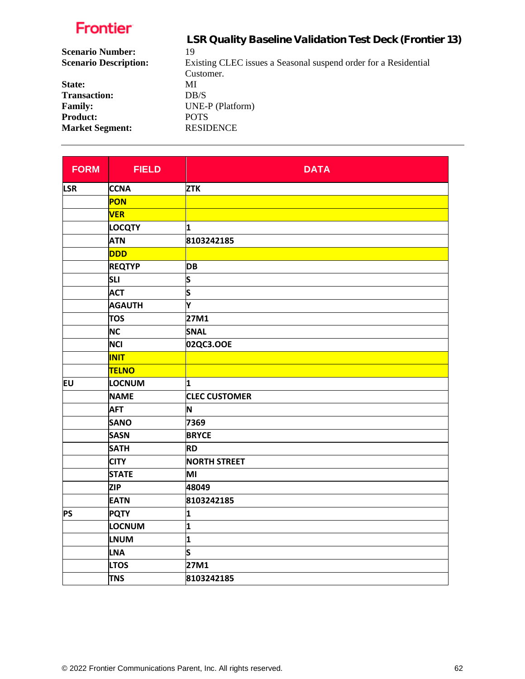|                              | LSR Quality Baseline Validation Test Deck (Frontier 13)         |
|------------------------------|-----------------------------------------------------------------|
| <b>Scenario Number:</b>      | 19                                                              |
| <b>Scenario Description:</b> | Existing CLEC issues a Seasonal suspend order for a Residential |
|                              | Customer.                                                       |
| State:                       | МI                                                              |
| <b>Transaction:</b>          | DB/S                                                            |
| <b>Family:</b>               | UNE-P (Platform)                                                |
| <b>Product:</b>              | <b>POTS</b>                                                     |
| <b>Market Segment:</b>       | <b>RESIDENCE</b>                                                |

| <b>FORM</b> | <b>FIELD</b>  | <b>DATA</b>          |
|-------------|---------------|----------------------|
| <b>LSR</b>  | <b>CCNA</b>   | <b>ZTK</b>           |
|             | PON           |                      |
|             | <b>VER</b>    |                      |
|             | <b>LOCQTY</b> | 1                    |
|             | <b>ATN</b>    | 8103242185           |
|             | <b>DDD</b>    |                      |
|             | <b>REQTYP</b> | <b>DB</b>            |
|             | <b>SLI</b>    | S                    |
|             | <b>ACT</b>    | S                    |
|             | <b>AGAUTH</b> | Υ                    |
|             | <b>TOS</b>    | 27M1                 |
|             | <b>NC</b>     | <b>SNAL</b>          |
|             | <b>NCI</b>    | 02QC3.OOE            |
|             | <b>INIT</b>   |                      |
|             | <b>TELNO</b>  |                      |
| <b>EU</b>   | LOCNUM        | 1                    |
|             | <b>NAME</b>   | <b>CLEC CUSTOMER</b> |
|             | <b>AFT</b>    | N                    |
|             | <b>SANO</b>   | 7369                 |
|             | <b>SASN</b>   | <b>BRYCE</b>         |
|             | <b>SATH</b>   | <b>RD</b>            |
|             | <b>CITY</b>   | <b>NORTH STREET</b>  |
|             | <b>STATE</b>  | MI                   |
|             | <b>ZIP</b>    | 48049                |
|             | <b>EATN</b>   | 8103242185           |
| <b>PS</b>   | <b>PQTY</b>   | 1                    |
|             | LOCNUM        | 1                    |
|             | <b>LNUM</b>   | 1                    |
|             | <b>LNA</b>    | S                    |
|             | <b>LTOS</b>   | 27M1                 |
|             | <b>TNS</b>    | 8103242185           |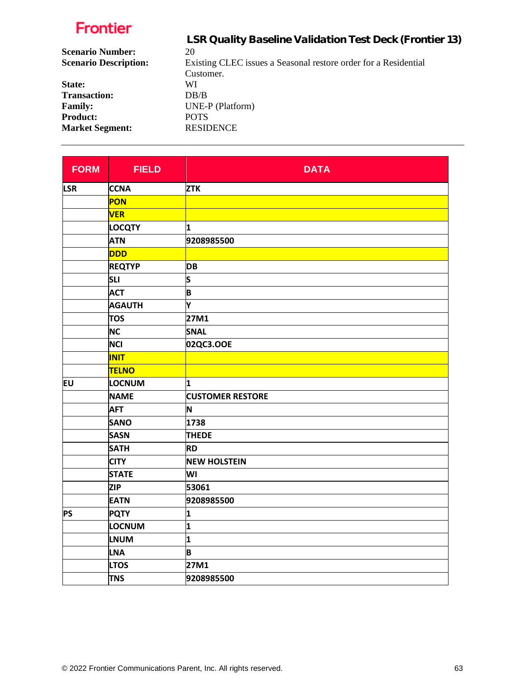|                              | LSR Quality Baseline Validation Test Deck (Frontier 13)         |
|------------------------------|-----------------------------------------------------------------|
| <b>Scenario Number:</b>      | 20                                                              |
| <b>Scenario Description:</b> | Existing CLEC issues a Seasonal restore order for a Residential |
|                              | Customer.                                                       |
| State:                       | WI                                                              |
| <b>Transaction:</b>          | DR/B                                                            |
| <b>Family:</b>               | UNE-P (Platform)                                                |
| <b>Product:</b>              | <b>POTS</b>                                                     |
| <b>Market Segment:</b>       | <b>RESIDENCE</b>                                                |

| <b>FORM</b> | <b>FIELD</b>  | <b>DATA</b>             |
|-------------|---------------|-------------------------|
| <b>LSR</b>  | <b>CCNA</b>   | <b>ZTK</b>              |
|             | PON           |                         |
|             | <b>VER</b>    |                         |
|             | <b>LOCQTY</b> | 1                       |
|             | <b>ATN</b>    | 9208985500              |
|             | <b>DDD</b>    |                         |
|             | <b>REQTYP</b> | <b>DB</b>               |
|             | <b>SLI</b>    | S                       |
|             | <b>ACT</b>    | B                       |
|             | <b>AGAUTH</b> | Υ                       |
|             | <b>TOS</b>    | 27M1                    |
|             | <b>NC</b>     | <b>SNAL</b>             |
|             | <b>NCI</b>    | 02QC3.OOE               |
|             | <b>INIT</b>   |                         |
|             | <b>TELNO</b>  |                         |
| <b>EU</b>   | LOCNUM        | 1                       |
|             | <b>NAME</b>   | <b>CUSTOMER RESTORE</b> |
|             | <b>AFT</b>    | N                       |
|             | <b>SANO</b>   | 1738                    |
|             | <b>SASN</b>   | <b>THEDE</b>            |
|             | <b>SATH</b>   | <b>RD</b>               |
|             | <b>CITY</b>   | <b>NEW HOLSTEIN</b>     |
|             | <b>STATE</b>  | WI                      |
|             | <b>ZIP</b>    | 53061                   |
|             | <b>EATN</b>   | 9208985500              |
| <b>PS</b>   | <b>PQTY</b>   | 1                       |
|             | LOCNUM        | 1                       |
|             | LNUM          | 1                       |
|             | <b>LNA</b>    | B                       |
|             | <b>LTOS</b>   | 27M1                    |
|             | <b>TNS</b>    | 9208985500              |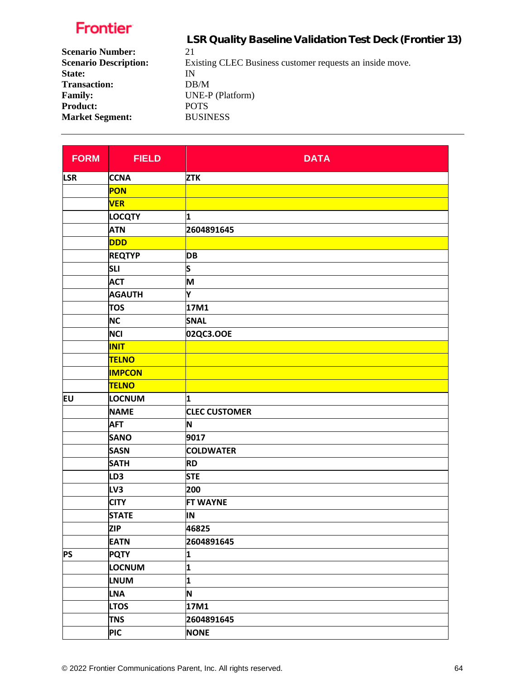|                              | LSR Quality Baseline Validation Test Deck (Frontier 13)  |
|------------------------------|----------------------------------------------------------|
| <b>Scenario Number:</b>      | 21                                                       |
| <b>Scenario Description:</b> | Existing CLEC Business customer requests an inside move. |
| State:                       | IN                                                       |
| <b>Transaction:</b>          | DB/M                                                     |
| <b>Family:</b>               | UNE-P (Platform)                                         |
| <b>Product:</b>              | <b>POTS</b>                                              |
| <b>Market Segment:</b>       | <b>BUSINESS</b>                                          |
|                              |                                                          |

| <b>FORM</b> | <b>FIELD</b>    | <b>DATA</b>          |
|-------------|-----------------|----------------------|
| <b>LSR</b>  | <b>CCNA</b>     | <b>ZTK</b>           |
|             | PON             |                      |
|             | <b>VER</b>      |                      |
|             | <b>LOCQTY</b>   | 1                    |
|             | <b>ATN</b>      | 2604891645           |
|             | <b>DDD</b>      |                      |
|             | <b>REQTYP</b>   | <b>DB</b>            |
|             | <b>SLI</b>      | S                    |
|             | <b>ACT</b>      | M                    |
|             | <b>AGAUTH</b>   | Υ                    |
|             | <b>TOS</b>      | 17M1                 |
|             | <b>NC</b>       | <b>SNAL</b>          |
|             | <b>NCI</b>      | 02QC3.OOE            |
|             | <b>INIT</b>     |                      |
|             | <b>TELNO</b>    |                      |
|             | <b>IMPCON</b>   |                      |
|             | <b>TELNO</b>    |                      |
| Eυ          | LOCNUM          | 1                    |
|             | <b>NAME</b>     | <b>CLEC CUSTOMER</b> |
|             | <b>AFT</b>      | N                    |
|             | <b>SANO</b>     | 9017                 |
|             | <b>SASN</b>     | <b>COLDWATER</b>     |
|             | <b>SATH</b>     | <b>RD</b>            |
|             | LD <sub>3</sub> | <b>STE</b>           |
|             | LV3             | 200                  |
|             | <b>CITY</b>     | <b>FT WAYNE</b>      |
|             | <b>STATE</b>    | IN                   |
|             | <b>ZIP</b>      | 46825                |
|             | <b>EATN</b>     | 2604891645           |
| <b>PS</b>   | <b>PQTY</b>     | 1                    |
|             | <b>LOCNUM</b>   | 1                    |
|             | <b>LNUM</b>     | 1                    |
|             | <b>LNA</b>      | N                    |
|             | <b>LTOS</b>     | 17M1                 |
|             | <b>TNS</b>      | 2604891645           |
|             | <b>PIC</b>      | <b>NONE</b>          |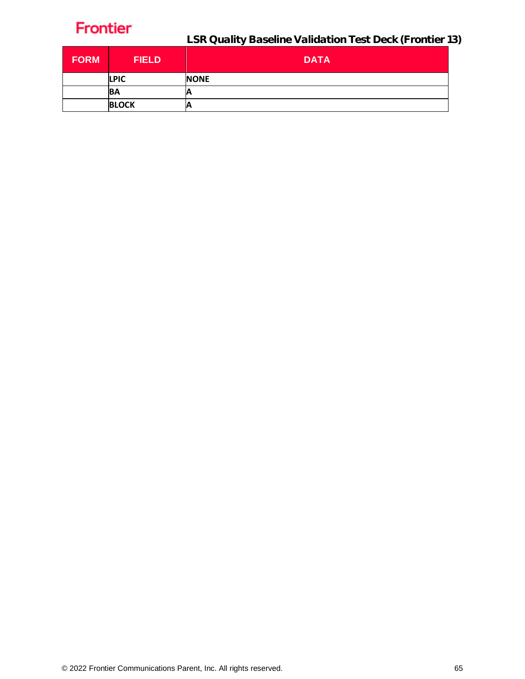| <b>FORM</b> | <b>FIELD</b> | <b>DATA</b> |
|-------------|--------------|-------------|
|             | <b>LPIC</b>  | <b>NONE</b> |
|             | <b>BA</b>    | А           |
|             | <b>BLOCK</b> | Α           |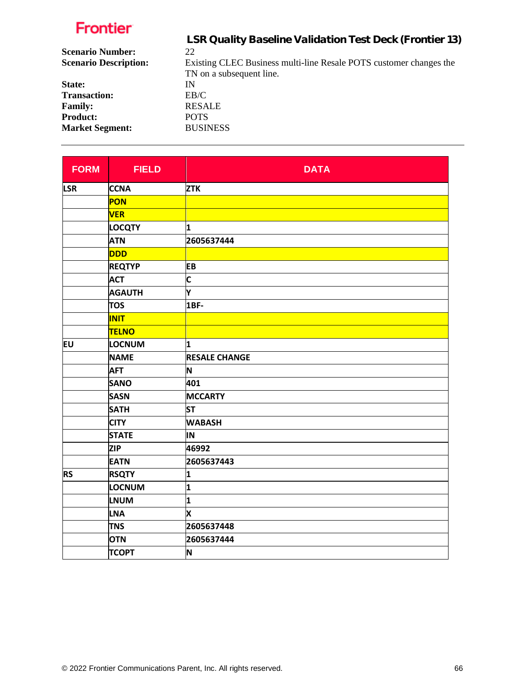|                              | LSR Quality Baseline Validation Test Deck (Frontier 13)            |
|------------------------------|--------------------------------------------------------------------|
| <b>Scenario Number:</b>      | 22                                                                 |
| <b>Scenario Description:</b> | Existing CLEC Business multi-line Resale POTS customer changes the |
|                              | TN on a subsequent line.                                           |
| State:                       | IN                                                                 |
| <b>Transaction:</b>          | EB/C                                                               |
| <b>Family:</b>               | <b>RESALE</b>                                                      |
| <b>Product:</b>              | <b>POTS</b>                                                        |
| <b>Market Segment:</b>       | <b>BUSINESS</b>                                                    |
|                              |                                                                    |

| <b>FORM</b> | <b>FIELD</b>  | <b>DATA</b>          |
|-------------|---------------|----------------------|
| <b>LSR</b>  | <b>CCNA</b>   | <b>ZTK</b>           |
|             | PON           |                      |
|             | <b>VER</b>    |                      |
|             | <b>LOCQTY</b> | 1                    |
|             | <b>ATN</b>    | 2605637444           |
|             | <b>DDD</b>    |                      |
|             | <b>REQTYP</b> | <b>EB</b>            |
|             | <b>ACT</b>    | $\mathsf{C}$         |
|             | <b>AGAUTH</b> | ١Y                   |
|             | <b>TOS</b>    | 1BF-                 |
|             | <b>INIT</b>   |                      |
|             | <b>TELNO</b>  |                      |
| EU          | LOCNUM        | 1                    |
|             | <b>NAME</b>   | <b>RESALE CHANGE</b> |
|             | <b>AFT</b>    | N                    |
|             | <b>SANO</b>   | 401                  |
|             | <b>SASN</b>   | <b>MCCARTY</b>       |
|             | <b>SATH</b>   | <b>ST</b>            |
|             | <b>CITY</b>   | <b>WABASH</b>        |
|             | <b>STATE</b>  | IN                   |
|             | <b>ZIP</b>    | 46992                |
|             | <b>EATN</b>   | 2605637443           |
| <b>RS</b>   | <b>RSQTY</b>  | 1                    |
|             | LOCNUM        | 1                    |
|             | <b>LNUM</b>   | 1                    |
|             | <b>LNA</b>    | X                    |
|             | <b>TNS</b>    | 2605637448           |
|             | <b>OTN</b>    | 2605637444           |
|             | <b>TCOPT</b>  | N                    |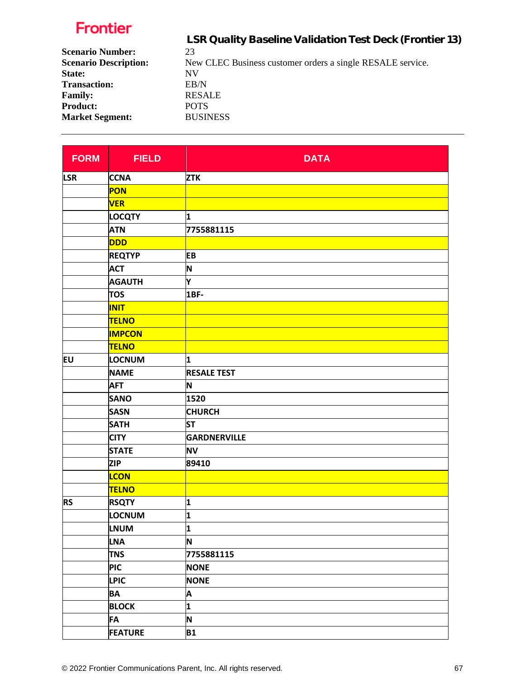|                              | LSR Quality Baseline Validation Test Deck (Frontier 13)    |
|------------------------------|------------------------------------------------------------|
| <b>Scenario Number:</b>      | 23                                                         |
| <b>Scenario Description:</b> | New CLEC Business customer orders a single RESALE service. |
| State:                       | NV                                                         |
| <b>Transaction:</b>          | EB/N                                                       |
| <b>Family:</b>               | <b>RESALE</b>                                              |
| <b>Product:</b>              | <b>POTS</b>                                                |
| <b>Market Segment:</b>       | <b>BUSINESS</b>                                            |
|                              |                                                            |

| <b>FORM</b> | <b>FIELD</b>   | <b>DATA</b>        |
|-------------|----------------|--------------------|
| <b>LSR</b>  | <b>CCNA</b>    | <b>ZTK</b>         |
|             | <b>PON</b>     |                    |
|             | <b>VER</b>     |                    |
|             | <b>LOCQTY</b>  | 1                  |
|             | <b>ATN</b>     | 7755881115         |
|             | <b>DDD</b>     |                    |
|             | <b>REQTYP</b>  | EB                 |
|             | <b>ACT</b>     | N                  |
|             | <b>AGAUTH</b>  | Y                  |
|             | <b>TOS</b>     | 1BF-               |
|             | <b>INIT</b>    |                    |
|             | TELNO          |                    |
|             | <b>IMPCON</b>  |                    |
|             | <b>TELNO</b>   |                    |
| <b>EU</b>   | LOCNUM         | 1                  |
|             | <b>NAME</b>    | <b>RESALE TEST</b> |
|             | <b>AFT</b>     | N                  |
|             | <b>SANO</b>    | 1520               |
|             | <b>SASN</b>    | <b>CHURCH</b>      |
|             | <b>SATH</b>    | <b>ST</b>          |
|             | <b>CITY</b>    | GARDNERVILLE       |
|             | <b>STATE</b>   | <b>NV</b>          |
|             | <b>ZIP</b>     | 89410              |
|             | <b>LCON</b>    |                    |
|             | <b>TELNO</b>   |                    |
| <b>RS</b>   | <b>RSQTY</b>   | 1                  |
|             | LOCNUM         | 1                  |
|             | <b>LNUM</b>    | 1                  |
|             | <b>LNA</b>     | N                  |
|             | <b>TNS</b>     | 7755881115         |
|             | <b>PIC</b>     | <b>NONE</b>        |
|             | <b>LPIC</b>    | <b>NONE</b>        |
|             | <b>BA</b>      | A                  |
|             | <b>BLOCK</b>   | 1                  |
|             | <b>FA</b>      | N                  |
|             | <b>FEATURE</b> | <b>B1</b>          |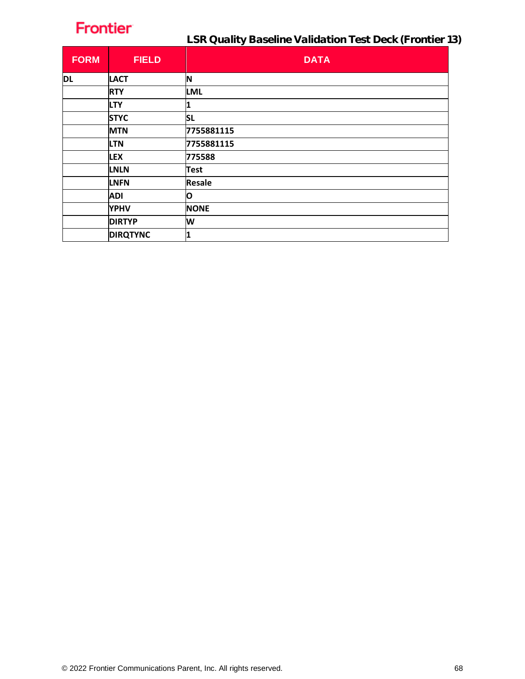| <b>FORM</b> | <b>FIELD</b>    | <b>DATA</b>   |
|-------------|-----------------|---------------|
| <b>DL</b>   | <b>LACT</b>     | N             |
|             | <b>RTY</b>      | <b>LML</b>    |
|             | <b>LTY</b>      | 1             |
|             | <b>STYC</b>     | <b>SL</b>     |
|             | <b>MTN</b>      | 7755881115    |
|             | <b>LTN</b>      | 7755881115    |
|             | <b>LEX</b>      | 775588        |
|             | <b>LNLN</b>     | <b>Test</b>   |
|             | <b>LNFN</b>     | <b>Resale</b> |
|             | <b>ADI</b>      | О             |
|             | <b>YPHV</b>     | <b>NONE</b>   |
|             | <b>DIRTYP</b>   | W             |
|             | <b>DIRQTYNC</b> | 1             |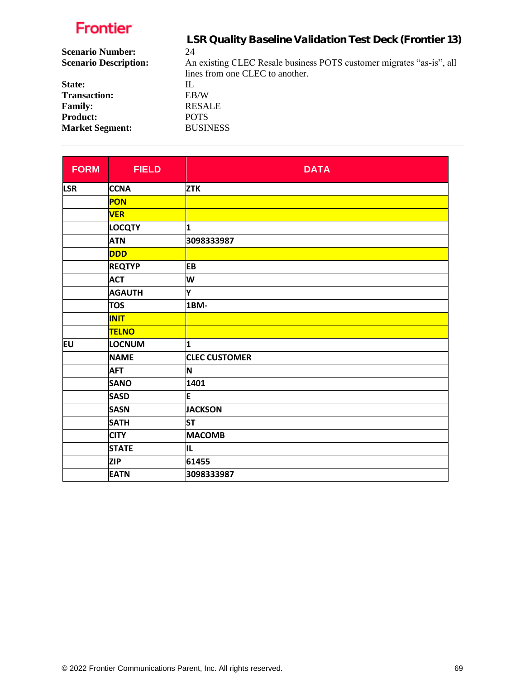|                              | LSR Quality Baseline Validation Test Deck (Frontier 13)              |
|------------------------------|----------------------------------------------------------------------|
| <b>Scenario Number:</b>      | 24                                                                   |
| <b>Scenario Description:</b> | An existing CLEC Resale business POTS customer migrates "as-is", all |
|                              | lines from one CLEC to another.                                      |
| State:                       | IL                                                                   |
| <b>Transaction:</b>          | EB/W                                                                 |
| <b>Family:</b>               | <b>RESALE</b>                                                        |
| <b>Product:</b>              | <b>POTS</b>                                                          |
| <b>Market Segment:</b>       | <b>BUSINESS</b>                                                      |

| <b>FORM</b> | <b>FIELD</b>  | <b>DATA</b>          |
|-------------|---------------|----------------------|
| <b>LSR</b>  | <b>CCNA</b>   | <b>ZTK</b>           |
|             | PON           |                      |
|             | <b>VER</b>    |                      |
|             | <b>LOCQTY</b> | 1                    |
|             | <b>ATN</b>    | 3098333987           |
|             | <b>DDD</b>    |                      |
|             | <b>REQTYP</b> | <b>EB</b>            |
|             | <b>ACT</b>    | W                    |
|             | <b>AGAUTH</b> | Υ                    |
|             | <b>TOS</b>    | 1BM-                 |
|             | <b>INIT</b>   |                      |
|             | <b>TELNO</b>  |                      |
| EU          | LOCNUM        | 1                    |
|             | <b>NAME</b>   | <b>CLEC CUSTOMER</b> |
|             | <b>AFT</b>    | N                    |
|             | <b>SANO</b>   | 1401                 |
|             | <b>SASD</b>   | E                    |
|             | <b>SASN</b>   | <b>JACKSON</b>       |
|             | <b>SATH</b>   | <b>ST</b>            |
|             | <b>CITY</b>   | <b>MACOMB</b>        |
|             | <b>STATE</b>  | ΙL                   |
|             | <b>ZIP</b>    | 61455                |
|             | <b>EATN</b>   | 3098333987           |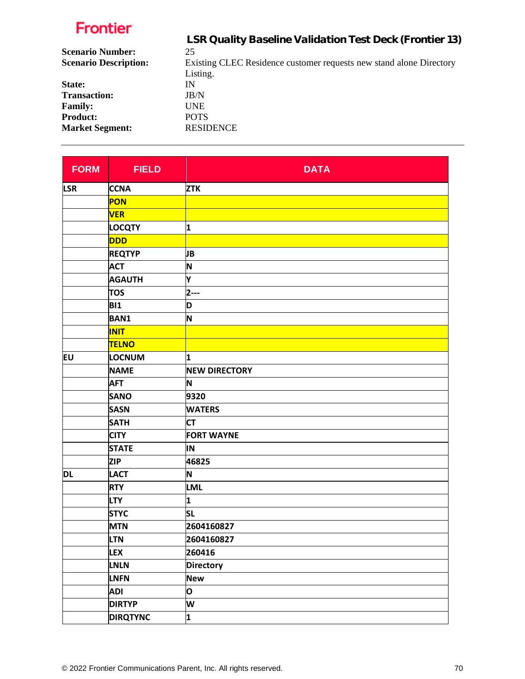|                              | LSR Quality Baseline Validation Test Deck (Frontier 13)             |
|------------------------------|---------------------------------------------------------------------|
| <b>Scenario Number:</b>      | 25                                                                  |
| <b>Scenario Description:</b> | Existing CLEC Residence customer requests new stand alone Directory |
|                              | Listing.                                                            |
| State:                       | IN                                                                  |
| <b>Transaction:</b>          | JB/N                                                                |
| <b>Family:</b>               | <b>UNE</b>                                                          |
| <b>Product:</b>              | <b>POTS</b>                                                         |
| <b>Market Segment:</b>       | <b>RESIDENCE</b>                                                    |
|                              |                                                                     |

| <b>FORM</b> | <b>FIELD</b>    | <b>DATA</b>          |
|-------------|-----------------|----------------------|
| <b>LSR</b>  | <b>CCNA</b>     | <b>ZTK</b>           |
|             | PON             |                      |
|             | <b>VER</b>      |                      |
|             | <b>LOCQTY</b>   | 1                    |
|             | <b>DDD</b>      |                      |
|             | <b>REQTYP</b>   | JВ                   |
|             | <b>ACT</b>      | N                    |
|             | <b>AGAUTH</b>   | Y                    |
|             | <b>TOS</b>      | $2--$                |
|             | <b>BI1</b>      | D                    |
|             | <b>BAN1</b>     | N                    |
|             | <b>INIT</b>     |                      |
|             | <b>TELNO</b>    |                      |
| Eυ          | <b>LOCNUM</b>   | 1                    |
|             | <b>NAME</b>     | <b>NEW DIRECTORY</b> |
|             | <b>AFT</b>      | N                    |
|             | <b>SANO</b>     | 9320                 |
|             | <b>SASN</b>     | <b>WATERS</b>        |
|             | <b>SATH</b>     | <b>CT</b>            |
|             | <b>CITY</b>     | <b>FORT WAYNE</b>    |
|             | <b>STATE</b>    | IN                   |
|             | <b>ZIP</b>      | 46825                |
| DL          | <b>LACT</b>     | N                    |
|             | <b>RTY</b>      | <b>LML</b>           |
|             | <b>LTY</b>      | 1                    |
|             | <b>STYC</b>     | <b>SL</b>            |
|             | <b>MTN</b>      | 2604160827           |
|             | <b>LTN</b>      | 2604160827           |
|             | <b>LEX</b>      | 260416               |
|             | LNLN            | <b>Directory</b>     |
|             | LNFN            | <b>New</b>           |
|             | <b>ADI</b>      | O                    |
|             | <b>DIRTYP</b>   | W                    |
|             | <b>DIRQTYNC</b> | 1                    |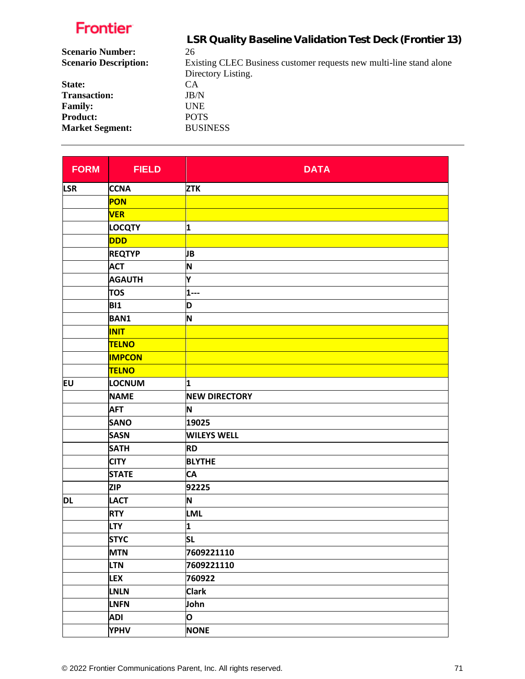|                              | LSR Quality Baseline Validation Test Deck (Frontier 13)             |
|------------------------------|---------------------------------------------------------------------|
| <b>Scenario Number:</b>      | 26                                                                  |
| <b>Scenario Description:</b> | Existing CLEC Business customer requests new multi-line stand alone |
|                              | Directory Listing.                                                  |
| State:                       | CA                                                                  |
| <b>Transaction:</b>          | JB/N                                                                |
| <b>Family:</b>               | UNE.                                                                |
| <b>Product:</b>              | <b>POTS</b>                                                         |
| <b>Market Segment:</b>       | <b>BUSINESS</b>                                                     |
|                              |                                                                     |

| <b>FORM</b> | <b>FIELD</b>  | <b>DATA</b>          |
|-------------|---------------|----------------------|
| <b>LSR</b>  | <b>CCNA</b>   | <b>ZTK</b>           |
|             | <b>PON</b>    |                      |
|             | <b>VER</b>    |                      |
|             | <b>LOCQTY</b> | 1                    |
|             | <b>DDD</b>    |                      |
|             | <b>REQTYP</b> | JB                   |
|             | <b>ACT</b>    | N                    |
|             | <b>AGAUTH</b> | Y                    |
|             | <b>TOS</b>    | $1 - -$              |
|             | <b>BI1</b>    | D                    |
|             | <b>BAN1</b>   | N                    |
|             | <b>INIT</b>   |                      |
|             | <b>TELNO</b>  |                      |
|             | <b>IMPCON</b> |                      |
|             | <b>TELNO</b>  |                      |
| EU          | <b>LOCNUM</b> | 1                    |
|             | <b>NAME</b>   | <b>NEW DIRECTORY</b> |
|             | <b>AFT</b>    | N                    |
|             | <b>SANO</b>   | 19025                |
|             | <b>SASN</b>   | <b>WILEYS WELL</b>   |
|             | <b>SATH</b>   | <b>RD</b>            |
|             | <b>CITY</b>   | <b>BLYTHE</b>        |
|             | <b>STATE</b>  | <b>CA</b>            |
|             | <b>ZIP</b>    | 92225                |
| DL          | <b>LACT</b>   | N                    |
|             | <b>RTY</b>    | <b>LML</b>           |
|             | <b>LTY</b>    | 1                    |
|             | <b>STYC</b>   | $ S_L $              |
|             | <b>MTN</b>    | 7609221110           |
|             | <b>LTN</b>    | 7609221110           |
|             | <b>LEX</b>    | 760922               |
|             | <b>LNLN</b>   | <b>Clark</b>         |
|             | <b>LNFN</b>   | John                 |
|             | <b>ADI</b>    | O                    |
|             | <b>YPHV</b>   | <b>NONE</b>          |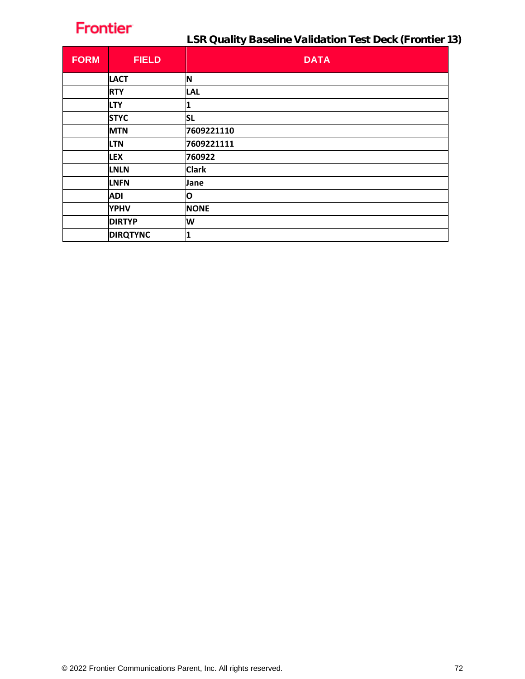| <b>FORM</b> | <b>FIELD</b>    | <b>DATA</b>  |
|-------------|-----------------|--------------|
|             | <b>LACT</b>     | N            |
|             | <b>RTY</b>      | <b>LAL</b>   |
|             | <b>LTY</b>      |              |
|             | <b>STYC</b>     | <b>SL</b>    |
|             | <b>MTN</b>      | 7609221110   |
|             | <b>LTN</b>      | 7609221111   |
|             | <b>LEX</b>      | 760922       |
|             | <b>LNLN</b>     | <b>Clark</b> |
|             | <b>LNFN</b>     | Jane         |
|             | <b>ADI</b>      | O            |
|             | <b>YPHV</b>     | <b>NONE</b>  |
|             | <b>DIRTYP</b>   | W            |
|             | <b>DIRQTYNC</b> | 1            |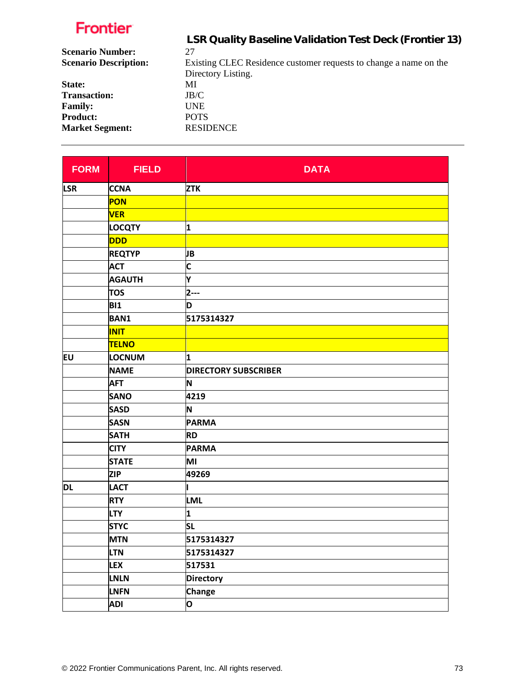| LSR Quality Baseline Validation Test Deck (Frontier 13)           |
|-------------------------------------------------------------------|
| 27                                                                |
| Existing CLEC Residence customer requests to change a name on the |
| Directory Listing.                                                |
| МI                                                                |
| JB/C                                                              |
| <b>UNE</b>                                                        |
| <b>POTS</b>                                                       |
| <b>RESIDENCE</b>                                                  |
|                                                                   |

| <b>FORM</b> | <b>FIELD</b>  | <b>DATA</b>                 |
|-------------|---------------|-----------------------------|
| <b>LSR</b>  | <b>CCNA</b>   | <b>ZTK</b>                  |
|             | <b>PON</b>    |                             |
|             | <b>VER</b>    |                             |
|             | <b>LOCQTY</b> | 1                           |
|             | <b>DDD</b>    |                             |
|             | <b>REQTYP</b> | JВ                          |
|             | <b>ACT</b>    | C                           |
|             | <b>AGAUTH</b> | Y                           |
|             | <b>TOS</b>    | $2 - -$                     |
|             | <b>BI1</b>    | D                           |
|             | <b>BAN1</b>   | 5175314327                  |
|             | <b>INIT</b>   |                             |
|             | <b>TELNO</b>  |                             |
| EU          | LOCNUM        | 1                           |
|             | <b>NAME</b>   | <b>DIRECTORY SUBSCRIBER</b> |
|             | <b>AFT</b>    | N                           |
|             | <b>SANO</b>   | 4219                        |
|             | <b>SASD</b>   | N                           |
|             | <b>SASN</b>   | <b>PARMA</b>                |
|             | <b>SATH</b>   | <b>RD</b>                   |
|             | <b>CITY</b>   | <b>PARMA</b>                |
|             | <b>STATE</b>  | MI                          |
|             | <b>ZIP</b>    | 49269                       |
| DL          | <b>LACT</b>   |                             |
|             | <b>RTY</b>    | <b>LML</b>                  |
|             | <b>LTY</b>    | 1                           |
|             | <b>STYC</b>   | <b>SL</b>                   |
|             | <b>MTN</b>    | 5175314327                  |
|             | <b>LTN</b>    | 5175314327                  |
|             | <b>LEX</b>    | 517531                      |
|             | <b>LNLN</b>   | <b>Directory</b>            |
|             | <b>LNFN</b>   | <b>Change</b>               |
|             | <b>ADI</b>    | O                           |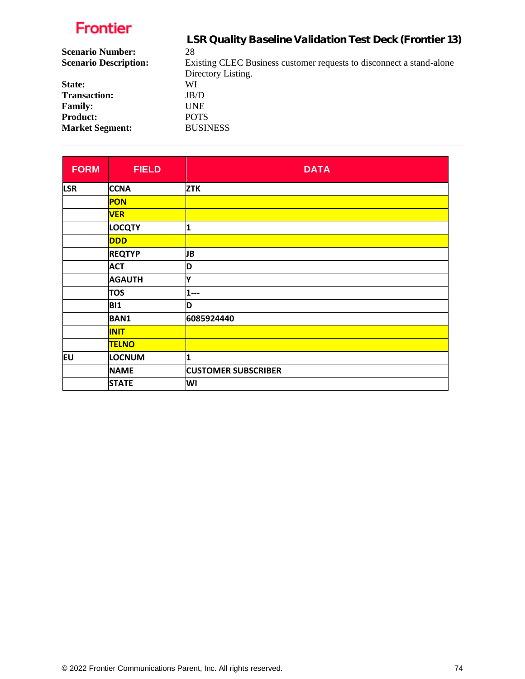|                              | LSR Quality Baseline Validation Test Deck (Frontier 13)              |
|------------------------------|----------------------------------------------------------------------|
| <b>Scenario Number:</b>      | 28                                                                   |
| <b>Scenario Description:</b> | Existing CLEC Business customer requests to disconnect a stand-alone |
|                              | Directory Listing.                                                   |
| State:                       | WI                                                                   |
| <b>Transaction:</b>          | JB/D                                                                 |
| <b>Family:</b>               | UNE.                                                                 |
| <b>Product:</b>              | <b>POTS</b>                                                          |
| <b>Market Segment:</b>       | <b>BUSINESS</b>                                                      |
|                              |                                                                      |

| <b>FORM</b> | <b>FIELD</b>  | <b>DATA</b>                |
|-------------|---------------|----------------------------|
| <b>LSR</b>  | <b>CCNA</b>   | <b>ZTK</b>                 |
|             | <b>PON</b>    |                            |
|             | <b>VER</b>    |                            |
|             | <b>LOCQTY</b> | 1                          |
|             | <b>DDD</b>    |                            |
|             | <b>REQTYP</b> | JB                         |
|             | <b>ACT</b>    | D                          |
|             | <b>AGAUTH</b> | Y                          |
|             | <b>TOS</b>    | 1---                       |
|             | <b>BI1</b>    | D                          |
|             | <b>BAN1</b>   | 6085924440                 |
|             | <b>INIT</b>   |                            |
|             | <b>TELNO</b>  |                            |
| EU          | LOCNUM        | 1                          |
|             | <b>NAME</b>   | <b>CUSTOMER SUBSCRIBER</b> |
|             | <b>STATE</b>  | WI                         |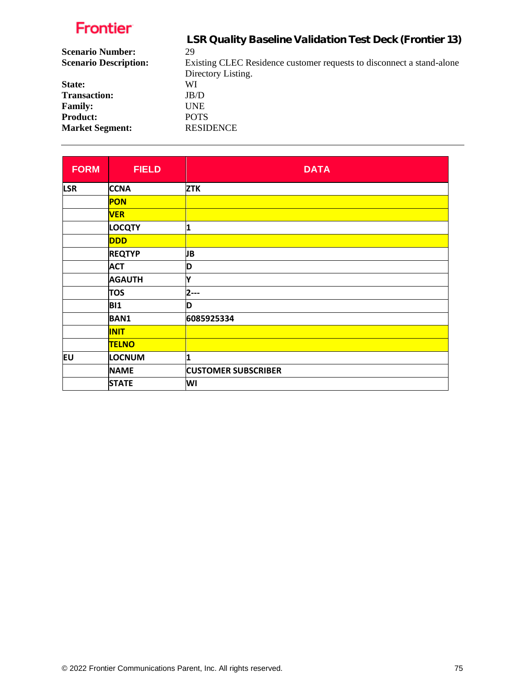|                              | LSR Quality Baseline Validation Test Deck (Frontier 13)               |
|------------------------------|-----------------------------------------------------------------------|
| <b>Scenario Number:</b>      | 29                                                                    |
| <b>Scenario Description:</b> | Existing CLEC Residence customer requests to disconnect a stand-alone |
|                              | Directory Listing.                                                    |
| State:                       | WI                                                                    |
| <b>Transaction:</b>          | JB/D                                                                  |
| <b>Family:</b>               | <b>UNE</b>                                                            |
| <b>Product:</b>              | <b>POTS</b>                                                           |
| <b>Market Segment:</b>       | <b>RESIDENCE</b>                                                      |

| <b>FORM</b> | <b>FIELD</b>  | <b>DATA</b>                |
|-------------|---------------|----------------------------|
| <b>LSR</b>  | <b>CCNA</b>   | <b>ZTK</b>                 |
|             | <b>PON</b>    |                            |
|             | <b>VER</b>    |                            |
|             | <b>LOCQTY</b> | 1                          |
|             | <b>DDD</b>    |                            |
|             | <b>REQTYP</b> | JB                         |
|             | <b>ACT</b>    | D                          |
|             | <b>AGAUTH</b> | Y                          |
|             | <b>TOS</b>    | $2--$                      |
|             | <b>BI1</b>    | D                          |
|             | <b>BAN1</b>   | 6085925334                 |
|             | <b>INIT</b>   |                            |
|             | <b>TELNO</b>  |                            |
| EU          | LOCNUM        | 1                          |
|             | <b>NAME</b>   | <b>CUSTOMER SUBSCRIBER</b> |
|             | <b>STATE</b>  | WI                         |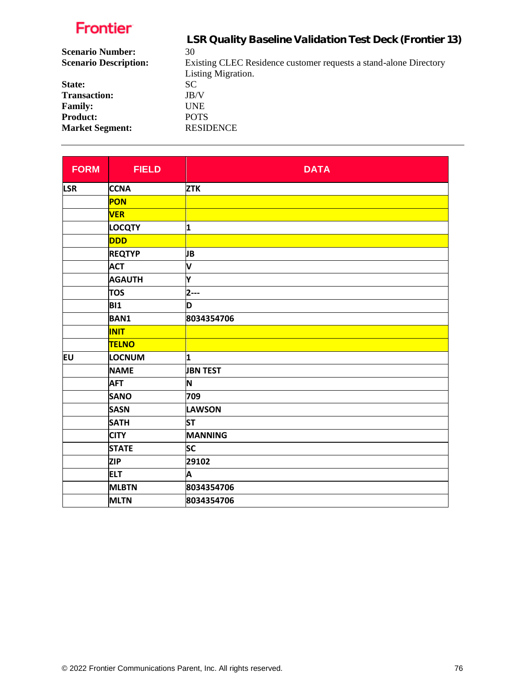|                              | LSR Quality Baseline Validation Test Deck (Frontier 13)           |
|------------------------------|-------------------------------------------------------------------|
| <b>Scenario Number:</b>      | 30                                                                |
| <b>Scenario Description:</b> | Existing CLEC Residence customer requests a stand-alone Directory |
|                              | Listing Migration.                                                |
| State:                       | SC.                                                               |
| <b>Transaction:</b>          | JB/V                                                              |
| <b>Family:</b>               | <b>UNE</b>                                                        |
| <b>Product:</b>              | <b>POTS</b>                                                       |
| <b>Market Segment:</b>       | <b>RESIDENCE</b>                                                  |

| <b>FORM</b> | <b>FIELD</b>  | <b>DATA</b>     |
|-------------|---------------|-----------------|
| <b>LSR</b>  | <b>CCNA</b>   | <b>ZTK</b>      |
|             | PON           |                 |
|             | <b>VER</b>    |                 |
|             | <b>LOCQTY</b> | 1               |
|             | <b>DDD</b>    |                 |
|             | <b>REQTYP</b> | JB              |
|             | <b>ACT</b>    | V               |
|             | <b>AGAUTH</b> | Y               |
|             | <b>TOS</b>    | $2-1$           |
|             | <b>BI1</b>    | D               |
|             | <b>BAN1</b>   | 8034354706      |
|             | <b>INIT</b>   |                 |
|             | <b>TELNO</b>  |                 |
| EU          | LOCNUM        | 1               |
|             | <b>NAME</b>   | <b>JBN TEST</b> |
|             | <b>AFT</b>    | ΙN              |
|             | <b>SANO</b>   | 709             |
|             | <b>SASN</b>   | LAWSON          |
|             | <b>SATH</b>   | <b>ST</b>       |
|             | <b>CITY</b>   | MANNING         |
|             | <b>STATE</b>  | <b>SC</b>       |
|             | <b>ZIP</b>    | 29102           |
|             | <b>ELT</b>    | A               |
|             | <b>MLBTN</b>  | 8034354706      |
|             | <b>MLTN</b>   | 8034354706      |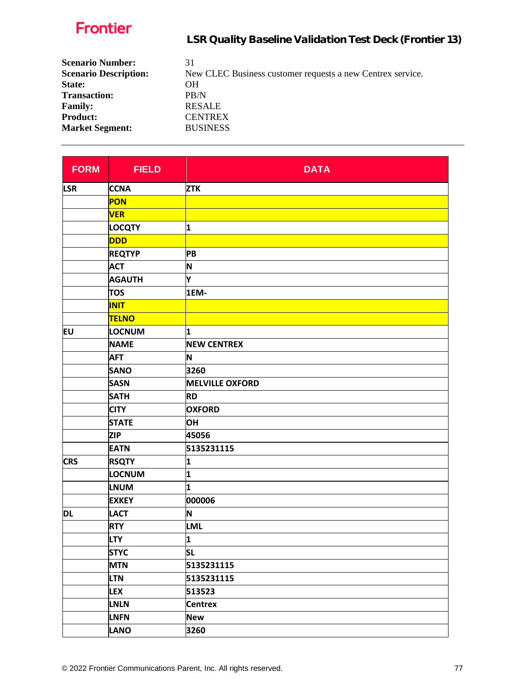| <b>Scenario Number:</b><br><b>Scenario Description:</b> | 31<br>New CLEC Business customer requests a new Centrex service. |
|---------------------------------------------------------|------------------------------------------------------------------|
| State:                                                  | OН                                                               |
| <b>Transaction:</b>                                     | PB/N                                                             |
| <b>Family:</b>                                          | <b>RESALE</b>                                                    |
| <b>Product:</b>                                         | <b>CENTREX</b>                                                   |
| <b>Market Segment:</b>                                  | <b>BUSINESS</b>                                                  |

| <b>FORM</b> | <b>FIELD</b>  | <b>DATA</b>            |
|-------------|---------------|------------------------|
| <b>LSR</b>  | <b>CCNA</b>   | <b>ZTK</b>             |
|             | <b>PON</b>    |                        |
|             | <b>VER</b>    |                        |
|             | <b>LOCQTY</b> | 1                      |
|             | <b>DDD</b>    |                        |
|             | <b>REQTYP</b> | PB                     |
|             | <b>ACT</b>    | N                      |
|             | <b>AGAUTH</b> | Y                      |
|             | <b>TOS</b>    | 1EM-                   |
|             | <b>INIT</b>   |                        |
|             | <b>TELNO</b>  |                        |
| Eυ          | <b>LOCNUM</b> | 1                      |
|             | <b>NAME</b>   | <b>NEW CENTREX</b>     |
|             | <b>AFT</b>    | N                      |
|             | <b>SANO</b>   | 3260                   |
|             | <b>SASN</b>   | <b>MELVILLE OXFORD</b> |
|             | <b>SATH</b>   | <b>RD</b>              |
|             | <b>CITY</b>   | <b>OXFORD</b>          |
|             | <b>STATE</b>  | OH                     |
|             | <b>ZIP</b>    | 45056                  |
|             | <b>EATN</b>   | 5135231115             |
| <b>CRS</b>  | <b>RSQTY</b>  | 1                      |
|             | LOCNUM        | 1                      |
|             | <b>LNUM</b>   | 1                      |
|             | <b>EXKEY</b>  | 000006                 |
| <b>DL</b>   | <b>LACT</b>   | N                      |
|             | <b>RTY</b>    | LML                    |
|             | <b>LTY</b>    | $\mathbf{1}$           |
|             | <b>STYC</b>   | <b>SL</b>              |
|             | <b>MTN</b>    | 5135231115             |
|             | <b>LTN</b>    | 5135231115             |
|             | <b>LEX</b>    | 513523                 |
|             | <b>LNLN</b>   | <b>Centrex</b>         |
|             | <b>LNFN</b>   | <b>New</b>             |
|             | <b>LANO</b>   | 3260                   |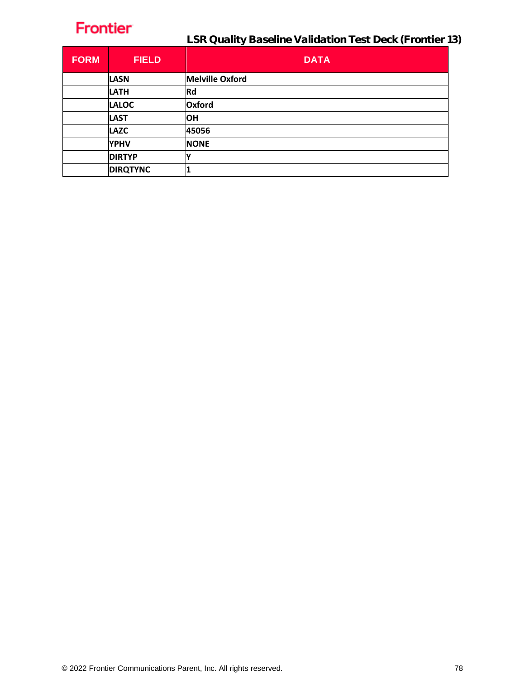| <b>FORM</b> | <b>FIELD</b>    | <b>DATA</b>            |
|-------------|-----------------|------------------------|
|             | <b>LASN</b>     | <b>Melville Oxford</b> |
|             | <b>LATH</b>     | <b>Rd</b>              |
|             | <b>LALOC</b>    | Oxford                 |
|             | <b>LAST</b>     | <b>OH</b>              |
|             | <b>LAZC</b>     | 45056                  |
|             | <b>YPHV</b>     | <b>NONE</b>            |
|             | <b>DIRTYP</b>   |                        |
|             | <b>DIRQTYNC</b> |                        |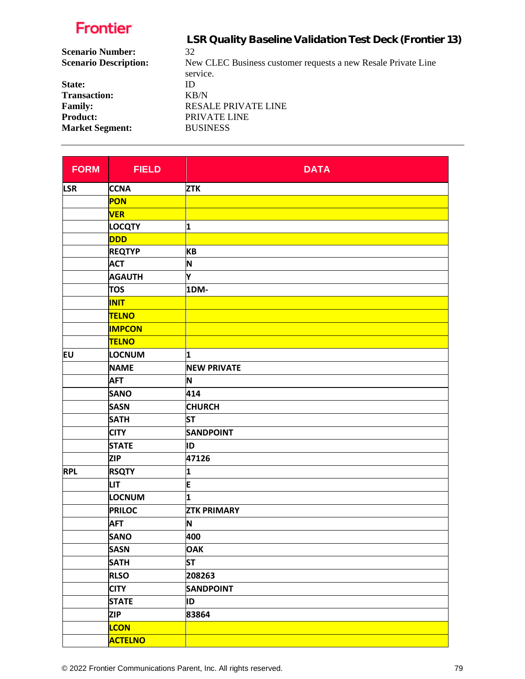|                              | LSR Quality Baseline Validation Test Deck (Frontier 13)       |
|------------------------------|---------------------------------------------------------------|
| <b>Scenario Number:</b>      | 32                                                            |
| <b>Scenario Description:</b> | New CLEC Business customer requests a new Resale Private Line |
|                              | service.                                                      |
| State:                       | Ю                                                             |
| <b>Transaction:</b>          | KB/N                                                          |
| <b>Family:</b>               | <b>RESALE PRIVATE LINE</b>                                    |
| <b>Product:</b>              | PRIVATE LINE                                                  |
| <b>Market Segment:</b>       | <b>BUSINESS</b>                                               |
|                              |                                                               |

| <b>FORM</b> | <b>FIELD</b>   | <b>DATA</b>        |
|-------------|----------------|--------------------|
| <b>LSR</b>  | <b>CCNA</b>    | <b>ZTK</b>         |
|             | <b>PON</b>     |                    |
|             | <b>VER</b>     |                    |
|             | <b>LOCQTY</b>  | 1                  |
|             | <b>DDD</b>     |                    |
|             | <b>REQTYP</b>  | <b>KB</b>          |
|             | <b>ACT</b>     | N                  |
|             | <b>AGAUTH</b>  | Υ                  |
|             | <b>TOS</b>     | 1DM-               |
|             | <b>INIT</b>    |                    |
|             | <b>TELNO</b>   |                    |
|             | <b>IMPCON</b>  |                    |
|             | <b>TELNO</b>   |                    |
| Eυ          | <b>LOCNUM</b>  | 1                  |
|             | <b>NAME</b>    | <b>NEW PRIVATE</b> |
|             | <b>AFT</b>     | N                  |
|             | <b>SANO</b>    | 414                |
|             | <b>SASN</b>    | <b>CHURCH</b>      |
|             | <b>SATH</b>    | <b>ST</b>          |
|             | <b>CITY</b>    | <b>SANDPOINT</b>   |
|             | <b>STATE</b>   | ID                 |
|             | <b>ZIP</b>     | 47126              |
| <b>RPL</b>  | <b>RSQTY</b>   | 1                  |
|             | <b>LIT</b>     | E                  |
|             | <b>LOCNUM</b>  | 1                  |
|             | <b>PRILOC</b>  | <b>ZTK PRIMARY</b> |
|             | <b>AFT</b>     | N                  |
|             | <b>SANO</b>    | 400                |
|             | <b>SASN</b>    | <b>OAK</b>         |
|             | <b>SATH</b>    | <b>ST</b>          |
|             | <b>RLSO</b>    | 208263             |
|             | <b>CITY</b>    | <b>SANDPOINT</b>   |
|             | <b>STATE</b>   | ID                 |
|             | <b>ZIP</b>     | 83864              |
|             | <b>LCON</b>    |                    |
|             | <b>ACTELNO</b> |                    |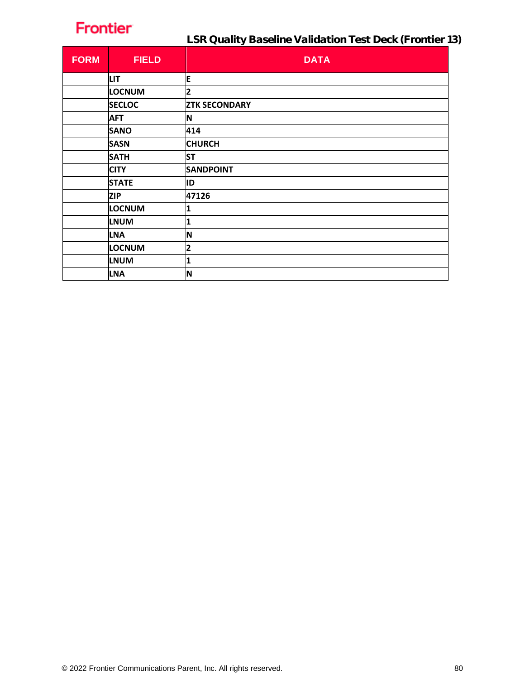LSR Quality Baseline Validation Test Deck (Frontier 13)

| <b>FORM</b> | <b>FIELD</b>  | <b>DATA</b>             |
|-------------|---------------|-------------------------|
|             | <b>LIT</b>    | E                       |
|             | <b>LOCNUM</b> | 2                       |
|             | <b>SECLOC</b> | <b>ZTK SECONDARY</b>    |
|             | <b>AFT</b>    | N                       |
|             | <b>SANO</b>   | 414                     |
|             | <b>SASN</b>   | <b>CHURCH</b>           |
|             | <b>SATH</b>   | <b>ST</b>               |
|             | <b>CITY</b>   | <b>SANDPOINT</b>        |
|             | <b>STATE</b>  | ID                      |
|             | <b>ZIP</b>    | 47126                   |
|             | <b>LOCNUM</b> | 1                       |
|             | <b>LNUM</b>   | 1                       |
|             | <b>LNA</b>    | N                       |
|             | <b>LOCNUM</b> | $\overline{\mathbf{2}}$ |
|             | <b>LNUM</b>   | 1                       |
|             | <b>LNA</b>    | IN                      |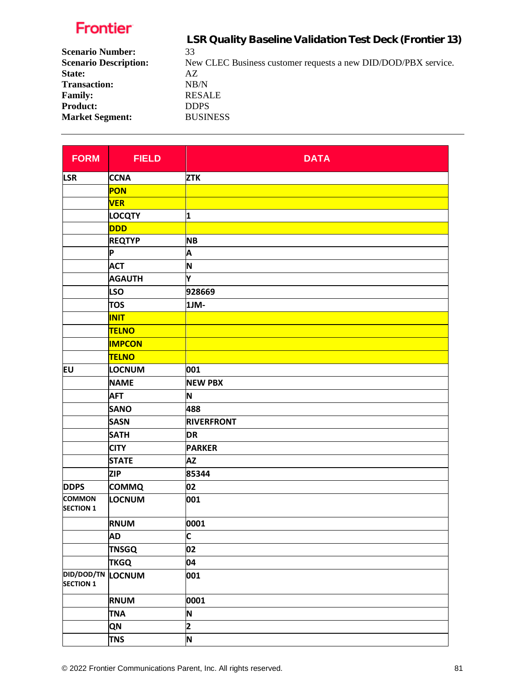|                              | LSR Quality Baseline Validation Test Deck (Frontier 13)        |
|------------------------------|----------------------------------------------------------------|
| <b>Scenario Number:</b>      | 33                                                             |
| <b>Scenario Description:</b> | New CLEC Business customer requests a new DID/DOD/PBX service. |
| State:                       | AZ                                                             |
| <b>Transaction:</b>          | NB/N                                                           |
| <b>Family:</b>               | <b>RESALE</b>                                                  |
| <b>Product:</b>              | <b>DDPS</b>                                                    |
| <b>Market Segment:</b>       | <b>BUSINESS</b>                                                |
|                              |                                                                |

| <b>FORM</b>                                  | <b>FIELD</b>  | <b>DATA</b>             |
|----------------------------------------------|---------------|-------------------------|
| <b>LSR</b>                                   | <b>CCNA</b>   | <b>ZTK</b>              |
|                                              | PON           |                         |
|                                              | <b>VER</b>    |                         |
|                                              | <b>LOCQTY</b> | 1                       |
|                                              | <b>DDD</b>    |                         |
|                                              | <b>REQTYP</b> | <b>NB</b>               |
|                                              | P             | A                       |
|                                              | <b>ACT</b>    | N                       |
|                                              | <b>AGAUTH</b> | Y                       |
|                                              | <b>LSO</b>    | 928669                  |
|                                              | <b>TOS</b>    | 1JM-                    |
|                                              | <b>INIT</b>   |                         |
|                                              | <b>TELNO</b>  |                         |
|                                              | <b>IMPCON</b> |                         |
|                                              | <b>TELNO</b>  |                         |
| <b>EU</b>                                    | LOCNUM        | 001                     |
|                                              | <b>NAME</b>   | <b>NEW PBX</b>          |
|                                              | <b>AFT</b>    | N                       |
|                                              | <b>SANO</b>   | 488                     |
|                                              | <b>SASN</b>   | <b>RIVERFRONT</b>       |
|                                              | <b>SATH</b>   | <b>DR</b>               |
|                                              | <b>CITY</b>   | <b>PARKER</b>           |
|                                              | <b>STATE</b>  | <b>AZ</b>               |
|                                              | <b>ZIP</b>    | 85344                   |
| <b>DDPS</b>                                  | <b>COMMQ</b>  | 02                      |
| <b>COMMON</b><br><b>SECTION 1</b>            | LOCNUM        | 001                     |
|                                              | <b>RNUM</b>   | 0001                    |
|                                              | <b>AD</b>     | C                       |
|                                              | <b>TNSGQ</b>  | 02                      |
|                                              | <b>TKGQ</b>   | 04                      |
| <b>DID/DOD/TN LOCNUM</b><br><b>SECTION 1</b> |               | 001                     |
|                                              | <b>RNUM</b>   | 0001                    |
|                                              | <b>TNA</b>    | N                       |
|                                              | QN            | $\overline{\mathbf{2}}$ |
|                                              | <b>TNS</b>    | N                       |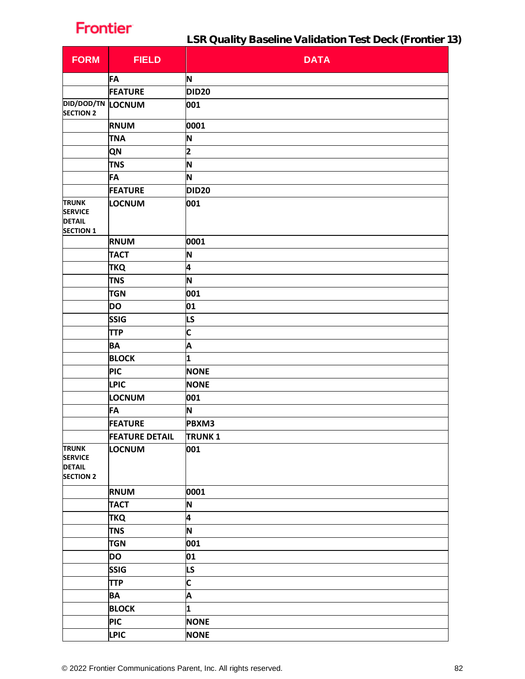LSR Quality Baseline Validation Test Deck (Frontier 13)

| <b>FORM</b>                                                         | <b>FIELD</b>          | <b>DATA</b>             |
|---------------------------------------------------------------------|-----------------------|-------------------------|
|                                                                     | <b>FA</b>             | N                       |
|                                                                     | <b>FEATURE</b>        | DID <sub>20</sub>       |
| <b>DID/DOD/TN LOCNUM</b><br><b>SECTION 2</b>                        |                       | 001                     |
|                                                                     | <b>RNUM</b>           | 0001                    |
|                                                                     | <b>TNA</b>            | N                       |
|                                                                     | <b>QN</b>             | 2                       |
|                                                                     | <b>TNS</b>            | N                       |
|                                                                     | FA                    | N                       |
|                                                                     | <b>FEATURE</b>        | DID <sub>20</sub>       |
| <b>TRUNK</b><br><b>SERVICE</b><br><b>DETAIL</b><br><b>SECTION 1</b> | LOCNUM                | 001                     |
|                                                                     | <b>RNUM</b>           | 0001                    |
|                                                                     | <b>TACT</b>           | N                       |
|                                                                     | <b>TKQ</b>            | 4                       |
|                                                                     | <b>TNS</b>            | N                       |
|                                                                     | <b>TGN</b>            | 001                     |
|                                                                     | <b>DO</b>             | 01                      |
|                                                                     | <b>SSIG</b>           | LS                      |
|                                                                     | <b>TTP</b>            | $\overline{\mathsf{C}}$ |
|                                                                     | <b>BA</b>             | A                       |
|                                                                     | <b>BLOCK</b>          | 1                       |
|                                                                     | <b>PIC</b>            | <b>NONE</b>             |
|                                                                     | <b>LPIC</b>           | <b>NONE</b>             |
|                                                                     | LOCNUM                | 001                     |
|                                                                     | FA                    | N                       |
|                                                                     | <b>FEATURE</b>        | PBXM3                   |
|                                                                     | <b>FEATURE DETAIL</b> | <b>TRUNK1</b>           |
| <b>TRUNK</b><br><b>SERVICE</b><br><b>DETAIL</b><br><b>SECTION 2</b> | LOCNUM                | 001                     |
|                                                                     | <b>RNUM</b>           | 0001                    |
|                                                                     | <b>TACT</b>           | N                       |
|                                                                     | <b>TKQ</b>            | 4                       |
|                                                                     | <b>TNS</b>            | N                       |
|                                                                     | <b>TGN</b>            | 001                     |
|                                                                     | <b>DO</b>             | 01                      |
|                                                                     | <b>SSIG</b>           | LS                      |
|                                                                     | <b>TTP</b>            | C                       |
|                                                                     | <b>BA</b>             | A                       |
|                                                                     | <b>BLOCK</b>          | 1                       |
|                                                                     | <b>PIC</b>            | <b>NONE</b>             |
|                                                                     | <b>LPIC</b>           | <b>NONE</b>             |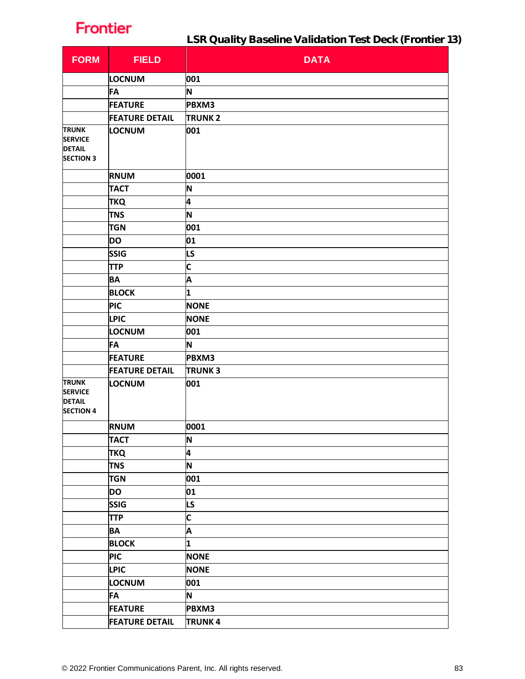| <b>FORM</b>                                                         | <b>FIELD</b>          | <b>DATA</b>   |
|---------------------------------------------------------------------|-----------------------|---------------|
|                                                                     | LOCNUM                | 001           |
|                                                                     | <b>FA</b>             | N             |
|                                                                     | <b>FEATURE</b>        | PBXM3         |
|                                                                     | <b>FEATURE DETAIL</b> | <b>TRUNK2</b> |
| <b>TRUNK</b><br><b>SERVICE</b><br><b>DETAIL</b><br><b>SECTION 3</b> | <b>LOCNUM</b>         | 001           |
|                                                                     | <b>RNUM</b>           | 0001          |
|                                                                     | <b>TACT</b>           | N             |
|                                                                     | <b>TKQ</b>            | 4             |
|                                                                     | <b>TNS</b>            | N             |
|                                                                     | <b>TGN</b>            | 001           |
|                                                                     | <b>DO</b>             | 01            |
|                                                                     | <b>SSIG</b>           | LS            |
|                                                                     | <b>TTP</b>            | C             |
|                                                                     | <b>BA</b>             | A             |
|                                                                     | <b>BLOCK</b>          | 1             |
|                                                                     | <b>PIC</b>            | <b>NONE</b>   |
|                                                                     | <b>LPIC</b>           | <b>NONE</b>   |
|                                                                     | LOCNUM                | 001           |
|                                                                     | <b>FA</b>             | N             |
|                                                                     | <b>FEATURE</b>        | PBXM3         |
|                                                                     | <b>FEATURE DETAIL</b> | <b>TRUNK3</b> |
| <b>TRUNK</b><br><b>SERVICE</b><br><b>DETAIL</b><br><b>SECTION 4</b> | LOCNUM                | 001           |
|                                                                     | <b>RNUM</b>           | 0001          |
|                                                                     | <b>TACT</b>           | N             |
|                                                                     | <b>TKQ</b>            | 4             |
|                                                                     | <b>TNS</b>            | N             |
|                                                                     | <b>TGN</b>            | 001           |
|                                                                     | <b>DO</b>             | 01            |
|                                                                     | <b>SSIG</b>           | LS            |
|                                                                     | <b>TTP</b>            | C             |
|                                                                     | <b>BA</b>             | A             |
|                                                                     | <b>BLOCK</b>          | $\mathbf 1$   |
|                                                                     | <b>PIC</b>            | <b>NONE</b>   |
|                                                                     | <b>LPIC</b>           | <b>NONE</b>   |
|                                                                     | <b>LOCNUM</b>         | 001           |
|                                                                     | <b>FA</b>             | N             |
|                                                                     | <b>FEATURE</b>        | PBXM3         |
|                                                                     | <b>FEATURE DETAIL</b> | <b>TRUNK4</b> |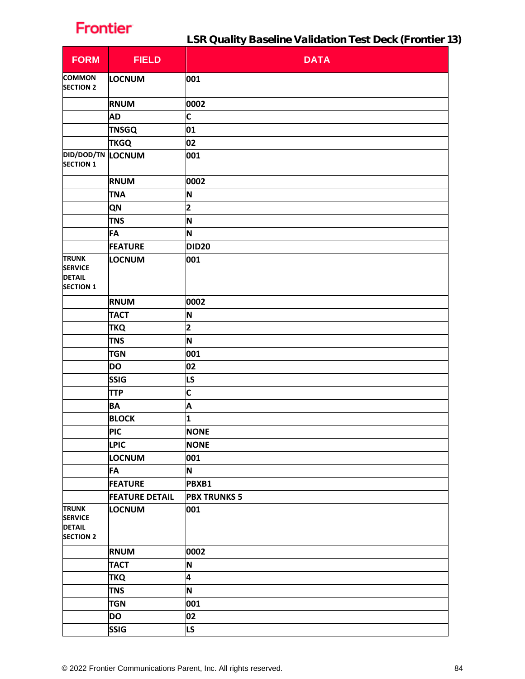| <b>FORM</b>                                                         | <b>FIELD</b>          | <b>DATA</b>             |
|---------------------------------------------------------------------|-----------------------|-------------------------|
| <b>COMMON</b><br><b>SECTION 2</b>                                   | LOCNUM                | 001                     |
|                                                                     | <b>RNUM</b>           | 0002                    |
|                                                                     | <b>AD</b>             | C                       |
|                                                                     | <b>TNSGQ</b>          | 01                      |
|                                                                     | <b>TKGQ</b>           | 02                      |
| <b>DID/DOD/TN LOCNUM</b><br><b>SECTION 1</b>                        |                       | 001                     |
|                                                                     | <b>RNUM</b>           | 0002                    |
|                                                                     | <b>TNA</b>            | N                       |
|                                                                     | QN                    | 2                       |
|                                                                     | <b>TNS</b>            | N                       |
|                                                                     | FA                    | N                       |
|                                                                     | <b>FEATURE</b>        | <b>DID20</b>            |
| <b>TRUNK</b><br><b>SERVICE</b><br><b>DETAIL</b><br><b>SECTION 1</b> | LOCNUM                | 001                     |
|                                                                     | <b>RNUM</b>           | 0002                    |
|                                                                     | <b>TACT</b>           | N                       |
|                                                                     | <b>TKQ</b>            | $\overline{\mathbf{2}}$ |
|                                                                     | <b>TNS</b>            | N                       |
|                                                                     | <b>TGN</b>            | 001                     |
|                                                                     | <b>DO</b>             | 02                      |
|                                                                     | SSIG                  | LS                      |
|                                                                     | <b>TTP</b>            | C                       |
|                                                                     | <b>BA</b>             | A                       |
|                                                                     | <b>BLOCK</b>          | 1                       |
|                                                                     | <b>PIC</b>            | <b>NONE</b>             |
|                                                                     | <b>LPIC</b>           | <b>NONE</b>             |
|                                                                     | <b>LOCNUM</b>         | 001                     |
|                                                                     | <b>FA</b>             | N                       |
|                                                                     | <b>FEATURE</b>        | PBXB1                   |
|                                                                     | <b>FEATURE DETAIL</b> | <b>PBX TRUNKS 5</b>     |
| <b>TRUNK</b><br><b>SERVICE</b><br><b>DETAIL</b><br><b>SECTION 2</b> | LOCNUM                | 001                     |
|                                                                     | <b>RNUM</b>           | 0002                    |
|                                                                     | <b>TACT</b>           | N                       |
|                                                                     | <b>TKQ</b>            | 4                       |
|                                                                     | <b>TNS</b>            | N                       |
|                                                                     | <b>TGN</b>            | 001                     |
|                                                                     | <b>DO</b>             | 02                      |
|                                                                     | <b>SSIG</b>           | LS                      |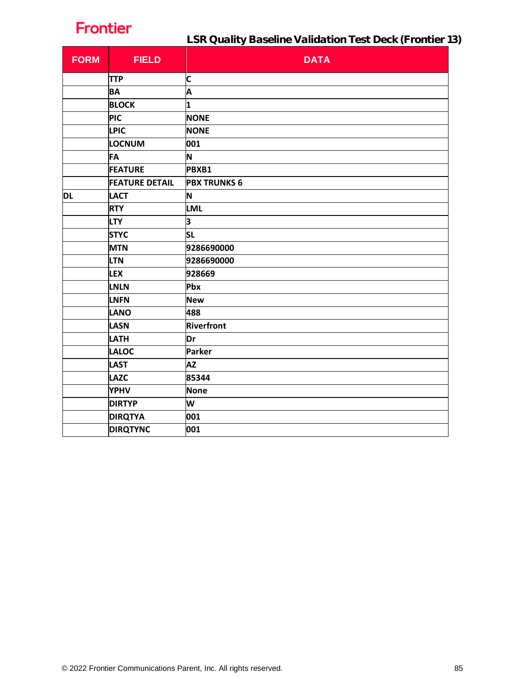LSR Quality Baseline Validation Test Deck (Frontier 13)

| <b>FORM</b> | <b>FIELD</b>          | <b>DATA</b>         |
|-------------|-----------------------|---------------------|
|             | <b>TTP</b>            | C                   |
|             | <b>BA</b>             | A                   |
|             | <b>BLOCK</b>          | 1                   |
|             | <b>PIC</b>            | <b>NONE</b>         |
|             | <b>LPIC</b>           | <b>NONE</b>         |
|             | LOCNUM                | 001                 |
|             | <b>FA</b>             | N                   |
|             | <b>FEATURE</b>        | PBXB1               |
|             | <b>FEATURE DETAIL</b> | <b>PBX TRUNKS 6</b> |
| DL          | <b>LACT</b>           | N                   |
|             | <b>RTY</b>            | <b>LML</b>          |
|             | <b>LTY</b>            | 3                   |
|             | <b>STYC</b>           | <b>SL</b>           |
|             | <b>MTN</b>            | 9286690000          |
|             | <b>LTN</b>            | 9286690000          |
|             | <b>LEX</b>            | 928669              |
|             | <b>LNLN</b>           | Pbx                 |
|             | <b>LNFN</b>           | <b>New</b>          |
|             | <b>LANO</b>           | 488                 |
|             | <b>LASN</b>           | Riverfront          |
|             | LATH                  | Dr                  |
|             | <b>LALOC</b>          | Parker              |
|             | <b>LAST</b>           | <b>AZ</b>           |
|             | <b>LAZC</b>           | 85344               |
|             | <b>YPHV</b>           | <b>None</b>         |
|             | <b>DIRTYP</b>         | W                   |
|             | <b>DIRQTYA</b>        | 001                 |
|             | <b>DIRQTYNC</b>       | 001                 |